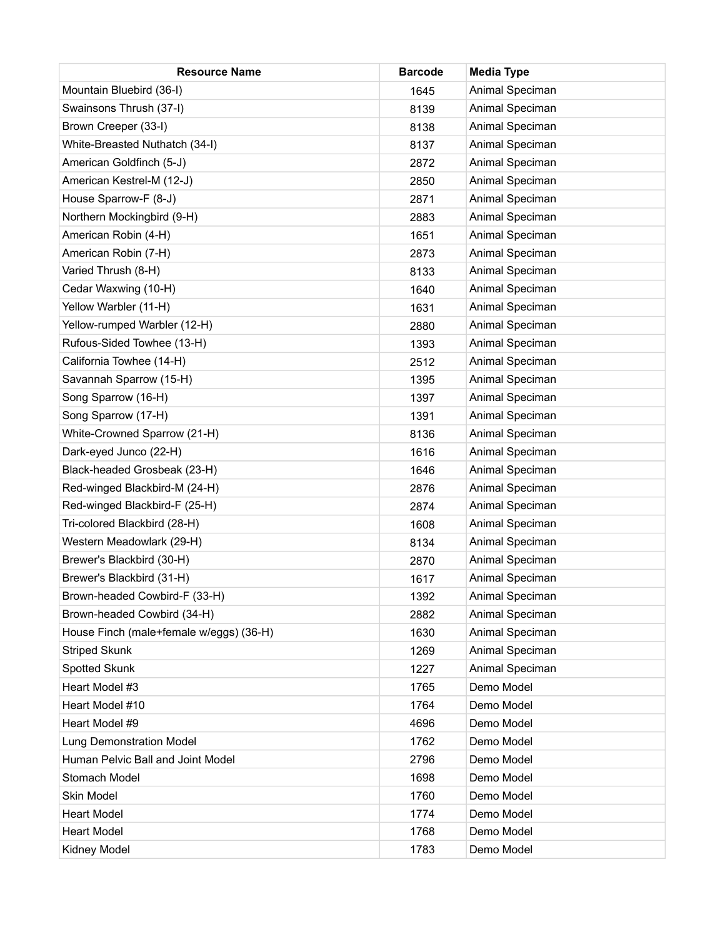| <b>Resource Name</b>                    | <b>Barcode</b> | <b>Media Type</b> |
|-----------------------------------------|----------------|-------------------|
| Mountain Bluebird (36-I)                | 1645           | Animal Speciman   |
| Swainsons Thrush (37-I)                 | 8139           | Animal Speciman   |
| Brown Creeper (33-I)                    | 8138           | Animal Speciman   |
| White-Breasted Nuthatch (34-I)          | 8137           | Animal Speciman   |
| American Goldfinch (5-J)                | 2872           | Animal Speciman   |
| American Kestrel-M (12-J)               | 2850           | Animal Speciman   |
| House Sparrow-F (8-J)                   | 2871           | Animal Speciman   |
| Northern Mockingbird (9-H)              | 2883           | Animal Speciman   |
| American Robin (4-H)                    | 1651           | Animal Speciman   |
| American Robin (7-H)                    | 2873           | Animal Speciman   |
| Varied Thrush (8-H)                     | 8133           | Animal Speciman   |
| Cedar Waxwing (10-H)                    | 1640           | Animal Speciman   |
| Yellow Warbler (11-H)                   | 1631           | Animal Speciman   |
| Yellow-rumped Warbler (12-H)            | 2880           | Animal Speciman   |
| Rufous-Sided Towhee (13-H)              | 1393           | Animal Speciman   |
| California Towhee (14-H)                | 2512           | Animal Speciman   |
| Savannah Sparrow (15-H)                 | 1395           | Animal Speciman   |
| Song Sparrow (16-H)                     | 1397           | Animal Speciman   |
| Song Sparrow (17-H)                     | 1391           | Animal Speciman   |
| White-Crowned Sparrow (21-H)            | 8136           | Animal Speciman   |
| Dark-eyed Junco (22-H)                  | 1616           | Animal Speciman   |
| Black-headed Grosbeak (23-H)            | 1646           | Animal Speciman   |
| Red-winged Blackbird-M (24-H)           | 2876           | Animal Speciman   |
| Red-winged Blackbird-F (25-H)           | 2874           | Animal Speciman   |
| Tri-colored Blackbird (28-H)            | 1608           | Animal Speciman   |
| Western Meadowlark (29-H)               | 8134           | Animal Speciman   |
| Brewer's Blackbird (30-H)               | 2870           | Animal Speciman   |
| Brewer's Blackbird (31-H)               | 1617           | Animal Speciman   |
| Brown-headed Cowbird-F (33-H)           | 1392           | Animal Speciman   |
| Brown-headed Cowbird (34-H)             | 2882           | Animal Speciman   |
| House Finch (male+female w/eggs) (36-H) | 1630           | Animal Speciman   |
| <b>Striped Skunk</b>                    | 1269           | Animal Speciman   |
| Spotted Skunk                           | 1227           | Animal Speciman   |
| Heart Model #3                          | 1765           | Demo Model        |
| Heart Model #10                         | 1764           | Demo Model        |
| Heart Model #9                          | 4696           | Demo Model        |
| <b>Lung Demonstration Model</b>         | 1762           | Demo Model        |
| Human Pelvic Ball and Joint Model       | 2796           | Demo Model        |
| Stomach Model                           | 1698           | Demo Model        |
| Skin Model                              | 1760           | Demo Model        |
| <b>Heart Model</b>                      | 1774           | Demo Model        |
| <b>Heart Model</b>                      | 1768           | Demo Model        |
| Kidney Model                            | 1783           | Demo Model        |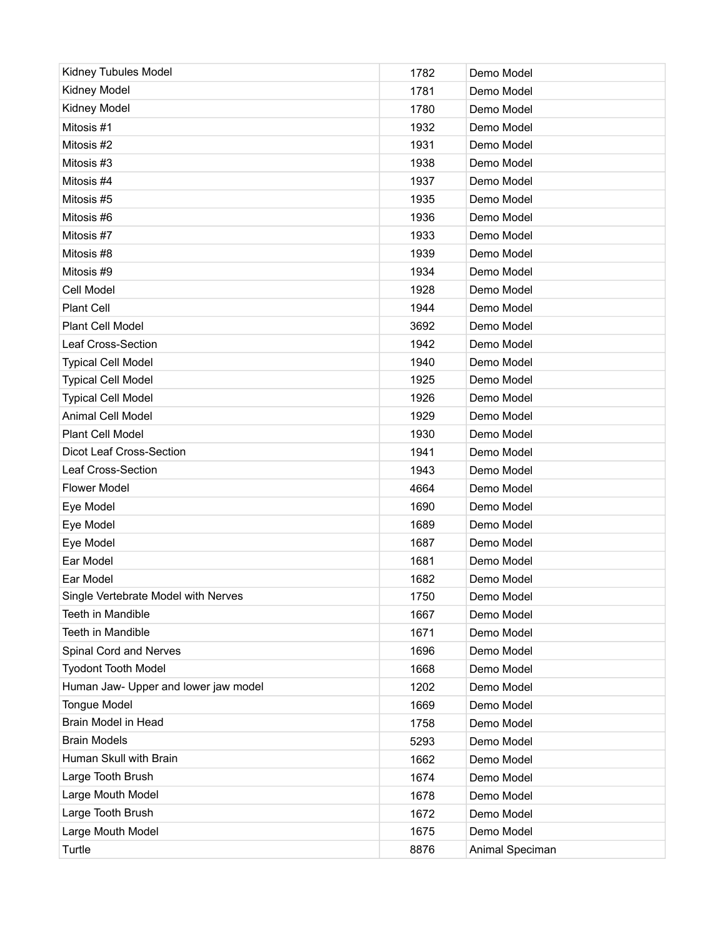| Kidney Tubules Model                 | 1782 | Demo Model      |
|--------------------------------------|------|-----------------|
| Kidney Model                         | 1781 | Demo Model      |
| Kidney Model                         | 1780 | Demo Model      |
| Mitosis #1                           | 1932 | Demo Model      |
| Mitosis #2                           | 1931 | Demo Model      |
| Mitosis #3                           | 1938 | Demo Model      |
| Mitosis #4                           | 1937 | Demo Model      |
| Mitosis #5                           | 1935 | Demo Model      |
| Mitosis #6                           | 1936 | Demo Model      |
| Mitosis #7                           | 1933 | Demo Model      |
| Mitosis #8                           | 1939 | Demo Model      |
| Mitosis #9                           | 1934 | Demo Model      |
| Cell Model                           | 1928 | Demo Model      |
| <b>Plant Cell</b>                    | 1944 | Demo Model      |
| Plant Cell Model                     | 3692 | Demo Model      |
| Leaf Cross-Section                   | 1942 | Demo Model      |
| <b>Typical Cell Model</b>            | 1940 | Demo Model      |
| <b>Typical Cell Model</b>            | 1925 | Demo Model      |
| <b>Typical Cell Model</b>            | 1926 | Demo Model      |
| Animal Cell Model                    | 1929 | Demo Model      |
| Plant Cell Model                     | 1930 | Demo Model      |
| Dicot Leaf Cross-Section             | 1941 | Demo Model      |
| Leaf Cross-Section                   | 1943 | Demo Model      |
| <b>Flower Model</b>                  | 4664 | Demo Model      |
| Eye Model                            | 1690 | Demo Model      |
| Eye Model                            | 1689 | Demo Model      |
| Eye Model                            | 1687 | Demo Model      |
| Ear Model                            | 1681 | Demo Model      |
| Ear Model                            | 1682 | Demo Model      |
| Single Vertebrate Model with Nerves  | 1750 | Demo Model      |
| Teeth in Mandible                    | 1667 | Demo Model      |
| Teeth in Mandible                    | 1671 | Demo Model      |
| Spinal Cord and Nerves               | 1696 | Demo Model      |
| <b>Tyodont Tooth Model</b>           | 1668 | Demo Model      |
| Human Jaw- Upper and lower jaw model | 1202 | Demo Model      |
| <b>Tongue Model</b>                  | 1669 | Demo Model      |
| Brain Model in Head                  | 1758 | Demo Model      |
| <b>Brain Models</b>                  | 5293 | Demo Model      |
| Human Skull with Brain               | 1662 | Demo Model      |
| Large Tooth Brush                    | 1674 | Demo Model      |
| Large Mouth Model                    | 1678 | Demo Model      |
| Large Tooth Brush                    | 1672 | Demo Model      |
| Large Mouth Model                    | 1675 | Demo Model      |
| Turtle                               | 8876 | Animal Speciman |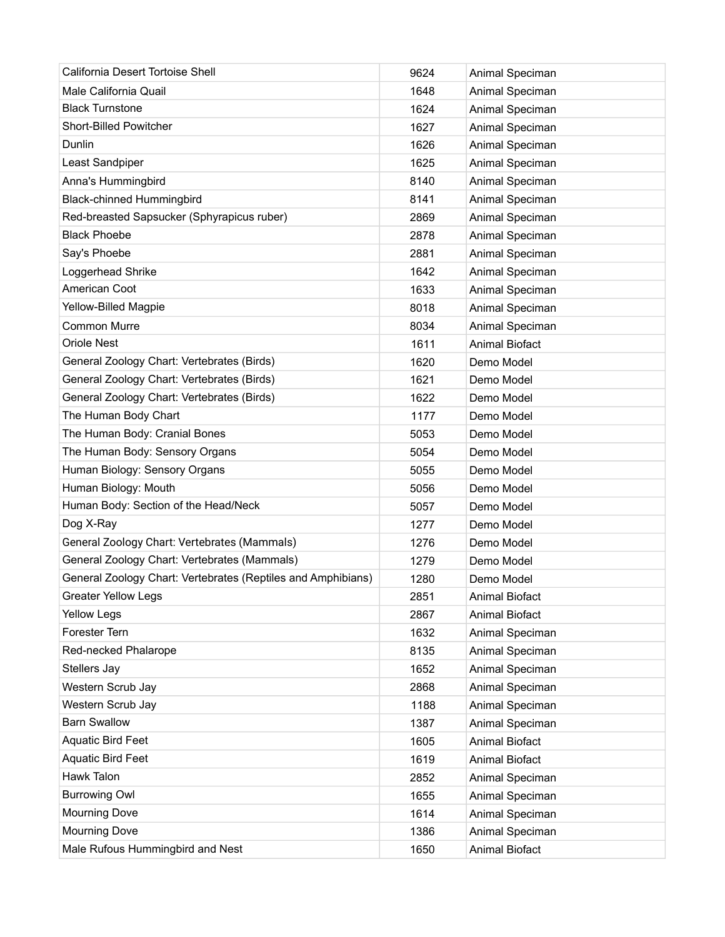| California Desert Tortoise Shell                             | 9624 | Animal Speciman       |
|--------------------------------------------------------------|------|-----------------------|
| Male California Quail                                        | 1648 | Animal Speciman       |
| <b>Black Turnstone</b>                                       | 1624 | Animal Speciman       |
| <b>Short-Billed Powitcher</b>                                | 1627 | Animal Speciman       |
| Dunlin                                                       | 1626 | Animal Speciman       |
| Least Sandpiper                                              | 1625 | Animal Speciman       |
| Anna's Hummingbird                                           | 8140 | Animal Speciman       |
| <b>Black-chinned Hummingbird</b>                             | 8141 | Animal Speciman       |
| Red-breasted Sapsucker (Sphyrapicus ruber)                   | 2869 | Animal Speciman       |
| <b>Black Phoebe</b>                                          | 2878 | Animal Speciman       |
| Say's Phoebe                                                 | 2881 | Animal Speciman       |
| Loggerhead Shrike                                            | 1642 | Animal Speciman       |
| American Coot                                                | 1633 | Animal Speciman       |
| Yellow-Billed Magpie                                         | 8018 | Animal Speciman       |
| <b>Common Murre</b>                                          | 8034 | Animal Speciman       |
| <b>Oriole Nest</b>                                           | 1611 | <b>Animal Biofact</b> |
| General Zoology Chart: Vertebrates (Birds)                   | 1620 | Demo Model            |
| General Zoology Chart: Vertebrates (Birds)                   | 1621 | Demo Model            |
| General Zoology Chart: Vertebrates (Birds)                   | 1622 | Demo Model            |
| The Human Body Chart                                         | 1177 | Demo Model            |
| The Human Body: Cranial Bones                                | 5053 | Demo Model            |
| The Human Body: Sensory Organs                               | 5054 | Demo Model            |
| Human Biology: Sensory Organs                                | 5055 | Demo Model            |
| Human Biology: Mouth                                         | 5056 | Demo Model            |
| Human Body: Section of the Head/Neck                         | 5057 | Demo Model            |
| Dog X-Ray                                                    | 1277 | Demo Model            |
| General Zoology Chart: Vertebrates (Mammals)                 | 1276 | Demo Model            |
| General Zoology Chart: Vertebrates (Mammals)                 | 1279 | Demo Model            |
| General Zoology Chart: Vertebrates (Reptiles and Amphibians) | 1280 | Demo Model            |
| <b>Greater Yellow Legs</b>                                   | 2851 | Animal Biofact        |
| <b>Yellow Legs</b>                                           | 2867 | Animal Biofact        |
| Forester Tern                                                | 1632 | Animal Speciman       |
| Red-necked Phalarope                                         | 8135 | Animal Speciman       |
| Stellers Jay                                                 | 1652 | Animal Speciman       |
| Western Scrub Jay                                            | 2868 | Animal Speciman       |
| Western Scrub Jay                                            | 1188 | Animal Speciman       |
| <b>Barn Swallow</b>                                          | 1387 | Animal Speciman       |
| Aquatic Bird Feet                                            | 1605 | <b>Animal Biofact</b> |
| <b>Aquatic Bird Feet</b>                                     | 1619 | Animal Biofact        |
| Hawk Talon                                                   | 2852 | Animal Speciman       |
| <b>Burrowing Owl</b>                                         | 1655 | Animal Speciman       |
| <b>Mourning Dove</b>                                         | 1614 | Animal Speciman       |
| <b>Mourning Dove</b>                                         | 1386 | Animal Speciman       |
| Male Rufous Hummingbird and Nest                             | 1650 | Animal Biofact        |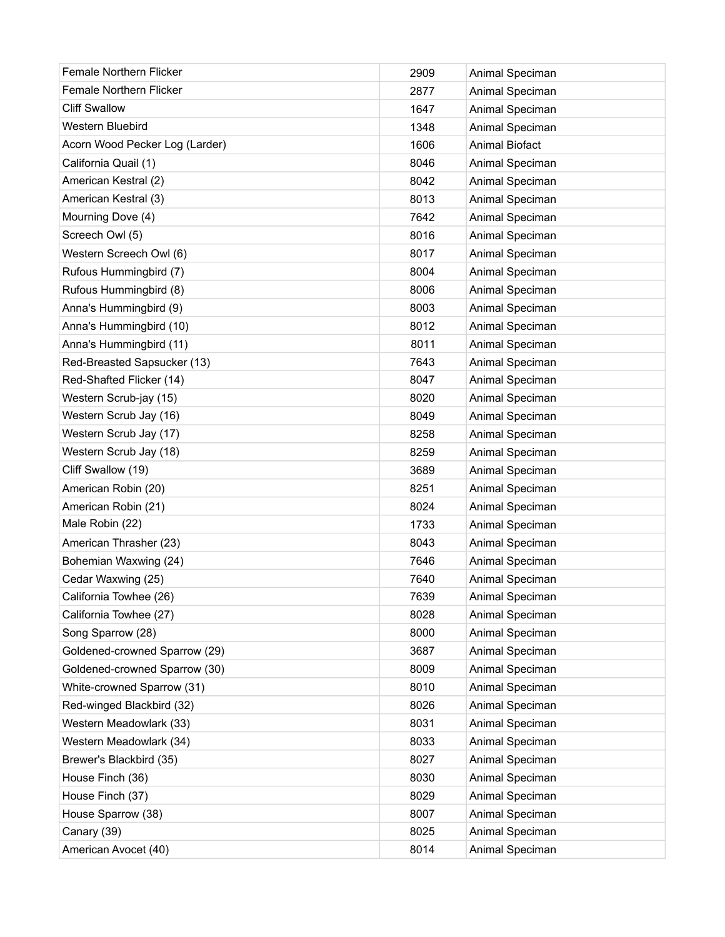| <b>Female Northern Flicker</b> | 2909 | Animal Speciman |
|--------------------------------|------|-----------------|
| <b>Female Northern Flicker</b> | 2877 | Animal Speciman |
| <b>Cliff Swallow</b>           | 1647 | Animal Speciman |
| <b>Western Bluebird</b>        | 1348 | Animal Speciman |
| Acorn Wood Pecker Log (Larder) | 1606 | Animal Biofact  |
| California Quail (1)           | 8046 | Animal Speciman |
| American Kestral (2)           | 8042 | Animal Speciman |
| American Kestral (3)           | 8013 | Animal Speciman |
| Mourning Dove (4)              | 7642 | Animal Speciman |
| Screech Owl (5)                | 8016 | Animal Speciman |
| Western Screech Owl (6)        | 8017 | Animal Speciman |
| Rufous Hummingbird (7)         | 8004 | Animal Speciman |
| Rufous Hummingbird (8)         | 8006 | Animal Speciman |
| Anna's Hummingbird (9)         | 8003 | Animal Speciman |
| Anna's Hummingbird (10)        | 8012 | Animal Speciman |
| Anna's Hummingbird (11)        | 8011 | Animal Speciman |
| Red-Breasted Sapsucker (13)    | 7643 | Animal Speciman |
| Red-Shafted Flicker (14)       | 8047 | Animal Speciman |
| Western Scrub-jay (15)         | 8020 | Animal Speciman |
| Western Scrub Jay (16)         | 8049 | Animal Speciman |
| Western Scrub Jay (17)         | 8258 | Animal Speciman |
| Western Scrub Jay (18)         | 8259 | Animal Speciman |
| Cliff Swallow (19)             | 3689 | Animal Speciman |
| American Robin (20)            | 8251 | Animal Speciman |
| American Robin (21)            | 8024 | Animal Speciman |
| Male Robin (22)                | 1733 | Animal Speciman |
| American Thrasher (23)         | 8043 | Animal Speciman |
| Bohemian Waxwing (24)          | 7646 | Animal Speciman |
| Cedar Waxwing (25)             | 7640 | Animal Speciman |
| California Towhee (26)         | 7639 | Animal Speciman |
| California Towhee (27)         | 8028 | Animal Speciman |
| Song Sparrow (28)              | 8000 | Animal Speciman |
| Goldened-crowned Sparrow (29)  | 3687 | Animal Speciman |
| Goldened-crowned Sparrow (30)  | 8009 | Animal Speciman |
| White-crowned Sparrow (31)     | 8010 | Animal Speciman |
| Red-winged Blackbird (32)      | 8026 | Animal Speciman |
| Western Meadowlark (33)        | 8031 | Animal Speciman |
| Western Meadowlark (34)        | 8033 | Animal Speciman |
| Brewer's Blackbird (35)        | 8027 | Animal Speciman |
| House Finch (36)               | 8030 | Animal Speciman |
| House Finch (37)               | 8029 | Animal Speciman |
| House Sparrow (38)             | 8007 | Animal Speciman |
| Canary (39)                    | 8025 | Animal Speciman |
| American Avocet (40)           | 8014 | Animal Speciman |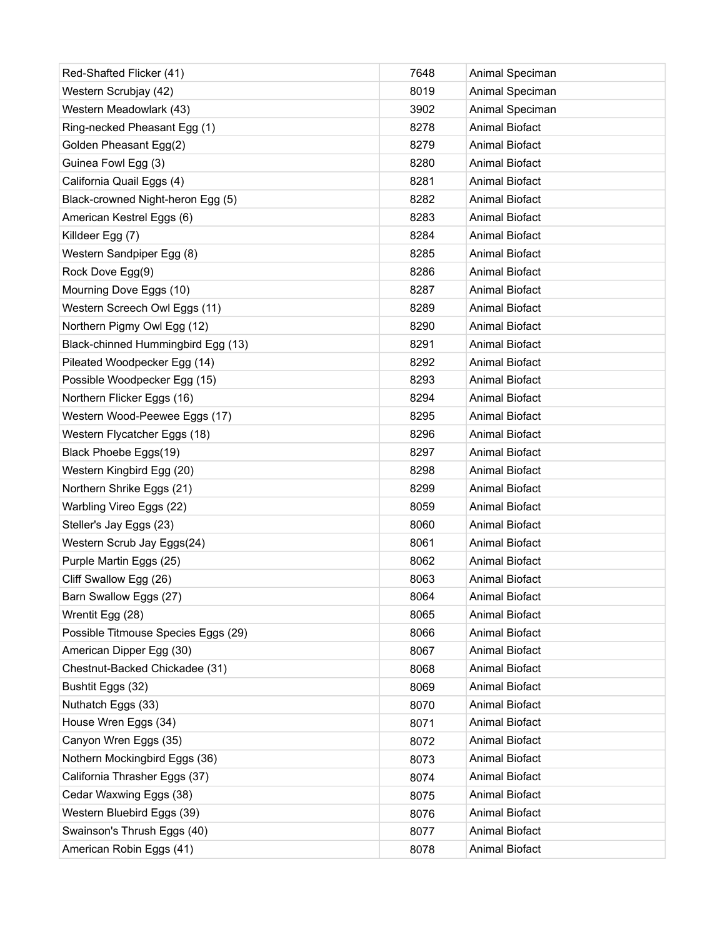| Red-Shafted Flicker (41)            | 7648 | Animal Speciman       |
|-------------------------------------|------|-----------------------|
| Western Scrubjay (42)               | 8019 | Animal Speciman       |
| Western Meadowlark (43)             | 3902 | Animal Speciman       |
| Ring-necked Pheasant Egg (1)        | 8278 | <b>Animal Biofact</b> |
| Golden Pheasant Egg(2)              | 8279 | <b>Animal Biofact</b> |
| Guinea Fowl Egg (3)                 | 8280 | <b>Animal Biofact</b> |
| California Quail Eggs (4)           | 8281 | <b>Animal Biofact</b> |
| Black-crowned Night-heron Egg (5)   | 8282 | <b>Animal Biofact</b> |
| American Kestrel Eggs (6)           | 8283 | <b>Animal Biofact</b> |
| Killdeer Egg (7)                    | 8284 | <b>Animal Biofact</b> |
| Western Sandpiper Egg (8)           | 8285 | <b>Animal Biofact</b> |
| Rock Dove Egg(9)                    | 8286 | <b>Animal Biofact</b> |
| Mourning Dove Eggs (10)             | 8287 | <b>Animal Biofact</b> |
| Western Screech Owl Eggs (11)       | 8289 | <b>Animal Biofact</b> |
| Northern Pigmy Owl Egg (12)         | 8290 | <b>Animal Biofact</b> |
| Black-chinned Hummingbird Egg (13)  | 8291 | <b>Animal Biofact</b> |
| Pileated Woodpecker Egg (14)        | 8292 | <b>Animal Biofact</b> |
| Possible Woodpecker Egg (15)        | 8293 | <b>Animal Biofact</b> |
| Northern Flicker Eggs (16)          | 8294 | <b>Animal Biofact</b> |
| Western Wood-Peewee Eggs (17)       | 8295 | <b>Animal Biofact</b> |
| Western Flycatcher Eggs (18)        | 8296 | <b>Animal Biofact</b> |
| Black Phoebe Eggs(19)               | 8297 | <b>Animal Biofact</b> |
| Western Kingbird Egg (20)           | 8298 | <b>Animal Biofact</b> |
| Northern Shrike Eggs (21)           | 8299 | <b>Animal Biofact</b> |
| Warbling Vireo Eggs (22)            | 8059 | <b>Animal Biofact</b> |
| Steller's Jay Eggs (23)             | 8060 | <b>Animal Biofact</b> |
| Western Scrub Jay Eggs(24)          | 8061 | <b>Animal Biofact</b> |
| Purple Martin Eggs (25)             | 8062 | <b>Animal Biofact</b> |
| Cliff Swallow Egg (26)              | 8063 | <b>Animal Biofact</b> |
| Barn Swallow Eggs (27)              | 8064 | Animal Biofact        |
| Wrentit Egg (28)                    | 8065 | Animal Biofact        |
| Possible Titmouse Species Eggs (29) | 8066 | Animal Biofact        |
| American Dipper Egg (30)            | 8067 | Animal Biofact        |
| Chestnut-Backed Chickadee (31)      | 8068 | Animal Biofact        |
| Bushtit Eggs (32)                   | 8069 | Animal Biofact        |
| Nuthatch Eggs (33)                  | 8070 | <b>Animal Biofact</b> |
| House Wren Eggs (34)                | 8071 | Animal Biofact        |
| Canyon Wren Eggs (35)               | 8072 | <b>Animal Biofact</b> |
| Nothern Mockingbird Eggs (36)       | 8073 | <b>Animal Biofact</b> |
| California Thrasher Eggs (37)       | 8074 | <b>Animal Biofact</b> |
| Cedar Waxwing Eggs (38)             | 8075 | <b>Animal Biofact</b> |
| Western Bluebird Eggs (39)          | 8076 | <b>Animal Biofact</b> |
| Swainson's Thrush Eggs (40)         | 8077 | Animal Biofact        |
| American Robin Eggs (41)            | 8078 | Animal Biofact        |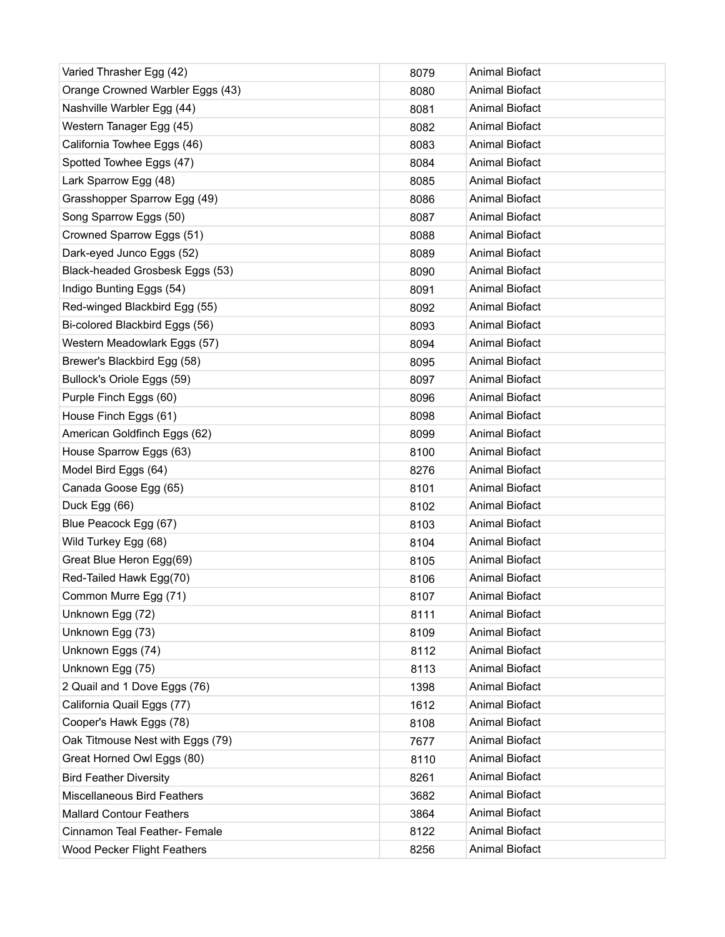| Varied Thrasher Egg (42)           | 8079 | <b>Animal Biofact</b> |
|------------------------------------|------|-----------------------|
| Orange Crowned Warbler Eggs (43)   | 8080 | <b>Animal Biofact</b> |
| Nashville Warbler Egg (44)         | 8081 | <b>Animal Biofact</b> |
| Western Tanager Egg (45)           | 8082 | <b>Animal Biofact</b> |
| California Towhee Eggs (46)        | 8083 | <b>Animal Biofact</b> |
| Spotted Towhee Eggs (47)           | 8084 | <b>Animal Biofact</b> |
| Lark Sparrow Egg (48)              | 8085 | <b>Animal Biofact</b> |
| Grasshopper Sparrow Egg (49)       | 8086 | <b>Animal Biofact</b> |
| Song Sparrow Eggs (50)             | 8087 | <b>Animal Biofact</b> |
| Crowned Sparrow Eggs (51)          | 8088 | <b>Animal Biofact</b> |
| Dark-eyed Junco Eggs (52)          | 8089 | <b>Animal Biofact</b> |
| Black-headed Grosbesk Eggs (53)    | 8090 | <b>Animal Biofact</b> |
| Indigo Bunting Eggs (54)           | 8091 | <b>Animal Biofact</b> |
| Red-winged Blackbird Egg (55)      | 8092 | <b>Animal Biofact</b> |
| Bi-colored Blackbird Eggs (56)     | 8093 | <b>Animal Biofact</b> |
| Western Meadowlark Eggs (57)       | 8094 | <b>Animal Biofact</b> |
| Brewer's Blackbird Egg (58)        | 8095 | <b>Animal Biofact</b> |
| Bullock's Oriole Eggs (59)         | 8097 | <b>Animal Biofact</b> |
| Purple Finch Eggs (60)             | 8096 | <b>Animal Biofact</b> |
| House Finch Eggs (61)              | 8098 | <b>Animal Biofact</b> |
| American Goldfinch Eggs (62)       | 8099 | <b>Animal Biofact</b> |
| House Sparrow Eggs (63)            | 8100 | <b>Animal Biofact</b> |
| Model Bird Eggs (64)               | 8276 | <b>Animal Biofact</b> |
| Canada Goose Egg (65)              | 8101 | <b>Animal Biofact</b> |
| Duck Egg (66)                      | 8102 | <b>Animal Biofact</b> |
| Blue Peacock Egg (67)              | 8103 | <b>Animal Biofact</b> |
| Wild Turkey Egg (68)               | 8104 | <b>Animal Biofact</b> |
| Great Blue Heron Egg(69)           | 8105 | <b>Animal Biofact</b> |
| Red-Tailed Hawk Egg(70)            | 8106 | <b>Animal Biofact</b> |
| Common Murre Egg (71)              | 8107 | <b>Animal Biofact</b> |
| Unknown Egg (72)                   | 8111 | Animal Biofact        |
| Unknown Egg (73)                   | 8109 | <b>Animal Biofact</b> |
| Unknown Eggs (74)                  | 8112 | Animal Biofact        |
| Unknown Egg (75)                   | 8113 | Animal Biofact        |
| 2 Quail and 1 Dove Eggs (76)       | 1398 | <b>Animal Biofact</b> |
| California Quail Eggs (77)         | 1612 | Animal Biofact        |
| Cooper's Hawk Eggs (78)            | 8108 | <b>Animal Biofact</b> |
| Oak Titmouse Nest with Eggs (79)   | 7677 | Animal Biofact        |
| Great Horned Owl Eggs (80)         | 8110 | <b>Animal Biofact</b> |
| <b>Bird Feather Diversity</b>      | 8261 | Animal Biofact        |
| <b>Miscellaneous Bird Feathers</b> | 3682 | <b>Animal Biofact</b> |
| <b>Mallard Contour Feathers</b>    | 3864 | Animal Biofact        |
| Cinnamon Teal Feather- Female      | 8122 | <b>Animal Biofact</b> |
| <b>Wood Pecker Flight Feathers</b> | 8256 | Animal Biofact        |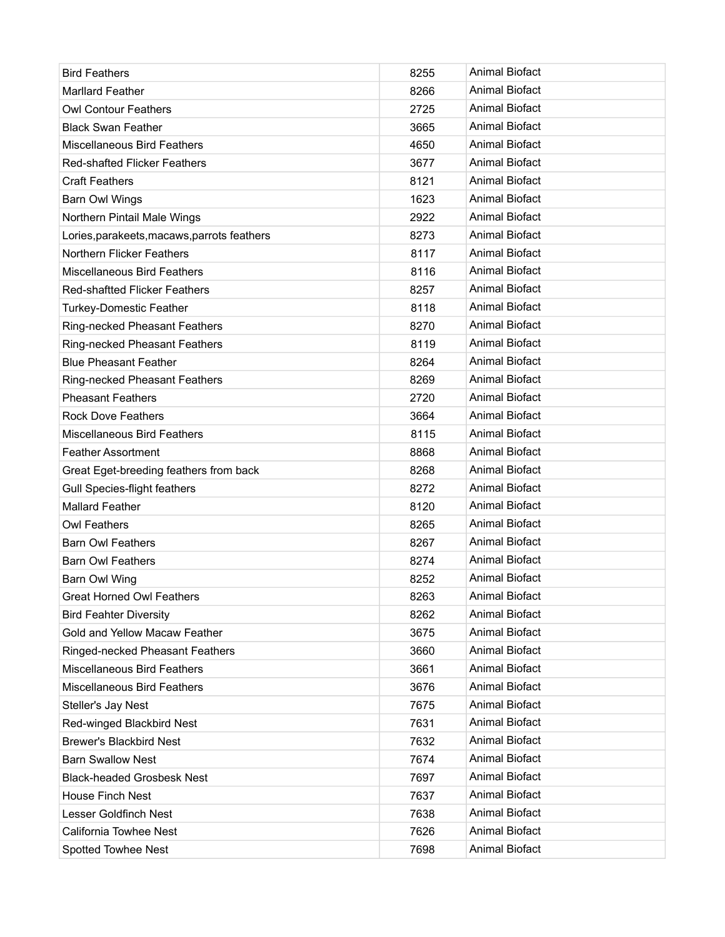| <b>Bird Feathers</b>                        | 8255 | <b>Animal Biofact</b> |
|---------------------------------------------|------|-----------------------|
| <b>Marllard Feather</b>                     | 8266 | <b>Animal Biofact</b> |
| <b>Owl Contour Feathers</b>                 | 2725 | <b>Animal Biofact</b> |
| <b>Black Swan Feather</b>                   | 3665 | <b>Animal Biofact</b> |
| <b>Miscellaneous Bird Feathers</b>          | 4650 | <b>Animal Biofact</b> |
| <b>Red-shafted Flicker Feathers</b>         | 3677 | <b>Animal Biofact</b> |
| <b>Craft Feathers</b>                       | 8121 | <b>Animal Biofact</b> |
| Barn Owl Wings                              | 1623 | <b>Animal Biofact</b> |
| Northern Pintail Male Wings                 | 2922 | Animal Biofact        |
| Lories, parakeets, macaws, parrots feathers | 8273 | <b>Animal Biofact</b> |
| Northern Flicker Feathers                   | 8117 | <b>Animal Biofact</b> |
| <b>Miscellaneous Bird Feathers</b>          | 8116 | <b>Animal Biofact</b> |
| <b>Red-shaftted Flicker Feathers</b>        | 8257 | <b>Animal Biofact</b> |
| <b>Turkey-Domestic Feather</b>              | 8118 | <b>Animal Biofact</b> |
| Ring-necked Pheasant Feathers               | 8270 | <b>Animal Biofact</b> |
| Ring-necked Pheasant Feathers               | 8119 | <b>Animal Biofact</b> |
| <b>Blue Pheasant Feather</b>                | 8264 | <b>Animal Biofact</b> |
| <b>Ring-necked Pheasant Feathers</b>        | 8269 | <b>Animal Biofact</b> |
| <b>Pheasant Feathers</b>                    | 2720 | <b>Animal Biofact</b> |
| <b>Rock Dove Feathers</b>                   | 3664 | <b>Animal Biofact</b> |
| <b>Miscellaneous Bird Feathers</b>          | 8115 | <b>Animal Biofact</b> |
| <b>Feather Assortment</b>                   | 8868 | <b>Animal Biofact</b> |
| Great Eget-breeding feathers from back      | 8268 | <b>Animal Biofact</b> |
| Gull Species-flight feathers                | 8272 | <b>Animal Biofact</b> |
| <b>Mallard Feather</b>                      | 8120 | <b>Animal Biofact</b> |
| <b>Owl Feathers</b>                         | 8265 | <b>Animal Biofact</b> |
| <b>Barn Owl Feathers</b>                    | 8267 | <b>Animal Biofact</b> |
| <b>Barn Owl Feathers</b>                    | 8274 | <b>Animal Biofact</b> |
| Barn Owl Wing                               | 8252 | <b>Animal Biofact</b> |
| Great Horned Owl Feathers                   | 8263 | Animal Biofact        |
| <b>Bird Feahter Diversity</b>               | 8262 | Animal Biofact        |
| Gold and Yellow Macaw Feather               | 3675 | Animal Biofact        |
| Ringed-necked Pheasant Feathers             | 3660 | Animal Biofact        |
| <b>Miscellaneous Bird Feathers</b>          | 3661 | Animal Biofact        |
| <b>Miscellaneous Bird Feathers</b>          | 3676 | <b>Animal Biofact</b> |
| Steller's Jay Nest                          | 7675 | Animal Biofact        |
| Red-winged Blackbird Nest                   | 7631 | <b>Animal Biofact</b> |
| <b>Brewer's Blackbird Nest</b>              | 7632 | Animal Biofact        |
| <b>Barn Swallow Nest</b>                    | 7674 | <b>Animal Biofact</b> |
| <b>Black-headed Grosbesk Nest</b>           | 7697 | Animal Biofact        |
| <b>House Finch Nest</b>                     | 7637 | Animal Biofact        |
| Lesser Goldfinch Nest                       | 7638 | Animal Biofact        |
| California Towhee Nest                      | 7626 | Animal Biofact        |
| Spotted Towhee Nest                         | 7698 | Animal Biofact        |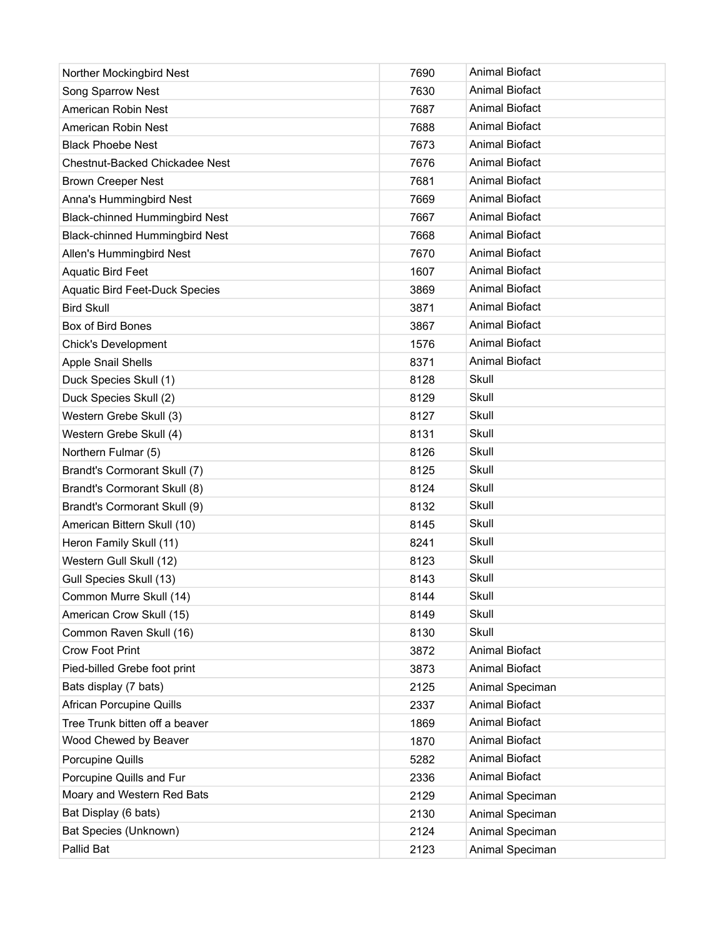| Norther Mockingbird Nest              | 7690 | <b>Animal Biofact</b> |
|---------------------------------------|------|-----------------------|
| Song Sparrow Nest                     | 7630 | <b>Animal Biofact</b> |
| American Robin Nest                   | 7687 | <b>Animal Biofact</b> |
| American Robin Nest                   | 7688 | <b>Animal Biofact</b> |
| <b>Black Phoebe Nest</b>              | 7673 | <b>Animal Biofact</b> |
| <b>Chestnut-Backed Chickadee Nest</b> | 7676 | <b>Animal Biofact</b> |
| <b>Brown Creeper Nest</b>             | 7681 | <b>Animal Biofact</b> |
| Anna's Hummingbird Nest               | 7669 | <b>Animal Biofact</b> |
| <b>Black-chinned Hummingbird Nest</b> | 7667 | <b>Animal Biofact</b> |
| <b>Black-chinned Hummingbird Nest</b> | 7668 | Animal Biofact        |
| Allen's Hummingbird Nest              | 7670 | <b>Animal Biofact</b> |
| <b>Aquatic Bird Feet</b>              | 1607 | <b>Animal Biofact</b> |
| <b>Aquatic Bird Feet-Duck Species</b> | 3869 | <b>Animal Biofact</b> |
| <b>Bird Skull</b>                     | 3871 | <b>Animal Biofact</b> |
| Box of Bird Bones                     | 3867 | <b>Animal Biofact</b> |
| <b>Chick's Development</b>            | 1576 | <b>Animal Biofact</b> |
| Apple Snail Shells                    | 8371 | <b>Animal Biofact</b> |
| Duck Species Skull (1)                | 8128 | Skull                 |
| Duck Species Skull (2)                | 8129 | Skull                 |
| Western Grebe Skull (3)               | 8127 | Skull                 |
| Western Grebe Skull (4)               | 8131 | Skull                 |
| Northern Fulmar (5)                   | 8126 | Skull                 |
| Brandt's Cormorant Skull (7)          | 8125 | Skull                 |
| Brandt's Cormorant Skull (8)          | 8124 | Skull                 |
| Brandt's Cormorant Skull (9)          | 8132 | Skull                 |
| American Bittern Skull (10)           | 8145 | Skull                 |
| Heron Family Skull (11)               | 8241 | Skull                 |
| Western Gull Skull (12)               | 8123 | Skull                 |
| Gull Species Skull (13)               | 8143 | Skull                 |
| Common Murre Skull (14)               | 8144 | Skull                 |
| American Crow Skull (15)              | 8149 | Skull                 |
| Common Raven Skull (16)               | 8130 | Skull                 |
| Crow Foot Print                       | 3872 | <b>Animal Biofact</b> |
| Pied-billed Grebe foot print          | 3873 | <b>Animal Biofact</b> |
| Bats display (7 bats)                 | 2125 | Animal Speciman       |
| <b>African Porcupine Quills</b>       | 2337 | <b>Animal Biofact</b> |
| Tree Trunk bitten off a beaver        | 1869 | <b>Animal Biofact</b> |
| Wood Chewed by Beaver                 | 1870 | Animal Biofact        |
| Porcupine Quills                      | 5282 | Animal Biofact        |
| Porcupine Quills and Fur              | 2336 | Animal Biofact        |
| Moary and Western Red Bats            | 2129 | Animal Speciman       |
| Bat Display (6 bats)                  | 2130 | Animal Speciman       |
| Bat Species (Unknown)                 | 2124 | Animal Speciman       |
| Pallid Bat                            | 2123 | Animal Speciman       |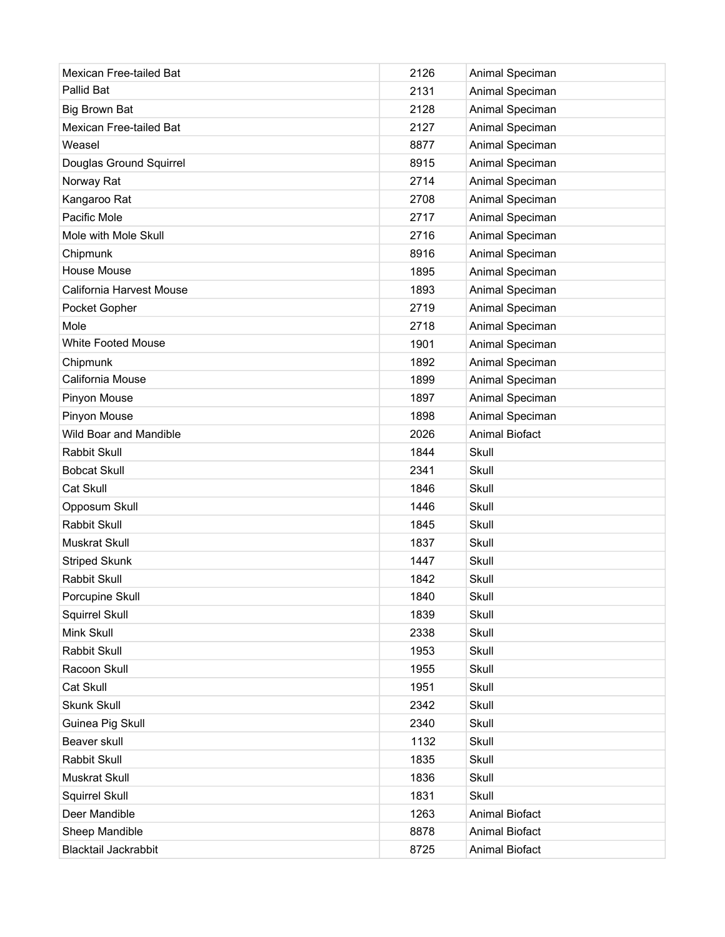| Pallid Bat<br>2131<br>Animal Speciman                   |  |
|---------------------------------------------------------|--|
|                                                         |  |
| <b>Big Brown Bat</b><br>2128<br>Animal Speciman         |  |
| Mexican Free-tailed Bat<br>Animal Speciman<br>2127      |  |
| Weasel<br>8877<br>Animal Speciman                       |  |
| Animal Speciman<br>Douglas Ground Squirrel<br>8915      |  |
| Norway Rat<br>2714<br>Animal Speciman                   |  |
| Kangaroo Rat<br>Animal Speciman<br>2708                 |  |
| Pacific Mole<br>2717<br>Animal Speciman                 |  |
| Mole with Mole Skull<br>2716<br>Animal Speciman         |  |
| Chipmunk<br>8916<br>Animal Speciman                     |  |
| <b>House Mouse</b><br>1895<br>Animal Speciman           |  |
| California Harvest Mouse<br>1893<br>Animal Speciman     |  |
| Pocket Gopher<br>2719<br>Animal Speciman                |  |
| Mole<br>2718<br>Animal Speciman                         |  |
| <b>White Footed Mouse</b><br>1901<br>Animal Speciman    |  |
| Chipmunk<br>1892<br>Animal Speciman                     |  |
| California Mouse<br>1899<br>Animal Speciman             |  |
| Pinyon Mouse<br>1897<br>Animal Speciman                 |  |
| Pinyon Mouse<br>1898<br>Animal Speciman                 |  |
| Wild Boar and Mandible<br>2026<br><b>Animal Biofact</b> |  |
| Rabbit Skull<br>1844<br>Skull                           |  |
| <b>Bobcat Skull</b><br>2341<br>Skull                    |  |
| Cat Skull<br>1846<br>Skull                              |  |
| 1446<br>Skull<br>Opposum Skull                          |  |
| Rabbit Skull<br>1845<br>Skull                           |  |
| 1837<br><b>Muskrat Skull</b><br>Skull                   |  |
| Striped Skunk<br>1447<br>Skull                          |  |
| Rabbit Skull<br>1842<br>Skull                           |  |
| Porcupine Skull<br>1840<br>Skull                        |  |
| Squirrel Skull<br>1839<br>Skull                         |  |
| Mink Skull<br>2338<br>Skull                             |  |
| Rabbit Skull<br>1953<br>Skull                           |  |
| Racoon Skull<br>1955<br>Skull                           |  |
| Cat Skull<br>1951<br>Skull                              |  |
| Skunk Skull<br>2342<br>Skull                            |  |
| Guinea Pig Skull<br>2340<br>Skull                       |  |
| Beaver skull<br>1132<br>Skull                           |  |
| Rabbit Skull<br>1835<br>Skull                           |  |
| 1836<br>Muskrat Skull<br>Skull                          |  |
| Squirrel Skull<br>1831<br>Skull                         |  |
| Deer Mandible<br>1263<br>Animal Biofact                 |  |
| Sheep Mandible<br>8878<br>Animal Biofact                |  |
| Blacktail Jackrabbit<br>8725<br>Animal Biofact          |  |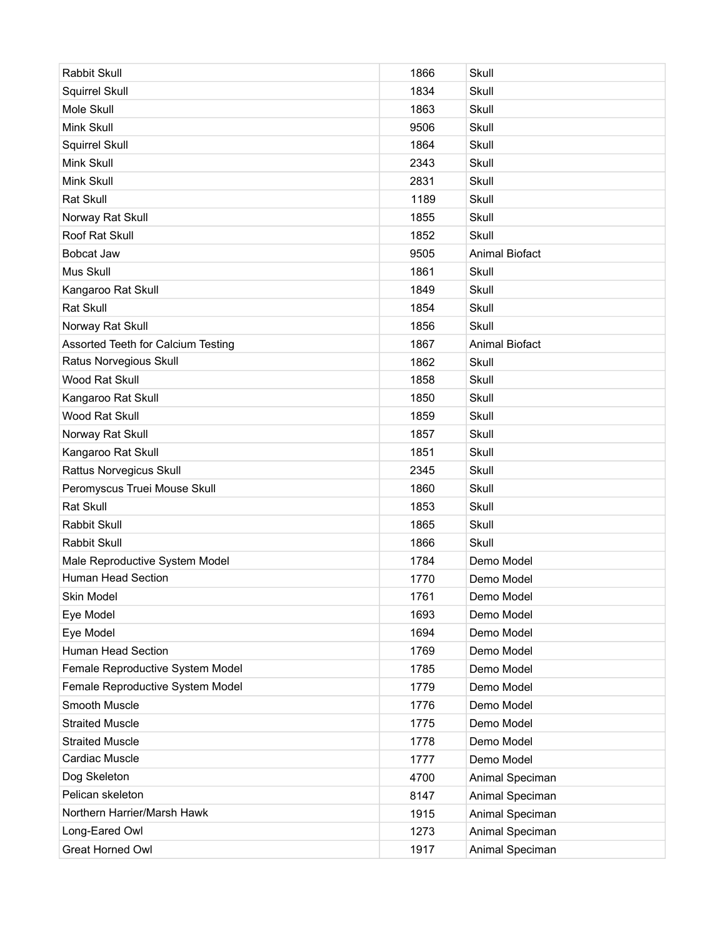| Rabbit Skull                       | 1866 | Skull                 |
|------------------------------------|------|-----------------------|
| Squirrel Skull                     | 1834 | Skull                 |
| Mole Skull                         | 1863 | Skull                 |
| Mink Skull                         | 9506 | Skull                 |
| Squirrel Skull                     | 1864 | Skull                 |
| Mink Skull                         | 2343 | Skull                 |
| Mink Skull                         | 2831 | Skull                 |
| Rat Skull                          | 1189 | Skull                 |
| Norway Rat Skull                   | 1855 | Skull                 |
| Roof Rat Skull                     | 1852 | Skull                 |
| Bobcat Jaw                         | 9505 | <b>Animal Biofact</b> |
| Mus Skull                          | 1861 | Skull                 |
| Kangaroo Rat Skull                 | 1849 | Skull                 |
| Rat Skull                          | 1854 | Skull                 |
| Norway Rat Skull                   | 1856 | Skull                 |
| Assorted Teeth for Calcium Testing | 1867 | <b>Animal Biofact</b> |
| Ratus Norvegious Skull             | 1862 | Skull                 |
| Wood Rat Skull                     | 1858 | Skull                 |
| Kangaroo Rat Skull                 | 1850 | Skull                 |
| Wood Rat Skull                     | 1859 | Skull                 |
| Norway Rat Skull                   | 1857 | Skull                 |
| Kangaroo Rat Skull                 | 1851 | Skull                 |
| Rattus Norvegicus Skull            | 2345 | Skull                 |
| Peromyscus Truei Mouse Skull       | 1860 | Skull                 |
| Rat Skull                          | 1853 | Skull                 |
| Rabbit Skull                       | 1865 | Skull                 |
| Rabbit Skull                       | 1866 | Skull                 |
| Male Reproductive System Model     | 1784 | Demo Model            |
| Human Head Section                 | 1770 | Demo Model            |
| Skin Model                         | 1761 | Demo Model            |
| Eye Model                          | 1693 | Demo Model            |
| Eye Model                          | 1694 | Demo Model            |
| <b>Human Head Section</b>          | 1769 | Demo Model            |
| Female Reproductive System Model   | 1785 | Demo Model            |
| Female Reproductive System Model   | 1779 | Demo Model            |
| Smooth Muscle                      | 1776 | Demo Model            |
| <b>Straited Muscle</b>             | 1775 | Demo Model            |
| <b>Straited Muscle</b>             | 1778 | Demo Model            |
| Cardiac Muscle                     | 1777 | Demo Model            |
| Dog Skeleton                       | 4700 | Animal Speciman       |
| Pelican skeleton                   | 8147 | Animal Speciman       |
| Northern Harrier/Marsh Hawk        | 1915 | Animal Speciman       |
| Long-Eared Owl                     | 1273 | Animal Speciman       |
| <b>Great Horned Owl</b>            | 1917 | Animal Speciman       |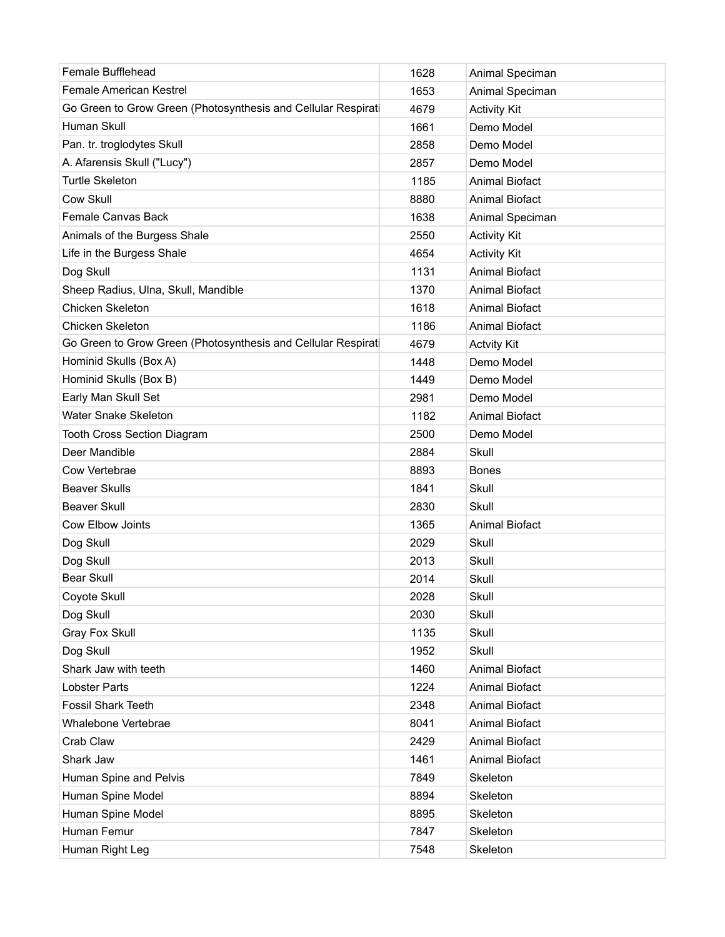| Female Bufflehead                                            | 1628 | Animal Speciman       |
|--------------------------------------------------------------|------|-----------------------|
| <b>Female American Kestrel</b>                               | 1653 | Animal Speciman       |
| Go Green to Grow Green (Photosynthesis and Cellular Respirat | 4679 | <b>Activity Kit</b>   |
| Human Skull                                                  | 1661 | Demo Model            |
| Pan. tr. troglodytes Skull                                   | 2858 | Demo Model            |
| A. Afarensis Skull ("Lucy")                                  | 2857 | Demo Model            |
| <b>Turtle Skeleton</b>                                       | 1185 | <b>Animal Biofact</b> |
| Cow Skull                                                    | 8880 | <b>Animal Biofact</b> |
| Female Canvas Back                                           | 1638 | Animal Speciman       |
| Animals of the Burgess Shale                                 | 2550 | <b>Activity Kit</b>   |
| Life in the Burgess Shale                                    | 4654 | <b>Activity Kit</b>   |
| Dog Skull                                                    | 1131 | <b>Animal Biofact</b> |
| Sheep Radius, Ulna, Skull, Mandible                          | 1370 | <b>Animal Biofact</b> |
| Chicken Skeleton                                             | 1618 | <b>Animal Biofact</b> |
| <b>Chicken Skeleton</b>                                      | 1186 | <b>Animal Biofact</b> |
| Go Green to Grow Green (Photosynthesis and Cellular Respirat | 4679 | <b>Actvity Kit</b>    |
| Hominid Skulls (Box A)                                       | 1448 | Demo Model            |
| Hominid Skulls (Box B)                                       | 1449 | Demo Model            |
| Early Man Skull Set                                          | 2981 | Demo Model            |
| Water Snake Skeleton                                         | 1182 | <b>Animal Biofact</b> |
| <b>Tooth Cross Section Diagram</b>                           | 2500 | Demo Model            |
| Deer Mandible                                                | 2884 | Skull                 |
| Cow Vertebrae                                                | 8893 | <b>Bones</b>          |
| <b>Beaver Skulls</b>                                         | 1841 | Skull                 |
| <b>Beaver Skull</b>                                          | 2830 | Skull                 |
| Cow Elbow Joints                                             | 1365 | <b>Animal Biofact</b> |
| Dog Skull                                                    | 2029 | Skull                 |
| Dog Skull                                                    | 2013 | Skull                 |
| <b>Bear Skull</b>                                            | 2014 | Skull                 |
| Coyote Skull                                                 | 2028 | Skull                 |
| Dog Skull                                                    | 2030 | Skull                 |
| Gray Fox Skull                                               | 1135 | Skull                 |
| Dog Skull                                                    | 1952 | Skull                 |
| Shark Jaw with teeth                                         | 1460 | Animal Biofact        |
| <b>Lobster Parts</b>                                         | 1224 | <b>Animal Biofact</b> |
| <b>Fossil Shark Teeth</b>                                    | 2348 | Animal Biofact        |
| Whalebone Vertebrae                                          | 8041 | <b>Animal Biofact</b> |
| Crab Claw                                                    | 2429 | Animal Biofact        |
| Shark Jaw                                                    | 1461 | Animal Biofact        |
| Human Spine and Pelvis                                       | 7849 | Skeleton              |
| Human Spine Model                                            | 8894 | Skeleton              |
| Human Spine Model                                            | 8895 | Skeleton              |
| Human Femur                                                  | 7847 | Skeleton              |
| Human Right Leg                                              | 7548 | Skeleton              |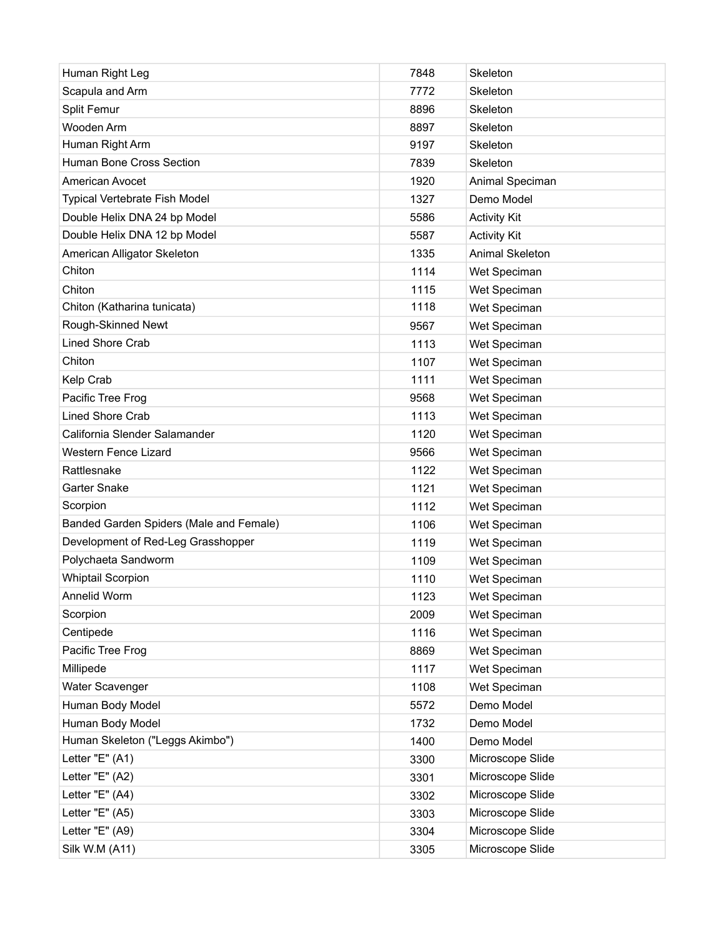| Human Right Leg                         | 7848 | Skeleton            |
|-----------------------------------------|------|---------------------|
| Scapula and Arm                         | 7772 | Skeleton            |
| Split Femur                             | 8896 | Skeleton            |
| Wooden Arm                              | 8897 | Skeleton            |
| Human Right Arm                         | 9197 | Skeleton            |
| Human Bone Cross Section                | 7839 | Skeleton            |
| American Avocet                         | 1920 | Animal Speciman     |
| <b>Typical Vertebrate Fish Model</b>    | 1327 | Demo Model          |
| Double Helix DNA 24 bp Model            | 5586 | <b>Activity Kit</b> |
| Double Helix DNA 12 bp Model            | 5587 | <b>Activity Kit</b> |
| American Alligator Skeleton             | 1335 | Animal Skeleton     |
| Chiton                                  | 1114 | Wet Speciman        |
| Chiton                                  | 1115 | Wet Speciman        |
| Chiton (Katharina tunicata)             | 1118 | Wet Speciman        |
| Rough-Skinned Newt                      | 9567 | Wet Speciman        |
| <b>Lined Shore Crab</b>                 | 1113 | Wet Speciman        |
| Chiton                                  | 1107 | Wet Speciman        |
| Kelp Crab                               | 1111 | Wet Speciman        |
| Pacific Tree Frog                       | 9568 | Wet Speciman        |
| <b>Lined Shore Crab</b>                 | 1113 | Wet Speciman        |
| California Slender Salamander           | 1120 | Wet Speciman        |
| <b>Western Fence Lizard</b>             | 9566 | Wet Speciman        |
| Rattlesnake                             | 1122 | Wet Speciman        |
| Garter Snake                            | 1121 | Wet Speciman        |
| Scorpion                                | 1112 | Wet Speciman        |
| Banded Garden Spiders (Male and Female) | 1106 | Wet Speciman        |
| Development of Red-Leg Grasshopper      | 1119 | Wet Speciman        |
| Polychaeta Sandworm                     | 1109 | Wet Speciman        |
| <b>Whiptail Scorpion</b>                | 1110 | Wet Speciman        |
| Annelid Worm                            | 1123 | Wet Speciman        |
| Scorpion                                | 2009 | Wet Speciman        |
| Centipede                               | 1116 | Wet Speciman        |
| Pacific Tree Frog                       | 8869 | Wet Speciman        |
| Millipede                               | 1117 | Wet Speciman        |
| Water Scavenger                         | 1108 | Wet Speciman        |
| Human Body Model                        | 5572 | Demo Model          |
| Human Body Model                        | 1732 | Demo Model          |
| Human Skeleton ("Leggs Akimbo")         | 1400 | Demo Model          |
| Letter "E" (A1)                         | 3300 | Microscope Slide    |
| Letter "E" (A2)                         | 3301 | Microscope Slide    |
| Letter "E" (A4)                         | 3302 | Microscope Slide    |
| Letter "E" (A5)                         | 3303 | Microscope Slide    |
| Letter "E" (A9)                         | 3304 | Microscope Slide    |
| Silk W.M (A11)                          | 3305 | Microscope Slide    |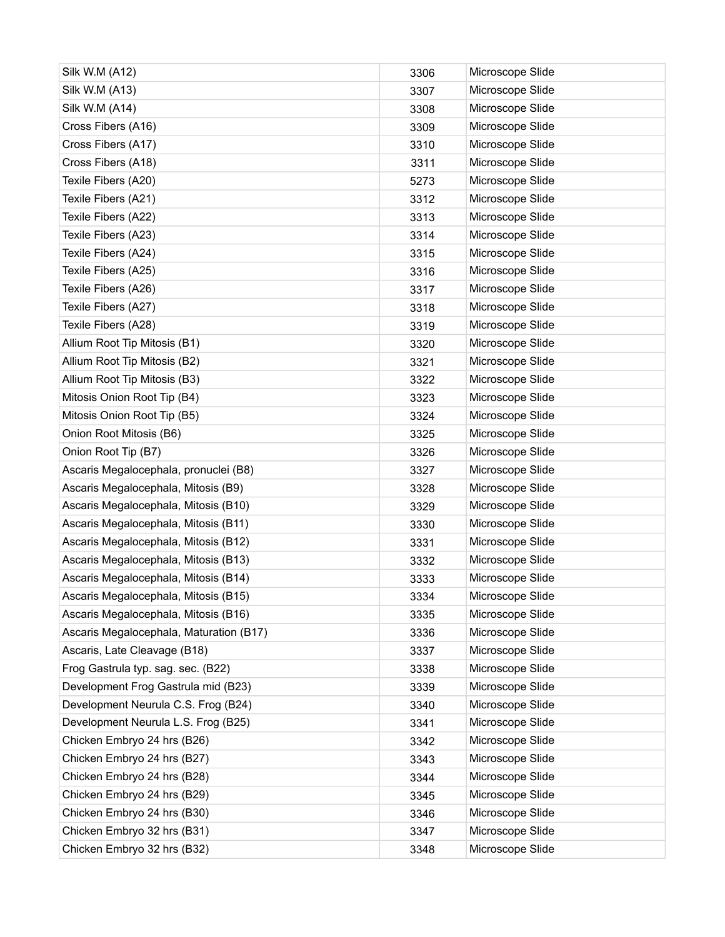| Silk W.M (A12)                          | 3306 | Microscope Slide |
|-----------------------------------------|------|------------------|
| Silk W.M (A13)                          | 3307 | Microscope Slide |
| Silk W.M (A14)                          | 3308 | Microscope Slide |
| Cross Fibers (A16)                      | 3309 | Microscope Slide |
| Cross Fibers (A17)                      | 3310 | Microscope Slide |
| Cross Fibers (A18)                      | 3311 | Microscope Slide |
| Texile Fibers (A20)                     | 5273 | Microscope Slide |
| Texile Fibers (A21)                     | 3312 | Microscope Slide |
| Texile Fibers (A22)                     | 3313 | Microscope Slide |
| Texile Fibers (A23)                     | 3314 | Microscope Slide |
| Texile Fibers (A24)                     | 3315 | Microscope Slide |
| Texile Fibers (A25)                     | 3316 | Microscope Slide |
| Texile Fibers (A26)                     | 3317 | Microscope Slide |
| Texile Fibers (A27)                     | 3318 | Microscope Slide |
| Texile Fibers (A28)                     | 3319 | Microscope Slide |
| Allium Root Tip Mitosis (B1)            | 3320 | Microscope Slide |
| Allium Root Tip Mitosis (B2)            | 3321 | Microscope Slide |
| Allium Root Tip Mitosis (B3)            | 3322 | Microscope Slide |
| Mitosis Onion Root Tip (B4)             | 3323 | Microscope Slide |
| Mitosis Onion Root Tip (B5)             | 3324 | Microscope Slide |
| Onion Root Mitosis (B6)                 | 3325 | Microscope Slide |
| Onion Root Tip (B7)                     | 3326 | Microscope Slide |
| Ascaris Megalocephala, pronuclei (B8)   | 3327 | Microscope Slide |
| Ascaris Megalocephala, Mitosis (B9)     | 3328 | Microscope Slide |
| Ascaris Megalocephala, Mitosis (B10)    | 3329 | Microscope Slide |
| Ascaris Megalocephala, Mitosis (B11)    | 3330 | Microscope Slide |
| Ascaris Megalocephala, Mitosis (B12)    | 3331 | Microscope Slide |
| Ascaris Megalocephala, Mitosis (B13)    | 3332 | Microscope Slide |
| Ascaris Megalocephala, Mitosis (B14)    | 3333 | Microscope Slide |
| Ascaris Megalocephala, Mitosis (B15)    | 3334 | Microscope Slide |
| Ascaris Megalocephala, Mitosis (B16)    | 3335 | Microscope Slide |
| Ascaris Megalocephala, Maturation (B17) | 3336 | Microscope Slide |
| Ascaris, Late Cleavage (B18)            | 3337 | Microscope Slide |
| Frog Gastrula typ. sag. sec. (B22)      | 3338 | Microscope Slide |
| Development Frog Gastrula mid (B23)     | 3339 | Microscope Slide |
| Development Neurula C.S. Frog (B24)     | 3340 | Microscope Slide |
| Development Neurula L.S. Frog (B25)     | 3341 | Microscope Slide |
| Chicken Embryo 24 hrs (B26)             | 3342 | Microscope Slide |
| Chicken Embryo 24 hrs (B27)             | 3343 | Microscope Slide |
| Chicken Embryo 24 hrs (B28)             | 3344 | Microscope Slide |
| Chicken Embryo 24 hrs (B29)             | 3345 | Microscope Slide |
| Chicken Embryo 24 hrs (B30)             | 3346 | Microscope Slide |
| Chicken Embryo 32 hrs (B31)             | 3347 | Microscope Slide |
| Chicken Embryo 32 hrs (B32)             | 3348 | Microscope Slide |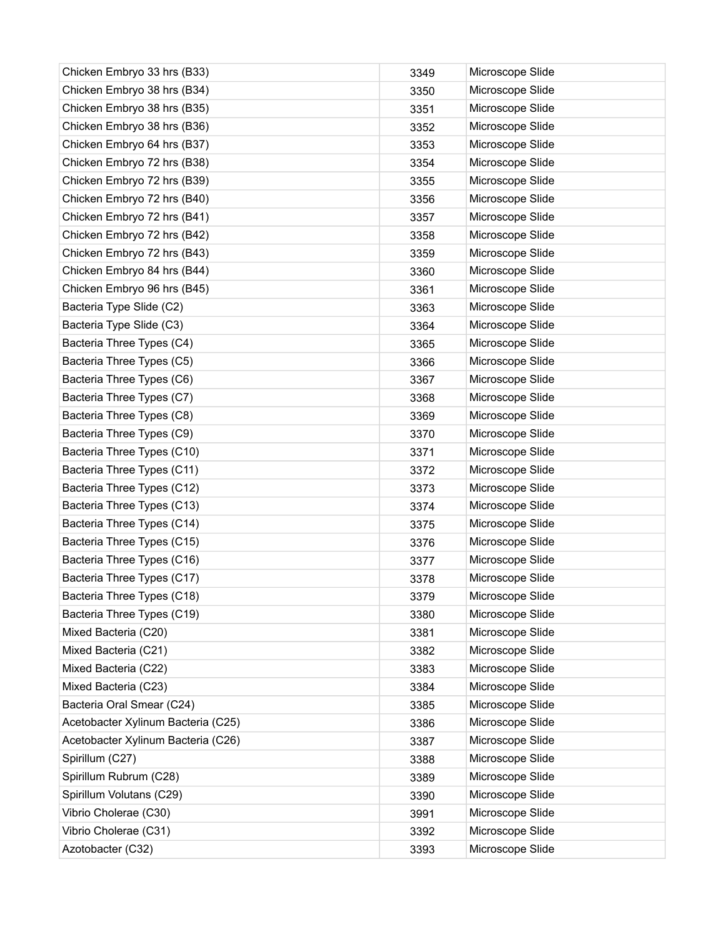| Chicken Embryo 33 hrs (B33)        | 3349 | Microscope Slide |
|------------------------------------|------|------------------|
| Chicken Embryo 38 hrs (B34)        | 3350 | Microscope Slide |
| Chicken Embryo 38 hrs (B35)        | 3351 | Microscope Slide |
| Chicken Embryo 38 hrs (B36)        | 3352 | Microscope Slide |
| Chicken Embryo 64 hrs (B37)        | 3353 | Microscope Slide |
| Chicken Embryo 72 hrs (B38)        | 3354 | Microscope Slide |
| Chicken Embryo 72 hrs (B39)        | 3355 | Microscope Slide |
| Chicken Embryo 72 hrs (B40)        | 3356 | Microscope Slide |
| Chicken Embryo 72 hrs (B41)        | 3357 | Microscope Slide |
| Chicken Embryo 72 hrs (B42)        | 3358 | Microscope Slide |
| Chicken Embryo 72 hrs (B43)        | 3359 | Microscope Slide |
| Chicken Embryo 84 hrs (B44)        | 3360 | Microscope Slide |
| Chicken Embryo 96 hrs (B45)        | 3361 | Microscope Slide |
| Bacteria Type Slide (C2)           | 3363 | Microscope Slide |
| Bacteria Type Slide (C3)           | 3364 | Microscope Slide |
| Bacteria Three Types (C4)          | 3365 | Microscope Slide |
| Bacteria Three Types (C5)          | 3366 | Microscope Slide |
| Bacteria Three Types (C6)          | 3367 | Microscope Slide |
| Bacteria Three Types (C7)          | 3368 | Microscope Slide |
| Bacteria Three Types (C8)          | 3369 | Microscope Slide |
| Bacteria Three Types (C9)          | 3370 | Microscope Slide |
| Bacteria Three Types (C10)         | 3371 | Microscope Slide |
| Bacteria Three Types (C11)         | 3372 | Microscope Slide |
| Bacteria Three Types (C12)         | 3373 | Microscope Slide |
| Bacteria Three Types (C13)         | 3374 | Microscope Slide |
| Bacteria Three Types (C14)         | 3375 | Microscope Slide |
| Bacteria Three Types (C15)         | 3376 | Microscope Slide |
| Bacteria Three Types (C16)         | 3377 | Microscope Slide |
| Bacteria Three Types (C17)         | 3378 | Microscope Slide |
| Bacteria Three Types (C18)         | 3379 | Microscope Slide |
| Bacteria Three Types (C19)         | 3380 | Microscope Slide |
| Mixed Bacteria (C20)               | 3381 | Microscope Slide |
| Mixed Bacteria (C21)               | 3382 | Microscope Slide |
| Mixed Bacteria (C22)               | 3383 | Microscope Slide |
| Mixed Bacteria (C23)               | 3384 | Microscope Slide |
| Bacteria Oral Smear (C24)          | 3385 | Microscope Slide |
| Acetobacter Xylinum Bacteria (C25) | 3386 | Microscope Slide |
| Acetobacter Xylinum Bacteria (C26) | 3387 | Microscope Slide |
| Spirillum (C27)                    | 3388 | Microscope Slide |
| Spirillum Rubrum (C28)             | 3389 | Microscope Slide |
| Spirillum Volutans (C29)           | 3390 | Microscope Slide |
| Vibrio Cholerae (C30)              | 3991 | Microscope Slide |
| Vibrio Cholerae (C31)              | 3392 | Microscope Slide |
| Azotobacter (C32)                  | 3393 | Microscope Slide |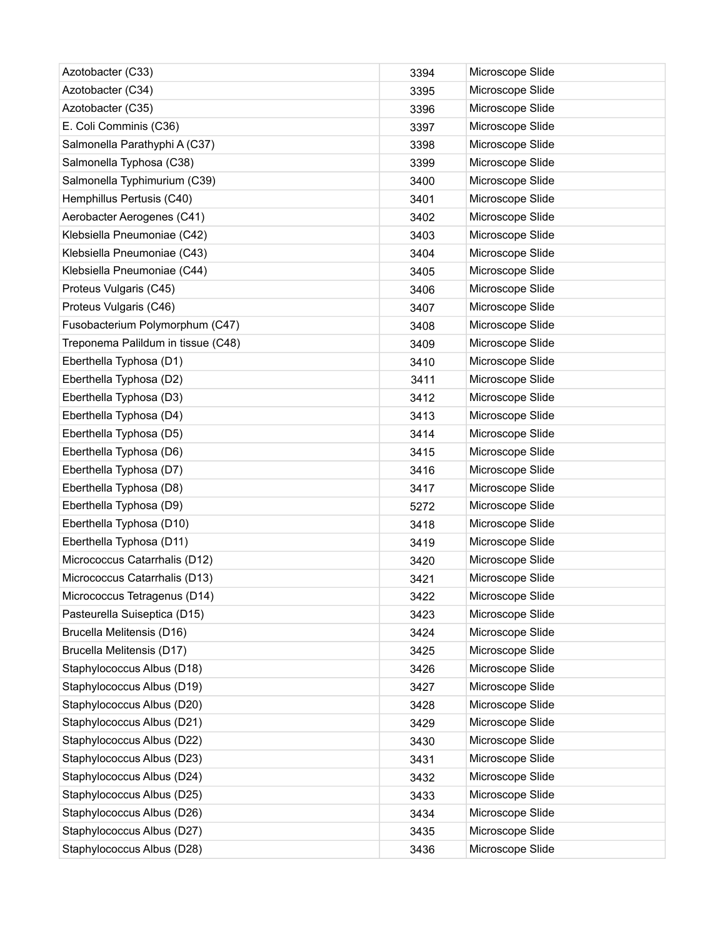| Azotobacter (C33)                  | 3394 | Microscope Slide |
|------------------------------------|------|------------------|
| Azotobacter (C34)                  | 3395 | Microscope Slide |
| Azotobacter (C35)                  | 3396 | Microscope Slide |
| E. Coli Comminis (C36)             | 3397 | Microscope Slide |
| Salmonella Parathyphi A (C37)      | 3398 | Microscope Slide |
| Salmonella Typhosa (C38)           | 3399 | Microscope Slide |
| Salmonella Typhimurium (C39)       | 3400 | Microscope Slide |
| Hemphillus Pertusis (C40)          | 3401 | Microscope Slide |
| Aerobacter Aerogenes (C41)         | 3402 | Microscope Slide |
| Klebsiella Pneumoniae (C42)        | 3403 | Microscope Slide |
| Klebsiella Pneumoniae (C43)        | 3404 | Microscope Slide |
| Klebsiella Pneumoniae (C44)        | 3405 | Microscope Slide |
| Proteus Vulgaris (C45)             | 3406 | Microscope Slide |
| Proteus Vulgaris (C46)             | 3407 | Microscope Slide |
| Fusobacterium Polymorphum (C47)    | 3408 | Microscope Slide |
| Treponema Palildum in tissue (C48) | 3409 | Microscope Slide |
| Eberthella Typhosa (D1)            | 3410 | Microscope Slide |
| Eberthella Typhosa (D2)            | 3411 | Microscope Slide |
| Eberthella Typhosa (D3)            | 3412 | Microscope Slide |
| Eberthella Typhosa (D4)            | 3413 | Microscope Slide |
| Eberthella Typhosa (D5)            | 3414 | Microscope Slide |
| Eberthella Typhosa (D6)            | 3415 | Microscope Slide |
| Eberthella Typhosa (D7)            | 3416 | Microscope Slide |
| Eberthella Typhosa (D8)            | 3417 | Microscope Slide |
| Eberthella Typhosa (D9)            | 5272 | Microscope Slide |
| Eberthella Typhosa (D10)           | 3418 | Microscope Slide |
| Eberthella Typhosa (D11)           | 3419 | Microscope Slide |
| Micrococcus Catarrhalis (D12)      | 3420 | Microscope Slide |
| Micrococcus Catarrhalis (D13)      | 3421 | Microscope Slide |
| Micrococcus Tetragenus (D14)       | 3422 | Microscope Slide |
| Pasteurella Suiseptica (D15)       | 3423 | Microscope Slide |
| Brucella Melitensis (D16)          | 3424 | Microscope Slide |
| Brucella Melitensis (D17)          | 3425 | Microscope Slide |
| Staphylococcus Albus (D18)         | 3426 | Microscope Slide |
| Staphylococcus Albus (D19)         | 3427 | Microscope Slide |
| Staphylococcus Albus (D20)         | 3428 | Microscope Slide |
| Staphylococcus Albus (D21)         | 3429 | Microscope Slide |
| Staphylococcus Albus (D22)         | 3430 | Microscope Slide |
| Staphylococcus Albus (D23)         | 3431 | Microscope Slide |
| Staphylococcus Albus (D24)         | 3432 | Microscope Slide |
| Staphylococcus Albus (D25)         | 3433 | Microscope Slide |
| Staphylococcus Albus (D26)         | 3434 | Microscope Slide |
| Staphylococcus Albus (D27)         | 3435 | Microscope Slide |
| Staphylococcus Albus (D28)         | 3436 | Microscope Slide |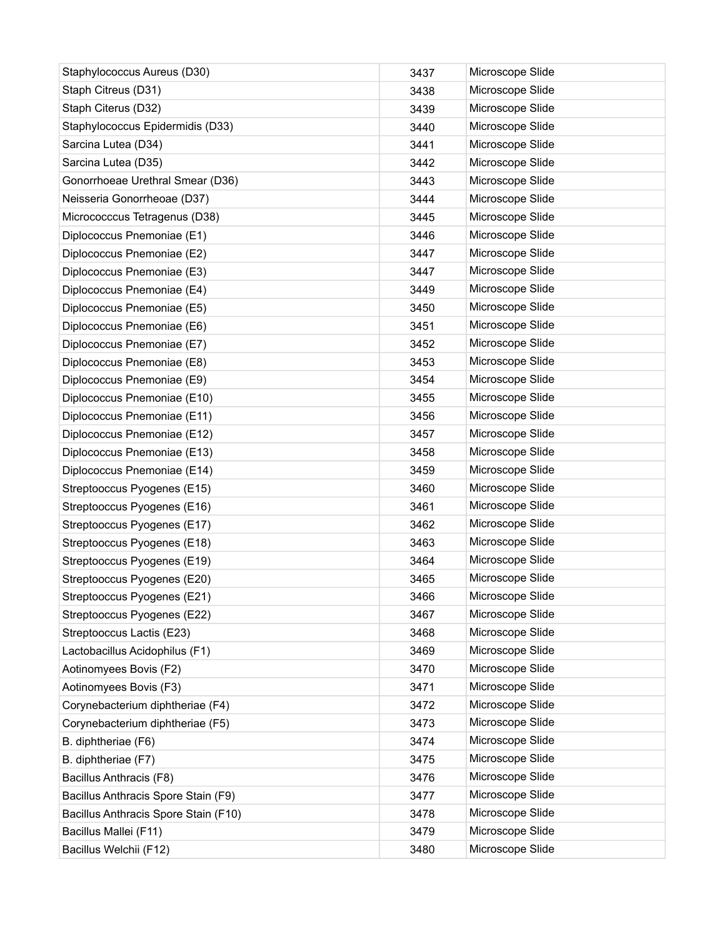| Staphylococcus Aureus (D30)          | 3437 | Microscope Slide |
|--------------------------------------|------|------------------|
| Staph Citreus (D31)                  | 3438 | Microscope Slide |
| Staph Citerus (D32)                  | 3439 | Microscope Slide |
| Staphylococcus Epidermidis (D33)     | 3440 | Microscope Slide |
| Sarcina Lutea (D34)                  | 3441 | Microscope Slide |
| Sarcina Lutea (D35)                  | 3442 | Microscope Slide |
| Gonorrhoeae Urethral Smear (D36)     | 3443 | Microscope Slide |
| Neisseria Gonorrheoae (D37)          | 3444 | Microscope Slide |
| Micrococccus Tetragenus (D38)        | 3445 | Microscope Slide |
| Diplococcus Pnemoniae (E1)           | 3446 | Microscope Slide |
| Diplococcus Pnemoniae (E2)           | 3447 | Microscope Slide |
| Diplococcus Pnemoniae (E3)           | 3447 | Microscope Slide |
| Diplococcus Pnemoniae (E4)           | 3449 | Microscope Slide |
| Diplococcus Pnemoniae (E5)           | 3450 | Microscope Slide |
| Diplococcus Pnemoniae (E6)           | 3451 | Microscope Slide |
| Diplococcus Pnemoniae (E7)           | 3452 | Microscope Slide |
| Diplococcus Pnemoniae (E8)           | 3453 | Microscope Slide |
| Diplococcus Pnemoniae (E9)           | 3454 | Microscope Slide |
| Diplococcus Pnemoniae (E10)          | 3455 | Microscope Slide |
| Diplococcus Pnemoniae (E11)          | 3456 | Microscope Slide |
| Diplococcus Pnemoniae (E12)          | 3457 | Microscope Slide |
| Diplococcus Pnemoniae (E13)          | 3458 | Microscope Slide |
| Diplococcus Pnemoniae (E14)          | 3459 | Microscope Slide |
| Streptooccus Pyogenes (E15)          | 3460 | Microscope Slide |
| Streptooccus Pyogenes (E16)          | 3461 | Microscope Slide |
| Streptooccus Pyogenes (E17)          | 3462 | Microscope Slide |
| Streptooccus Pyogenes (E18)          | 3463 | Microscope Slide |
| Streptooccus Pyogenes (E19)          | 3464 | Microscope Slide |
| Streptooccus Pyogenes (E20)          | 3465 | Microscope Slide |
| Streptooccus Pyogenes (E21)          | 3466 | Microscope Slide |
| Streptooccus Pyogenes (E22)          | 3467 | Microscope Slide |
| Streptooccus Lactis (E23)            | 3468 | Microscope Slide |
| Lactobacillus Acidophilus (F1)       | 3469 | Microscope Slide |
| Aotinomyees Bovis (F2)               | 3470 | Microscope Slide |
| Aotinomyees Bovis (F3)               | 3471 | Microscope Slide |
| Corynebacterium diphtheriae (F4)     | 3472 | Microscope Slide |
| Corynebacterium diphtheriae (F5)     | 3473 | Microscope Slide |
| B. diphtheriae (F6)                  | 3474 | Microscope Slide |
| B. diphtheriae (F7)                  | 3475 | Microscope Slide |
| Bacillus Anthracis (F8)              | 3476 | Microscope Slide |
| Bacillus Anthracis Spore Stain (F9)  | 3477 | Microscope Slide |
| Bacillus Anthracis Spore Stain (F10) | 3478 | Microscope Slide |
| Bacillus Mallei (F11)                | 3479 | Microscope Slide |
| Bacillus Welchii (F12)               | 3480 | Microscope Slide |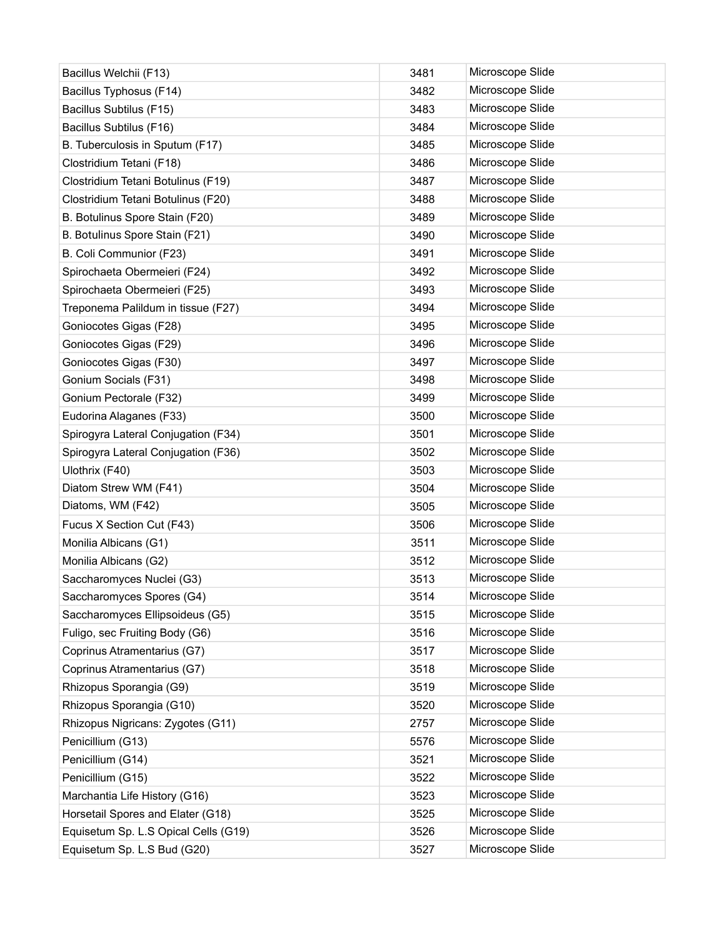| Bacillus Welchii (F13)               | 3481 | Microscope Slide |
|--------------------------------------|------|------------------|
| Bacillus Typhosus (F14)              | 3482 | Microscope Slide |
| Bacillus Subtilus (F15)              | 3483 | Microscope Slide |
| Bacillus Subtilus (F16)              | 3484 | Microscope Slide |
| B. Tuberculosis in Sputum (F17)      | 3485 | Microscope Slide |
| Clostridium Tetani (F18)             | 3486 | Microscope Slide |
| Clostridium Tetani Botulinus (F19)   | 3487 | Microscope Slide |
| Clostridium Tetani Botulinus (F20)   | 3488 | Microscope Slide |
| B. Botulinus Spore Stain (F20)       | 3489 | Microscope Slide |
| B. Botulinus Spore Stain (F21)       | 3490 | Microscope Slide |
| B. Coli Communior (F23)              | 3491 | Microscope Slide |
| Spirochaeta Obermeieri (F24)         | 3492 | Microscope Slide |
| Spirochaeta Obermeieri (F25)         | 3493 | Microscope Slide |
| Treponema Palildum in tissue (F27)   | 3494 | Microscope Slide |
| Goniocotes Gigas (F28)               | 3495 | Microscope Slide |
| Goniocotes Gigas (F29)               | 3496 | Microscope Slide |
| Goniocotes Gigas (F30)               | 3497 | Microscope Slide |
| Gonium Socials (F31)                 | 3498 | Microscope Slide |
| Gonium Pectorale (F32)               | 3499 | Microscope Slide |
| Eudorina Alaganes (F33)              | 3500 | Microscope Slide |
| Spirogyra Lateral Conjugation (F34)  | 3501 | Microscope Slide |
| Spirogyra Lateral Conjugation (F36)  | 3502 | Microscope Slide |
| Ulothrix (F40)                       | 3503 | Microscope Slide |
| Diatom Strew WM (F41)                | 3504 | Microscope Slide |
| Diatoms, WM (F42)                    | 3505 | Microscope Slide |
| Fucus X Section Cut (F43)            | 3506 | Microscope Slide |
| Monilia Albicans (G1)                | 3511 | Microscope Slide |
| Monilia Albicans (G2)                | 3512 | Microscope Slide |
| Saccharomyces Nuclei (G3)            | 3513 | Microscope Slide |
| Saccharomyces Spores (G4)            | 3514 | Microscope Slide |
| Saccharomyces Ellipsoideus (G5)      | 3515 | Microscope Slide |
| Fuligo, sec Fruiting Body (G6)       | 3516 | Microscope Slide |
| Coprinus Atramentarius (G7)          | 3517 | Microscope Slide |
| Coprinus Atramentarius (G7)          | 3518 | Microscope Slide |
| Rhizopus Sporangia (G9)              | 3519 | Microscope Slide |
| Rhizopus Sporangia (G10)             | 3520 | Microscope Slide |
| Rhizopus Nigricans: Zygotes (G11)    | 2757 | Microscope Slide |
| Penicillium (G13)                    | 5576 | Microscope Slide |
| Penicillium (G14)                    | 3521 | Microscope Slide |
| Penicillium (G15)                    | 3522 | Microscope Slide |
| Marchantia Life History (G16)        | 3523 | Microscope Slide |
| Horsetail Spores and Elater (G18)    | 3525 | Microscope Slide |
| Equisetum Sp. L.S Opical Cells (G19) | 3526 | Microscope Slide |
| Equisetum Sp. L.S Bud (G20)          | 3527 | Microscope Slide |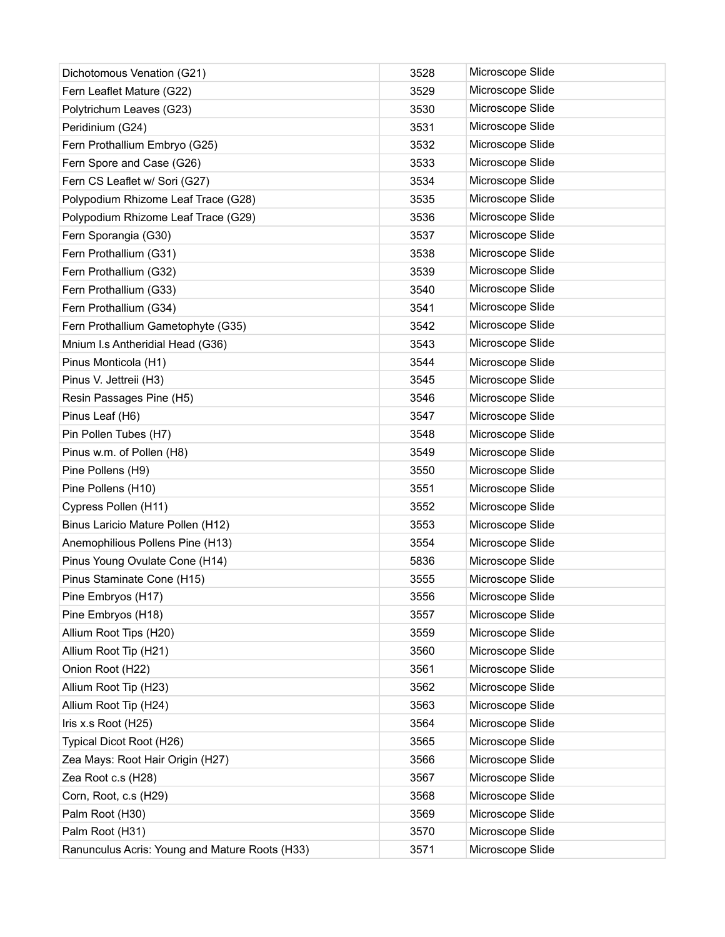| Dichotomous Venation (G21)                     | 3528 | Microscope Slide |
|------------------------------------------------|------|------------------|
| Fern Leaflet Mature (G22)                      | 3529 | Microscope Slide |
| Polytrichum Leaves (G23)                       | 3530 | Microscope Slide |
| Peridinium (G24)                               | 3531 | Microscope Slide |
| Fern Prothallium Embryo (G25)                  | 3532 | Microscope Slide |
| Fern Spore and Case (G26)                      | 3533 | Microscope Slide |
| Fern CS Leaflet w/ Sori (G27)                  | 3534 | Microscope Slide |
| Polypodium Rhizome Leaf Trace (G28)            | 3535 | Microscope Slide |
| Polypodium Rhizome Leaf Trace (G29)            | 3536 | Microscope Slide |
| Fern Sporangia (G30)                           | 3537 | Microscope Slide |
| Fern Prothallium (G31)                         | 3538 | Microscope Slide |
| Fern Prothallium (G32)                         | 3539 | Microscope Slide |
| Fern Prothallium (G33)                         | 3540 | Microscope Slide |
| Fern Prothallium (G34)                         | 3541 | Microscope Slide |
| Fern Prothallium Gametophyte (G35)             | 3542 | Microscope Slide |
| Mnium I.s Antheridial Head (G36)               | 3543 | Microscope Slide |
| Pinus Monticola (H1)                           | 3544 | Microscope Slide |
| Pinus V. Jettreii (H3)                         | 3545 | Microscope Slide |
| Resin Passages Pine (H5)                       | 3546 | Microscope Slide |
| Pinus Leaf (H6)                                | 3547 | Microscope Slide |
| Pin Pollen Tubes (H7)                          | 3548 | Microscope Slide |
| Pinus w.m. of Pollen (H8)                      | 3549 | Microscope Slide |
| Pine Pollens (H9)                              | 3550 | Microscope Slide |
| Pine Pollens (H10)                             | 3551 | Microscope Slide |
| Cypress Pollen (H11)                           | 3552 | Microscope Slide |
| Binus Laricio Mature Pollen (H12)              | 3553 | Microscope Slide |
| Anemophilious Pollens Pine (H13)               | 3554 | Microscope Slide |
| Pinus Young Ovulate Cone (H14)                 | 5836 | Microscope Slide |
| Pinus Staminate Cone (H15)                     | 3555 | Microscope Slide |
| Pine Embryos (H17)                             | 3556 | Microscope Slide |
| Pine Embryos (H18)                             | 3557 | Microscope Slide |
| Allium Root Tips (H20)                         | 3559 | Microscope Slide |
| Allium Root Tip (H21)                          | 3560 | Microscope Slide |
| Onion Root (H22)                               | 3561 | Microscope Slide |
| Allium Root Tip (H23)                          | 3562 | Microscope Slide |
| Allium Root Tip (H24)                          | 3563 | Microscope Slide |
| Iris x.s Root (H25)                            | 3564 | Microscope Slide |
| Typical Dicot Root (H26)                       | 3565 | Microscope Slide |
| Zea Mays: Root Hair Origin (H27)               | 3566 | Microscope Slide |
| Zea Root c.s (H28)                             | 3567 | Microscope Slide |
| Corn, Root, c.s (H29)                          | 3568 | Microscope Slide |
| Palm Root (H30)                                | 3569 | Microscope Slide |
| Palm Root (H31)                                | 3570 | Microscope Slide |
| Ranunculus Acris: Young and Mature Roots (H33) | 3571 | Microscope Slide |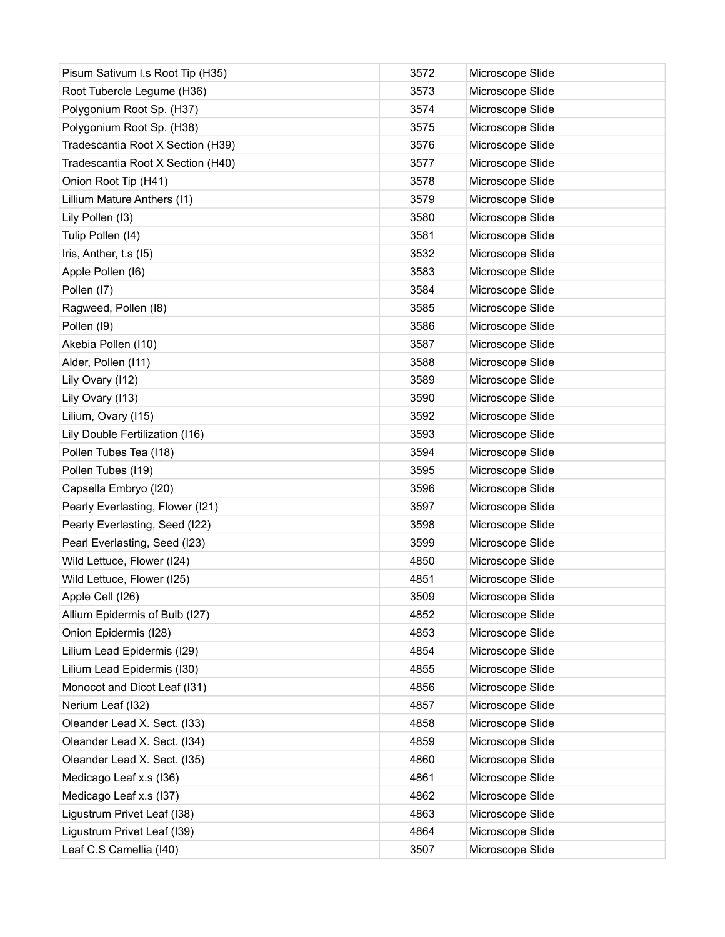| Pisum Sativum I.s Root Tip (H35)  | 3572 | Microscope Slide |
|-----------------------------------|------|------------------|
| Root Tubercle Legume (H36)        | 3573 | Microscope Slide |
| Polygonium Root Sp. (H37)         | 3574 | Microscope Slide |
| Polygonium Root Sp. (H38)         | 3575 | Microscope Slide |
| Tradescantia Root X Section (H39) | 3576 | Microscope Slide |
| Tradescantia Root X Section (H40) | 3577 | Microscope Slide |
| Onion Root Tip (H41)              | 3578 | Microscope Slide |
| Lillium Mature Anthers (I1)       | 3579 | Microscope Slide |
| Lily Pollen (13)                  | 3580 | Microscope Slide |
| Tulip Pollen (I4)                 | 3581 | Microscope Slide |
| Iris, Anther, t.s (15)            | 3532 | Microscope Slide |
| Apple Pollen (I6)                 | 3583 | Microscope Slide |
| Pollen (I7)                       | 3584 | Microscope Slide |
| Ragweed, Pollen (18)              | 3585 | Microscope Slide |
| Pollen (19)                       | 3586 | Microscope Slide |
| Akebia Pollen (110)               | 3587 | Microscope Slide |
| Alder, Pollen (111)               | 3588 | Microscope Slide |
| Lily Ovary (112)                  | 3589 | Microscope Slide |
| Lily Ovary (113)                  | 3590 | Microscope Slide |
| Lilium, Ovary (115)               | 3592 | Microscope Slide |
| Lily Double Fertilization (I16)   | 3593 | Microscope Slide |
| Pollen Tubes Tea (I18)            | 3594 | Microscope Slide |
| Pollen Tubes (119)                | 3595 | Microscope Slide |
| Capsella Embryo (I20)             | 3596 | Microscope Slide |
| Pearly Everlasting, Flower (I21)  | 3597 | Microscope Slide |
| Pearly Everlasting, Seed (I22)    | 3598 | Microscope Slide |
| Pearl Everlasting, Seed (I23)     | 3599 | Microscope Slide |
| Wild Lettuce, Flower (I24)        | 4850 | Microscope Slide |
| Wild Lettuce, Flower (I25)        | 4851 | Microscope Slide |
| Apple Cell (126)                  | 3509 | Microscope Slide |
| Allium Epidermis of Bulb (I27)    | 4852 | Microscope Slide |
| Onion Epidermis (I28)             | 4853 | Microscope Slide |
| Lilium Lead Epidermis (I29)       | 4854 | Microscope Slide |
| Lilium Lead Epidermis (I30)       | 4855 | Microscope Slide |
| Monocot and Dicot Leaf (I31)      | 4856 | Microscope Slide |
| Nerium Leaf (132)                 | 4857 | Microscope Slide |
| Oleander Lead X. Sect. (I33)      | 4858 | Microscope Slide |
| Oleander Lead X. Sect. (134)      | 4859 | Microscope Slide |
| Oleander Lead X. Sect. (I35)      | 4860 | Microscope Slide |
| Medicago Leaf x.s (I36)           | 4861 | Microscope Slide |
| Medicago Leaf x.s (137)           | 4862 | Microscope Slide |
| Ligustrum Privet Leaf (I38)       | 4863 | Microscope Slide |
| Ligustrum Privet Leaf (I39)       | 4864 | Microscope Slide |
| Leaf C.S Camellia (I40)           | 3507 | Microscope Slide |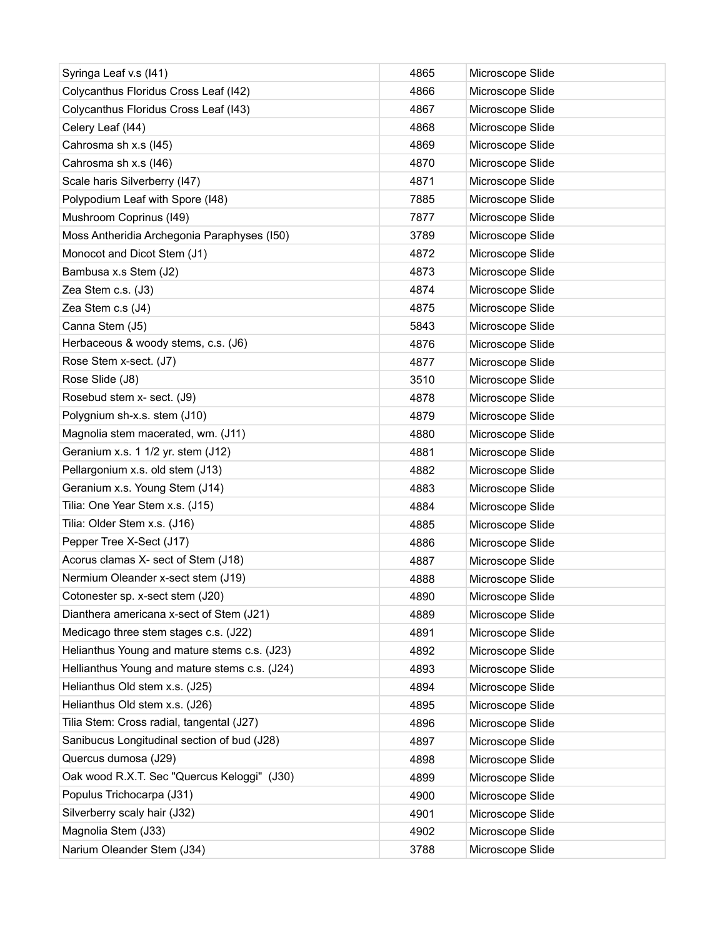| Syringa Leaf v.s (I41)                        | 4865 | Microscope Slide |
|-----------------------------------------------|------|------------------|
| Colycanthus Floridus Cross Leaf (I42)         | 4866 | Microscope Slide |
| Colycanthus Floridus Cross Leaf (I43)         | 4867 | Microscope Slide |
| Celery Leaf (I44)                             | 4868 | Microscope Slide |
| Cahrosma sh x.s (I45)                         | 4869 | Microscope Slide |
| Cahrosma sh x.s (I46)                         | 4870 | Microscope Slide |
| Scale haris Silverberry (I47)                 | 4871 | Microscope Slide |
| Polypodium Leaf with Spore (I48)              | 7885 | Microscope Slide |
| Mushroom Coprinus (I49)                       | 7877 | Microscope Slide |
| Moss Antheridia Archegonia Paraphyses (150)   | 3789 | Microscope Slide |
| Monocot and Dicot Stem (J1)                   | 4872 | Microscope Slide |
| Bambusa x.s Stem (J2)                         | 4873 | Microscope Slide |
| Zea Stem c.s. (J3)                            | 4874 | Microscope Slide |
| Zea Stem c.s (J4)                             | 4875 | Microscope Slide |
| Canna Stem (J5)                               | 5843 | Microscope Slide |
| Herbaceous & woody stems, c.s. (J6)           | 4876 | Microscope Slide |
| Rose Stem x-sect. (J7)                        | 4877 | Microscope Slide |
| Rose Slide (J8)                               | 3510 | Microscope Slide |
| Rosebud stem x- sect. (J9)                    | 4878 | Microscope Slide |
| Polygnium sh-x.s. stem (J10)                  | 4879 | Microscope Slide |
| Magnolia stem macerated, wm. (J11)            | 4880 | Microscope Slide |
| Geranium x.s. 1 1/2 yr. stem (J12)            | 4881 | Microscope Slide |
| Pellargonium x.s. old stem (J13)              | 4882 | Microscope Slide |
| Geranium x.s. Young Stem (J14)                | 4883 | Microscope Slide |
| Tilia: One Year Stem x.s. (J15)               | 4884 | Microscope Slide |
| Tilia: Older Stem x.s. (J16)                  | 4885 | Microscope Slide |
| Pepper Tree X-Sect (J17)                      | 4886 | Microscope Slide |
| Acorus clamas X- sect of Stem (J18)           | 4887 | Microscope Slide |
| Nermium Oleander x-sect stem (J19)            | 4888 | Microscope Slide |
| Cotonester sp. x-sect stem (J20)              | 4890 | Microscope Slide |
| Dianthera americana x-sect of Stem (J21)      | 4889 | Microscope Slide |
| Medicago three stem stages c.s. (J22)         | 4891 | Microscope Slide |
| Helianthus Young and mature stems c.s. (J23)  | 4892 | Microscope Slide |
| Hellianthus Young and mature stems c.s. (J24) | 4893 | Microscope Slide |
| Helianthus Old stem x.s. (J25)                | 4894 | Microscope Slide |
| Helianthus Old stem x.s. (J26)                | 4895 | Microscope Slide |
| Tilia Stem: Cross radial, tangental (J27)     | 4896 | Microscope Slide |
| Sanibucus Longitudinal section of bud (J28)   | 4897 | Microscope Slide |
| Quercus dumosa (J29)                          | 4898 | Microscope Slide |
| Oak wood R.X.T. Sec "Quercus Keloggi" (J30)   | 4899 | Microscope Slide |
| Populus Trichocarpa (J31)                     | 4900 | Microscope Slide |
| Silverberry scaly hair (J32)                  | 4901 | Microscope Slide |
| Magnolia Stem (J33)                           | 4902 | Microscope Slide |
| Narium Oleander Stem (J34)                    | 3788 | Microscope Slide |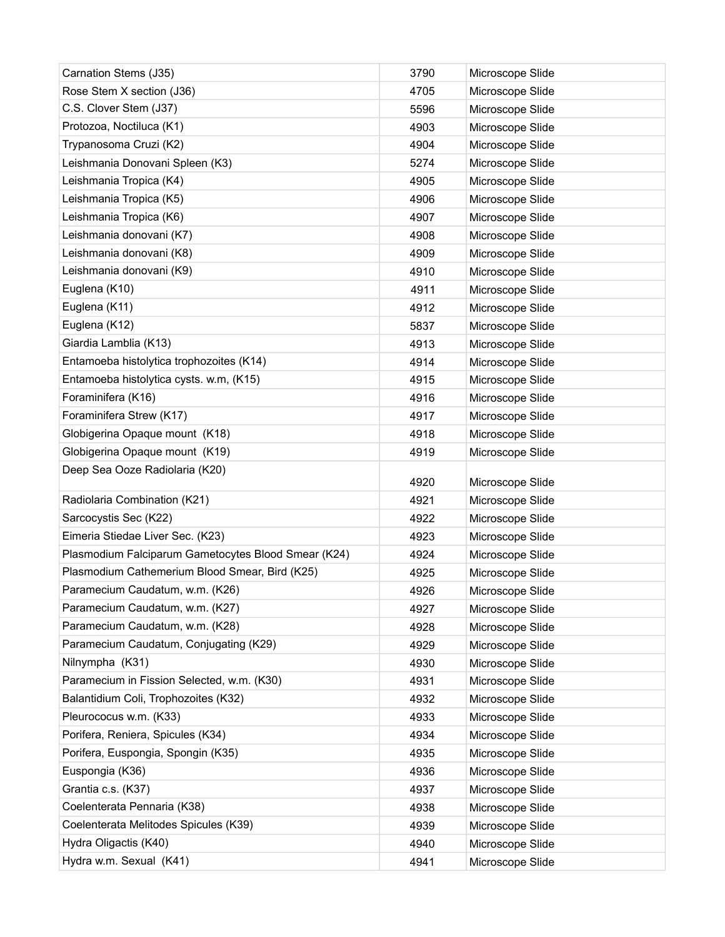| Carnation Stems (J35)                               | 3790         | Microscope Slide                     |
|-----------------------------------------------------|--------------|--------------------------------------|
| Rose Stem X section (J36)                           | 4705         | Microscope Slide                     |
| C.S. Clover Stem (J37)                              | 5596         | Microscope Slide                     |
| Protozoa, Noctiluca (K1)                            | 4903         | Microscope Slide                     |
| Trypanosoma Cruzi (K2)                              | 4904         | Microscope Slide                     |
| Leishmania Donovani Spleen (K3)                     | 5274         | Microscope Slide                     |
| Leishmania Tropica (K4)                             | 4905         | Microscope Slide                     |
| Leishmania Tropica (K5)                             | 4906         | Microscope Slide                     |
| Leishmania Tropica (K6)                             | 4907         | Microscope Slide                     |
| Leishmania donovani (K7)                            | 4908         | Microscope Slide                     |
| Leishmania donovani (K8)                            | 4909         | Microscope Slide                     |
| Leishmania donovani (K9)                            | 4910         | Microscope Slide                     |
| Euglena (K10)                                       | 4911         | Microscope Slide                     |
| Euglena (K11)                                       | 4912         | Microscope Slide                     |
| Euglena (K12)                                       | 5837         | Microscope Slide                     |
| Giardia Lamblia (K13)                               | 4913         | Microscope Slide                     |
| Entamoeba histolytica trophozoites (K14)            | 4914         | Microscope Slide                     |
| Entamoeba histolytica cysts. w.m, (K15)             | 4915         | Microscope Slide                     |
| Foraminifera (K16)                                  | 4916         | Microscope Slide                     |
| Foraminifera Strew (K17)                            | 4917         | Microscope Slide                     |
| Globigerina Opaque mount (K18)                      | 4918         | Microscope Slide                     |
| Globigerina Opaque mount (K19)                      | 4919         | Microscope Slide                     |
|                                                     |              |                                      |
| Deep Sea Ooze Radiolaria (K20)                      |              |                                      |
|                                                     | 4920         | Microscope Slide                     |
| Radiolaria Combination (K21)                        | 4921         | Microscope Slide                     |
| Sarcocystis Sec (K22)                               | 4922         | Microscope Slide                     |
| Eimeria Stiedae Liver Sec. (K23)                    | 4923         | Microscope Slide                     |
| Plasmodium Falciparum Gametocytes Blood Smear (K24) | 4924         | Microscope Slide                     |
| Plasmodium Cathemerium Blood Smear, Bird (K25)      | 4925         | Microscope Slide                     |
| Paramecium Caudatum, w.m. (K26)                     | 4926         | Microscope Slide                     |
| Paramecium Caudatum, w.m. (K27)                     | 4927         | Microscope Slide                     |
| Paramecium Caudatum, w.m. (K28)                     | 4928         | Microscope Slide                     |
| Paramecium Caudatum, Conjugating (K29)              | 4929         | Microscope Slide                     |
| Nilnympha (K31)                                     | 4930         | Microscope Slide                     |
| Paramecium in Fission Selected, w.m. (K30)          | 4931         | Microscope Slide                     |
| Balantidium Coli, Trophozoites (K32)                | 4932         | Microscope Slide                     |
| Pleurococus w.m. (K33)                              | 4933         | Microscope Slide                     |
| Porifera, Reniera, Spicules (K34)                   | 4934         | Microscope Slide                     |
| Porifera, Euspongia, Spongin (K35)                  | 4935         | Microscope Slide                     |
| Euspongia (K36)                                     | 4936         | Microscope Slide                     |
| Grantia c.s. (K37)                                  | 4937         | Microscope Slide                     |
| Coelenterata Pennaria (K38)                         | 4938         | Microscope Slide                     |
| Coelenterata Melitodes Spicules (K39)               | 4939         | Microscope Slide                     |
| Hydra Oligactis (K40)<br>Hydra w.m. Sexual (K41)    | 4940<br>4941 | Microscope Slide<br>Microscope Slide |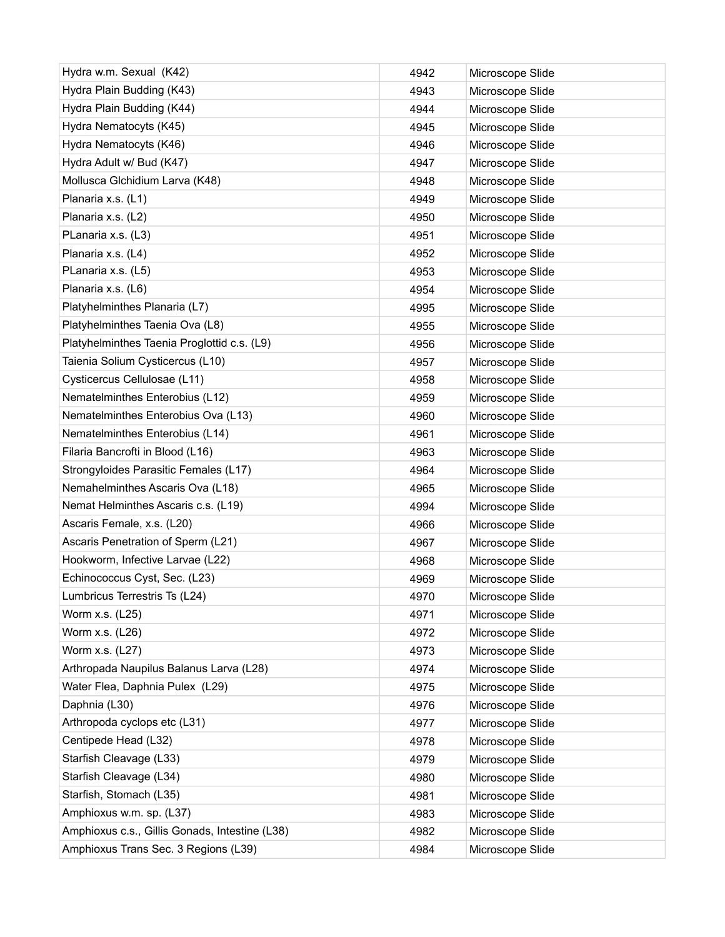| Hydra w.m. Sexual (K42)                        | 4942 | Microscope Slide |
|------------------------------------------------|------|------------------|
| Hydra Plain Budding (K43)                      | 4943 | Microscope Slide |
| Hydra Plain Budding (K44)                      | 4944 | Microscope Slide |
| Hydra Nematocyts (K45)                         | 4945 | Microscope Slide |
| Hydra Nematocyts (K46)                         | 4946 | Microscope Slide |
| Hydra Adult w/ Bud (K47)                       | 4947 | Microscope Slide |
| Mollusca Glchidium Larva (K48)                 | 4948 | Microscope Slide |
| Planaria x.s. (L1)                             | 4949 | Microscope Slide |
| Planaria x.s. (L2)                             | 4950 | Microscope Slide |
| PLanaria x.s. (L3)                             | 4951 | Microscope Slide |
| Planaria x.s. (L4)                             | 4952 | Microscope Slide |
| PLanaria x.s. (L5)                             | 4953 | Microscope Slide |
| Planaria x.s. (L6)                             | 4954 | Microscope Slide |
| Platyhelminthes Planaria (L7)                  | 4995 | Microscope Slide |
| Platyhelminthes Taenia Ova (L8)                | 4955 | Microscope Slide |
| Platyhelminthes Taenia Proglottid c.s. (L9)    | 4956 | Microscope Slide |
| Taienia Solium Cysticercus (L10)               | 4957 | Microscope Slide |
| Cysticercus Cellulosae (L11)                   | 4958 | Microscope Slide |
| Nematelminthes Enterobius (L12)                | 4959 | Microscope Slide |
| Nematelminthes Enterobius Ova (L13)            | 4960 | Microscope Slide |
| Nematelminthes Enterobius (L14)                | 4961 | Microscope Slide |
| Filaria Bancrofti in Blood (L16)               | 4963 | Microscope Slide |
| Strongyloides Parasitic Females (L17)          | 4964 | Microscope Slide |
| Nemahelminthes Ascaris Ova (L18)               | 4965 | Microscope Slide |
| Nemat Helminthes Ascaris c.s. (L19)            | 4994 | Microscope Slide |
| Ascaris Female, x.s. (L20)                     | 4966 | Microscope Slide |
| Ascaris Penetration of Sperm (L21)             | 4967 | Microscope Slide |
| Hookworm, Infective Larvae (L22)               | 4968 | Microscope Slide |
| Echinococcus Cyst, Sec. (L23)                  | 4969 | Microscope Slide |
| Lumbricus Terrestris Ts (L24)                  | 4970 | Microscope Slide |
| Worm x.s. (L25)                                | 4971 | Microscope Slide |
| Worm x.s. (L26)                                | 4972 | Microscope Slide |
| Worm x.s. (L27)                                | 4973 | Microscope Slide |
| Arthropada Naupilus Balanus Larva (L28)        | 4974 | Microscope Slide |
| Water Flea, Daphnia Pulex (L29)                | 4975 | Microscope Slide |
| Daphnia (L30)                                  | 4976 | Microscope Slide |
| Arthropoda cyclops etc (L31)                   | 4977 | Microscope Slide |
| Centipede Head (L32)                           | 4978 | Microscope Slide |
| Starfish Cleavage (L33)                        | 4979 | Microscope Slide |
| Starfish Cleavage (L34)                        | 4980 | Microscope Slide |
| Starfish, Stomach (L35)                        | 4981 | Microscope Slide |
| Amphioxus w.m. sp. (L37)                       | 4983 | Microscope Slide |
| Amphioxus c.s., Gillis Gonads, Intestine (L38) | 4982 | Microscope Slide |
| Amphioxus Trans Sec. 3 Regions (L39)           | 4984 | Microscope Slide |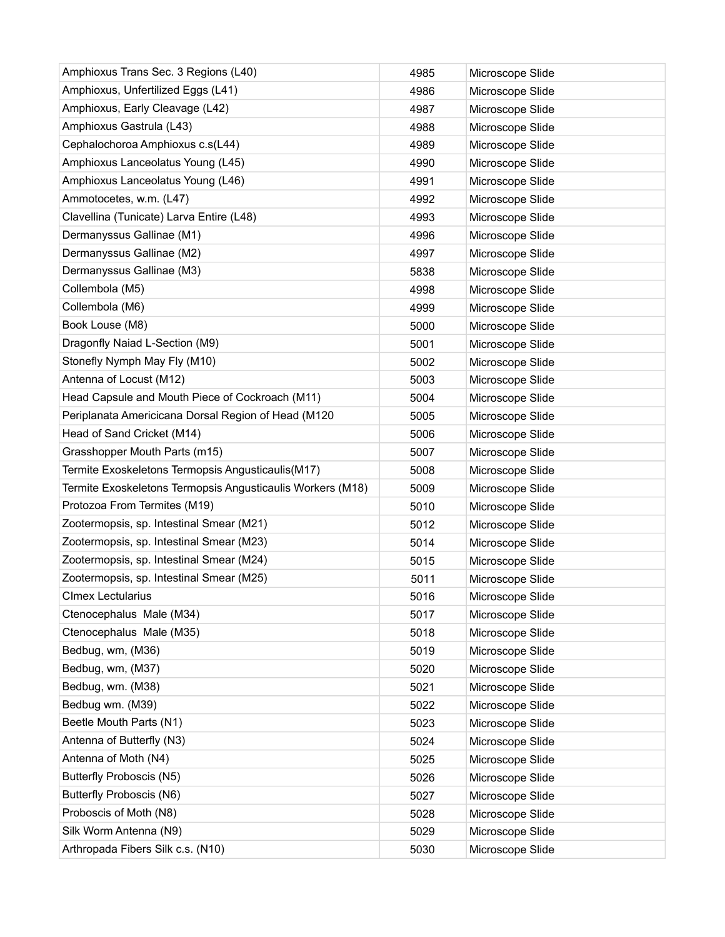| Amphioxus Trans Sec. 3 Regions (L40)                       | 4985 | Microscope Slide |
|------------------------------------------------------------|------|------------------|
| Amphioxus, Unfertilized Eggs (L41)                         | 4986 | Microscope Slide |
| Amphioxus, Early Cleavage (L42)                            | 4987 | Microscope Slide |
| Amphioxus Gastrula (L43)                                   | 4988 | Microscope Slide |
| Cephalochoroa Amphioxus c.s(L44)                           | 4989 | Microscope Slide |
| Amphioxus Lanceolatus Young (L45)                          | 4990 | Microscope Slide |
| Amphioxus Lanceolatus Young (L46)                          | 4991 | Microscope Slide |
| Ammotocetes, w.m. (L47)                                    | 4992 | Microscope Slide |
| Clavellina (Tunicate) Larva Entire (L48)                   | 4993 | Microscope Slide |
| Dermanyssus Gallinae (M1)                                  | 4996 | Microscope Slide |
| Dermanyssus Gallinae (M2)                                  | 4997 | Microscope Slide |
| Dermanyssus Gallinae (M3)                                  | 5838 | Microscope Slide |
| Collembola (M5)                                            | 4998 | Microscope Slide |
| Collembola (M6)                                            | 4999 | Microscope Slide |
| Book Louse (M8)                                            | 5000 | Microscope Slide |
| Dragonfly Naiad L-Section (M9)                             | 5001 | Microscope Slide |
| Stonefly Nymph May Fly (M10)                               | 5002 | Microscope Slide |
| Antenna of Locust (M12)                                    | 5003 | Microscope Slide |
| Head Capsule and Mouth Piece of Cockroach (M11)            | 5004 | Microscope Slide |
| Periplanata Americicana Dorsal Region of Head (M120        | 5005 | Microscope Slide |
| Head of Sand Cricket (M14)                                 | 5006 | Microscope Slide |
| Grasshopper Mouth Parts (m15)                              | 5007 | Microscope Slide |
| Termite Exoskeletons Termopsis Angusticaulis (M17)         | 5008 | Microscope Slide |
| Termite Exoskeletons Termopsis Angusticaulis Workers (M18) | 5009 | Microscope Slide |
| Protozoa From Termites (M19)                               | 5010 | Microscope Slide |
| Zootermopsis, sp. Intestinal Smear (M21)                   | 5012 | Microscope Slide |
| Zootermopsis, sp. Intestinal Smear (M23)                   | 5014 | Microscope Slide |
| Zootermopsis, sp. Intestinal Smear (M24)                   | 5015 | Microscope Slide |
| Zootermopsis, sp. Intestinal Smear (M25)                   | 5011 | Microscope Slide |
| <b>CImex Lectularius</b>                                   | 5016 | Microscope Slide |
| Ctenocephalus Male (M34)                                   | 5017 | Microscope Slide |
| Ctenocephalus Male (M35)                                   | 5018 | Microscope Slide |
| Bedbug, wm, (M36)                                          | 5019 | Microscope Slide |
| Bedbug, wm, (M37)                                          | 5020 | Microscope Slide |
| Bedbug, wm. (M38)                                          | 5021 | Microscope Slide |
| Bedbug wm. (M39)                                           | 5022 | Microscope Slide |
| Beetle Mouth Parts (N1)                                    | 5023 | Microscope Slide |
| Antenna of Butterfly (N3)                                  | 5024 | Microscope Slide |
| Antenna of Moth (N4)                                       | 5025 | Microscope Slide |
| Butterfly Proboscis (N5)                                   | 5026 | Microscope Slide |
| <b>Butterfly Proboscis (N6)</b>                            | 5027 | Microscope Slide |
| Proboscis of Moth (N8)                                     | 5028 | Microscope Slide |
| Silk Worm Antenna (N9)                                     | 5029 | Microscope Slide |
| Arthropada Fibers Silk c.s. (N10)                          | 5030 | Microscope Slide |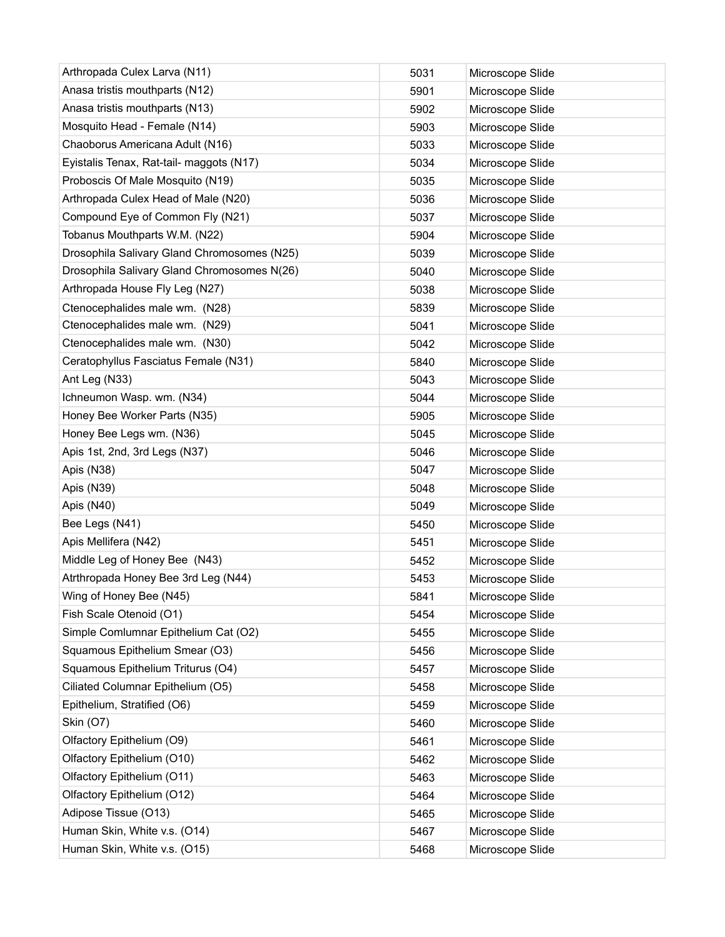| Arthropada Culex Larva (N11)                | 5031 | Microscope Slide |
|---------------------------------------------|------|------------------|
| Anasa tristis mouthparts (N12)              | 5901 | Microscope Slide |
| Anasa tristis mouthparts (N13)              | 5902 | Microscope Slide |
| Mosquito Head - Female (N14)                | 5903 | Microscope Slide |
| Chaoborus Americana Adult (N16)             | 5033 | Microscope Slide |
| Eyistalis Tenax, Rat-tail- maggots (N17)    | 5034 | Microscope Slide |
| Proboscis Of Male Mosquito (N19)            | 5035 | Microscope Slide |
| Arthropada Culex Head of Male (N20)         | 5036 | Microscope Slide |
| Compound Eye of Common Fly (N21)            | 5037 | Microscope Slide |
| Tobanus Mouthparts W.M. (N22)               | 5904 | Microscope Slide |
| Drosophila Salivary Gland Chromosomes (N25) | 5039 | Microscope Slide |
| Drosophila Salivary Gland Chromosomes N(26) | 5040 | Microscope Slide |
| Arthropada House Fly Leg (N27)              | 5038 | Microscope Slide |
| Ctenocephalides male wm. (N28)              | 5839 | Microscope Slide |
| Ctenocephalides male wm. (N29)              | 5041 | Microscope Slide |
| Ctenocephalides male wm. (N30)              | 5042 | Microscope Slide |
| Ceratophyllus Fasciatus Female (N31)        | 5840 | Microscope Slide |
| Ant Leg (N33)                               | 5043 | Microscope Slide |
| Ichneumon Wasp. wm. (N34)                   | 5044 | Microscope Slide |
| Honey Bee Worker Parts (N35)                | 5905 | Microscope Slide |
| Honey Bee Legs wm. (N36)                    | 5045 | Microscope Slide |
| Apis 1st, 2nd, 3rd Legs (N37)               | 5046 | Microscope Slide |
| Apis (N38)                                  | 5047 | Microscope Slide |
| Apis (N39)                                  | 5048 | Microscope Slide |
| Apis (N40)                                  | 5049 | Microscope Slide |
| Bee Legs (N41)                              | 5450 | Microscope Slide |
| Apis Mellifera (N42)                        | 5451 | Microscope Slide |
| Middle Leg of Honey Bee (N43)               | 5452 | Microscope Slide |
| Atrthropada Honey Bee 3rd Leg (N44)         | 5453 | Microscope Slide |
| Wing of Honey Bee (N45)                     | 5841 | Microscope Slide |
| Fish Scale Otenoid (O1)                     | 5454 | Microscope Slide |
| Simple Comlumnar Epithelium Cat (O2)        | 5455 | Microscope Slide |
| Squamous Epithelium Smear (O3)              | 5456 | Microscope Slide |
| Squamous Epithelium Triturus (O4)           | 5457 | Microscope Slide |
| Ciliated Columnar Epithelium (O5)           | 5458 | Microscope Slide |
| Epithelium, Stratified (O6)                 | 5459 | Microscope Slide |
| Skin (O7)                                   | 5460 | Microscope Slide |
| Olfactory Epithelium (O9)                   | 5461 | Microscope Slide |
| Olfactory Epithelium (O10)                  | 5462 | Microscope Slide |
| Olfactory Epithelium (O11)                  | 5463 | Microscope Slide |
| Olfactory Epithelium (O12)                  | 5464 | Microscope Slide |
| Adipose Tissue (O13)                        | 5465 | Microscope Slide |
| Human Skin, White v.s. (O14)                | 5467 | Microscope Slide |
| Human Skin, White v.s. (O15)                | 5468 | Microscope Slide |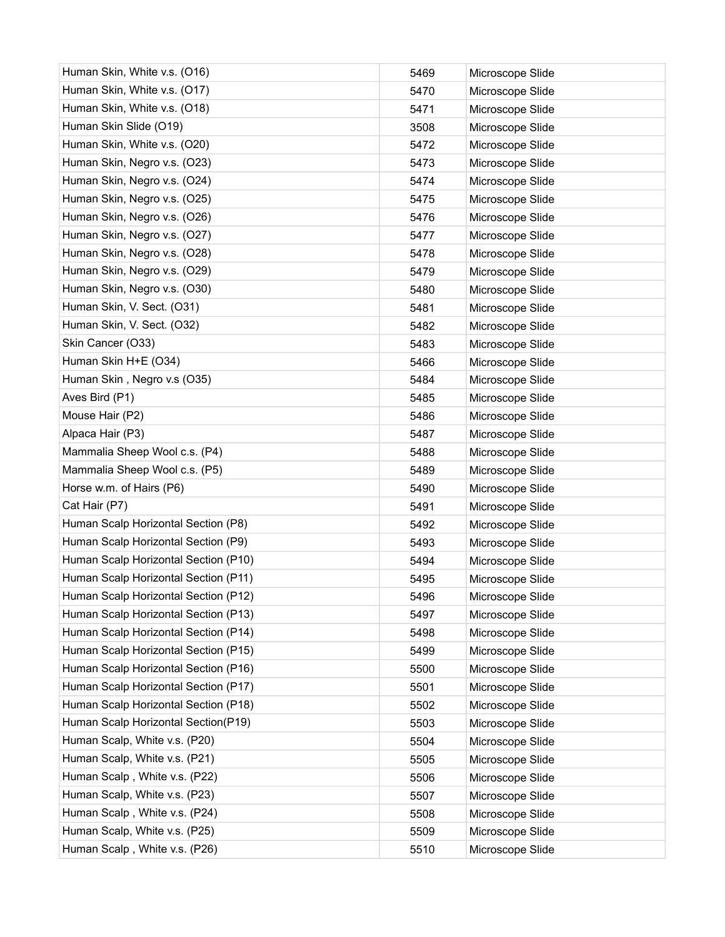| Human Skin, White v.s. (O16)         | 5469 | Microscope Slide |
|--------------------------------------|------|------------------|
| Human Skin, White v.s. (O17)         | 5470 | Microscope Slide |
| Human Skin, White v.s. (O18)         | 5471 | Microscope Slide |
| Human Skin Slide (O19)               | 3508 | Microscope Slide |
| Human Skin, White v.s. (O20)         | 5472 | Microscope Slide |
| Human Skin, Negro v.s. (O23)         | 5473 | Microscope Slide |
| Human Skin, Negro v.s. (O24)         | 5474 | Microscope Slide |
| Human Skin, Negro v.s. (O25)         | 5475 | Microscope Slide |
| Human Skin, Negro v.s. (O26)         | 5476 | Microscope Slide |
| Human Skin, Negro v.s. (O27)         | 5477 | Microscope Slide |
| Human Skin, Negro v.s. (O28)         | 5478 | Microscope Slide |
| Human Skin, Negro v.s. (O29)         | 5479 | Microscope Slide |
| Human Skin, Negro v.s. (O30)         | 5480 | Microscope Slide |
| Human Skin, V. Sect. (O31)           | 5481 | Microscope Slide |
| Human Skin, V. Sect. (O32)           | 5482 | Microscope Slide |
| Skin Cancer (O33)                    | 5483 | Microscope Slide |
| Human Skin H+E (O34)                 | 5466 | Microscope Slide |
| Human Skin, Negro v.s (O35)          | 5484 | Microscope Slide |
| Aves Bird (P1)                       | 5485 | Microscope Slide |
| Mouse Hair (P2)                      | 5486 | Microscope Slide |
| Alpaca Hair (P3)                     | 5487 | Microscope Slide |
| Mammalia Sheep Wool c.s. (P4)        | 5488 | Microscope Slide |
| Mammalia Sheep Wool c.s. (P5)        | 5489 | Microscope Slide |
| Horse w.m. of Hairs (P6)             | 5490 | Microscope Slide |
| Cat Hair (P7)                        | 5491 | Microscope Slide |
| Human Scalp Horizontal Section (P8)  | 5492 | Microscope Slide |
| Human Scalp Horizontal Section (P9)  | 5493 | Microscope Slide |
| Human Scalp Horizontal Section (P10) | 5494 | Microscope Slide |
| Human Scalp Horizontal Section (P11) | 5495 | Microscope Slide |
| Human Scalp Horizontal Section (P12) | 5496 | Microscope Slide |
| Human Scalp Horizontal Section (P13) | 5497 | Microscope Slide |
| Human Scalp Horizontal Section (P14) | 5498 | Microscope Slide |
| Human Scalp Horizontal Section (P15) | 5499 | Microscope Slide |
| Human Scalp Horizontal Section (P16) | 5500 | Microscope Slide |
| Human Scalp Horizontal Section (P17) | 5501 | Microscope Slide |
| Human Scalp Horizontal Section (P18) | 5502 | Microscope Slide |
| Human Scalp Horizontal Section(P19)  | 5503 | Microscope Slide |
| Human Scalp, White v.s. (P20)        | 5504 | Microscope Slide |
| Human Scalp, White v.s. (P21)        | 5505 | Microscope Slide |
| Human Scalp, White v.s. (P22)        | 5506 | Microscope Slide |
| Human Scalp, White v.s. (P23)        | 5507 | Microscope Slide |
| Human Scalp, White v.s. (P24)        | 5508 | Microscope Slide |
| Human Scalp, White v.s. (P25)        | 5509 | Microscope Slide |
| Human Scalp, White v.s. (P26)        | 5510 | Microscope Slide |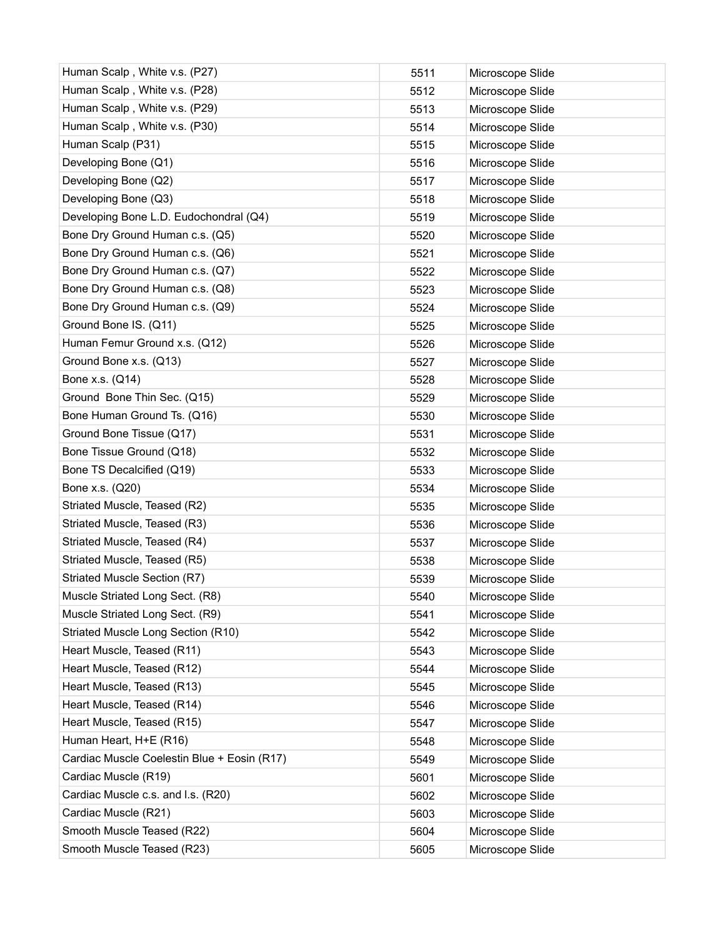| Human Scalp, White v.s. (P27)               | 5511 | Microscope Slide |
|---------------------------------------------|------|------------------|
| Human Scalp, White v.s. (P28)               | 5512 | Microscope Slide |
| Human Scalp, White v.s. (P29)               | 5513 | Microscope Slide |
| Human Scalp, White v.s. (P30)               | 5514 | Microscope Slide |
| Human Scalp (P31)                           | 5515 | Microscope Slide |
| Developing Bone (Q1)                        | 5516 | Microscope Slide |
| Developing Bone (Q2)                        | 5517 | Microscope Slide |
| Developing Bone (Q3)                        | 5518 | Microscope Slide |
| Developing Bone L.D. Eudochondral (Q4)      | 5519 | Microscope Slide |
| Bone Dry Ground Human c.s. (Q5)             | 5520 | Microscope Slide |
| Bone Dry Ground Human c.s. (Q6)             | 5521 | Microscope Slide |
| Bone Dry Ground Human c.s. (Q7)             | 5522 | Microscope Slide |
| Bone Dry Ground Human c.s. (Q8)             | 5523 | Microscope Slide |
| Bone Dry Ground Human c.s. (Q9)             | 5524 | Microscope Slide |
| Ground Bone IS. (Q11)                       | 5525 | Microscope Slide |
| Human Femur Ground x.s. (Q12)               | 5526 | Microscope Slide |
| Ground Bone x.s. (Q13)                      | 5527 | Microscope Slide |
| Bone x.s. (Q14)                             | 5528 | Microscope Slide |
| Ground Bone Thin Sec. (Q15)                 | 5529 | Microscope Slide |
| Bone Human Ground Ts. (Q16)                 | 5530 | Microscope Slide |
| Ground Bone Tissue (Q17)                    | 5531 | Microscope Slide |
| Bone Tissue Ground (Q18)                    | 5532 | Microscope Slide |
| Bone TS Decalcified (Q19)                   | 5533 | Microscope Slide |
| Bone x.s. (Q20)                             | 5534 | Microscope Slide |
| Striated Muscle, Teased (R2)                | 5535 | Microscope Slide |
| Striated Muscle, Teased (R3)                | 5536 | Microscope Slide |
| Striated Muscle, Teased (R4)                | 5537 | Microscope Slide |
| Striated Muscle, Teased (R5)                | 5538 | Microscope Slide |
| Striated Muscle Section (R7)                | 5539 | Microscope Slide |
| Muscle Striated Long Sect. (R8)             | 5540 | Microscope Slide |
| Muscle Striated Long Sect. (R9)             | 5541 | Microscope Slide |
| Striated Muscle Long Section (R10)          | 5542 | Microscope Slide |
| Heart Muscle, Teased (R11)                  | 5543 | Microscope Slide |
| Heart Muscle, Teased (R12)                  | 5544 | Microscope Slide |
| Heart Muscle, Teased (R13)                  | 5545 | Microscope Slide |
| Heart Muscle, Teased (R14)                  | 5546 | Microscope Slide |
| Heart Muscle, Teased (R15)                  | 5547 | Microscope Slide |
| Human Heart, H+E (R16)                      | 5548 | Microscope Slide |
| Cardiac Muscle Coelestin Blue + Eosin (R17) | 5549 | Microscope Slide |
| Cardiac Muscle (R19)                        | 5601 | Microscope Slide |
| Cardiac Muscle c.s. and I.s. (R20)          | 5602 | Microscope Slide |
| Cardiac Muscle (R21)                        | 5603 | Microscope Slide |
| Smooth Muscle Teased (R22)                  | 5604 | Microscope Slide |
| Smooth Muscle Teased (R23)                  | 5605 | Microscope Slide |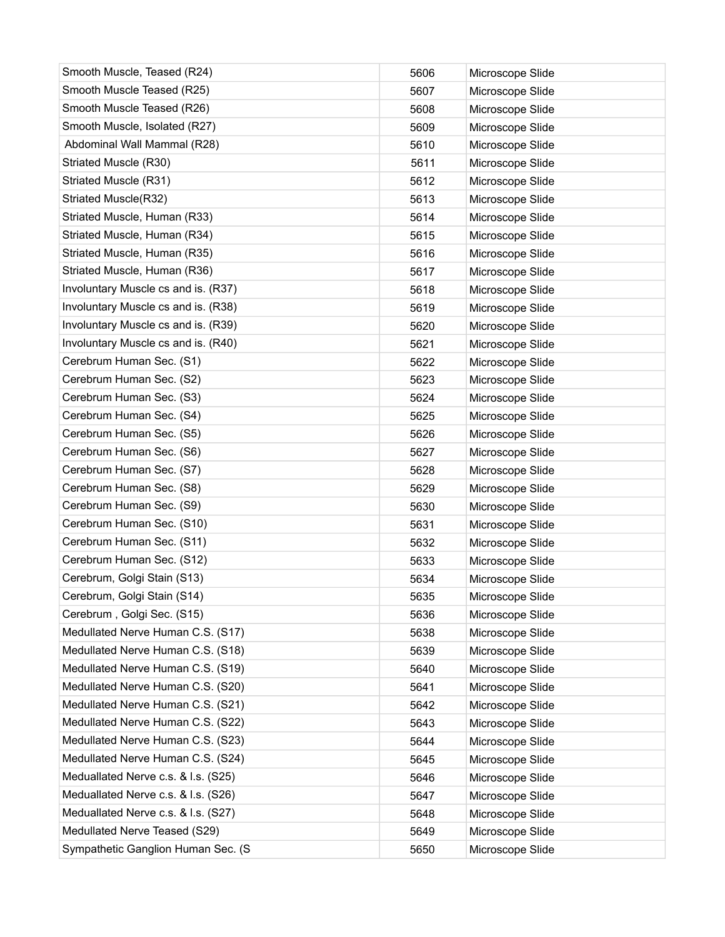| Smooth Muscle, Teased (R24)         | 5606 | Microscope Slide |
|-------------------------------------|------|------------------|
| Smooth Muscle Teased (R25)          | 5607 | Microscope Slide |
| Smooth Muscle Teased (R26)          | 5608 | Microscope Slide |
| Smooth Muscle, Isolated (R27)       | 5609 | Microscope Slide |
| Abdominal Wall Mammal (R28)         | 5610 | Microscope Slide |
| Striated Muscle (R30)               | 5611 | Microscope Slide |
| Striated Muscle (R31)               | 5612 | Microscope Slide |
| Striated Muscle(R32)                | 5613 | Microscope Slide |
| Striated Muscle, Human (R33)        | 5614 | Microscope Slide |
| Striated Muscle, Human (R34)        | 5615 | Microscope Slide |
| Striated Muscle, Human (R35)        | 5616 | Microscope Slide |
| Striated Muscle, Human (R36)        | 5617 | Microscope Slide |
| Involuntary Muscle cs and is. (R37) | 5618 | Microscope Slide |
| Involuntary Muscle cs and is. (R38) | 5619 | Microscope Slide |
| Involuntary Muscle cs and is. (R39) | 5620 | Microscope Slide |
| Involuntary Muscle cs and is. (R40) | 5621 | Microscope Slide |
| Cerebrum Human Sec. (S1)            | 5622 | Microscope Slide |
| Cerebrum Human Sec. (S2)            | 5623 | Microscope Slide |
| Cerebrum Human Sec. (S3)            | 5624 | Microscope Slide |
| Cerebrum Human Sec. (S4)            | 5625 | Microscope Slide |
| Cerebrum Human Sec. (S5)            | 5626 | Microscope Slide |
| Cerebrum Human Sec. (S6)            | 5627 | Microscope Slide |
| Cerebrum Human Sec. (S7)            | 5628 | Microscope Slide |
| Cerebrum Human Sec. (S8)            | 5629 | Microscope Slide |
| Cerebrum Human Sec. (S9)            | 5630 | Microscope Slide |
| Cerebrum Human Sec. (S10)           | 5631 | Microscope Slide |
| Cerebrum Human Sec. (S11)           | 5632 | Microscope Slide |
| Cerebrum Human Sec. (S12)           | 5633 | Microscope Slide |
| Cerebrum, Golgi Stain (S13)         | 5634 | Microscope Slide |
| Cerebrum, Golgi Stain (S14)         | 5635 | Microscope Slide |
| Cerebrum, Golgi Sec. (S15)          | 5636 | Microscope Slide |
| Medullated Nerve Human C.S. (S17)   | 5638 | Microscope Slide |
| Medullated Nerve Human C.S. (S18)   | 5639 | Microscope Slide |
| Medullated Nerve Human C.S. (S19)   | 5640 | Microscope Slide |
| Medullated Nerve Human C.S. (S20)   | 5641 | Microscope Slide |
| Medullated Nerve Human C.S. (S21)   | 5642 | Microscope Slide |
| Medullated Nerve Human C.S. (S22)   | 5643 | Microscope Slide |
| Medullated Nerve Human C.S. (S23)   | 5644 | Microscope Slide |
| Medullated Nerve Human C.S. (S24)   | 5645 | Microscope Slide |
| Meduallated Nerve c.s. & I.s. (S25) | 5646 | Microscope Slide |
| Meduallated Nerve c.s. & I.s. (S26) | 5647 | Microscope Slide |
| Meduallated Nerve c.s. & I.s. (S27) | 5648 | Microscope Slide |
| Medullated Nerve Teased (S29)       | 5649 | Microscope Slide |
| Sympathetic Ganglion Human Sec. (S  | 5650 | Microscope Slide |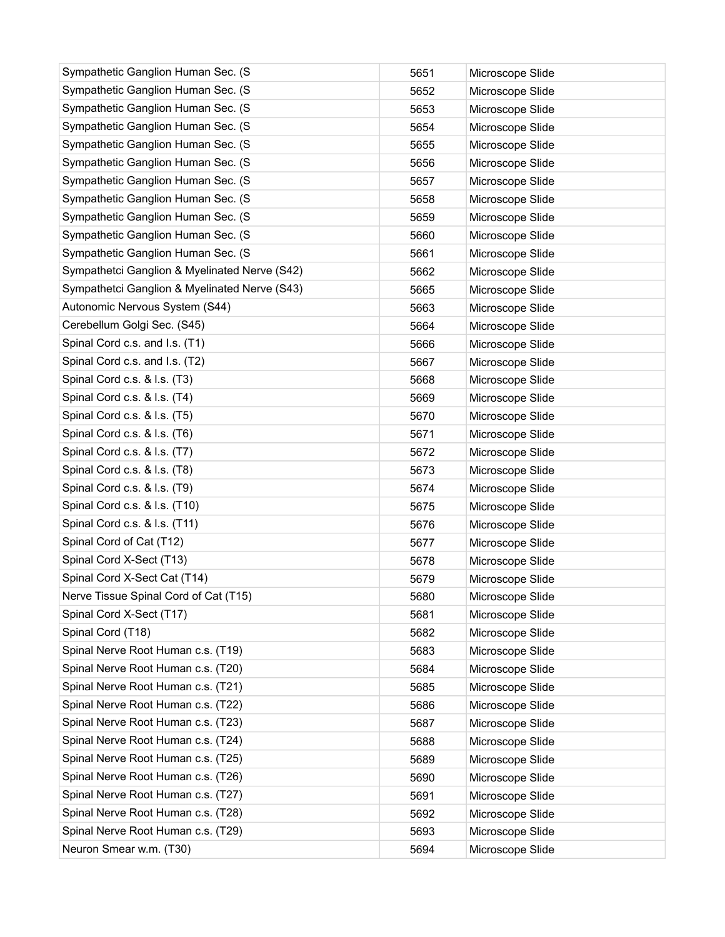| Sympathetic Ganglion Human Sec. (S            | 5651 | Microscope Slide |
|-----------------------------------------------|------|------------------|
| Sympathetic Ganglion Human Sec. (S            | 5652 | Microscope Slide |
| Sympathetic Ganglion Human Sec. (S            | 5653 | Microscope Slide |
| Sympathetic Ganglion Human Sec. (S            | 5654 | Microscope Slide |
| Sympathetic Ganglion Human Sec. (S            | 5655 | Microscope Slide |
| Sympathetic Ganglion Human Sec. (S            | 5656 | Microscope Slide |
| Sympathetic Ganglion Human Sec. (S            | 5657 | Microscope Slide |
| Sympathetic Ganglion Human Sec. (S            | 5658 | Microscope Slide |
| Sympathetic Ganglion Human Sec. (S            | 5659 | Microscope Slide |
| Sympathetic Ganglion Human Sec. (S            | 5660 | Microscope Slide |
| Sympathetic Ganglion Human Sec. (S            | 5661 | Microscope Slide |
| Sympathetci Ganglion & Myelinated Nerve (S42) | 5662 | Microscope Slide |
| Sympathetci Ganglion & Myelinated Nerve (S43) | 5665 | Microscope Slide |
| Autonomic Nervous System (S44)                | 5663 | Microscope Slide |
| Cerebellum Golgi Sec. (S45)                   | 5664 | Microscope Slide |
| Spinal Cord c.s. and I.s. (T1)                | 5666 | Microscope Slide |
| Spinal Cord c.s. and I.s. (T2)                | 5667 | Microscope Slide |
| Spinal Cord c.s. & I.s. (T3)                  | 5668 | Microscope Slide |
| Spinal Cord c.s. & I.s. (T4)                  | 5669 | Microscope Slide |
| Spinal Cord c.s. & I.s. (T5)                  | 5670 | Microscope Slide |
| Spinal Cord c.s. & I.s. (T6)                  | 5671 | Microscope Slide |
| Spinal Cord c.s. & I.s. (T7)                  | 5672 | Microscope Slide |
| Spinal Cord c.s. & I.s. (T8)                  | 5673 | Microscope Slide |
| Spinal Cord c.s. & I.s. (T9)                  | 5674 | Microscope Slide |
| Spinal Cord c.s. & I.s. (T10)                 | 5675 | Microscope Slide |
| Spinal Cord c.s. & I.s. (T11)                 | 5676 | Microscope Slide |
| Spinal Cord of Cat (T12)                      | 5677 | Microscope Slide |
| Spinal Cord X-Sect (T13)                      | 5678 | Microscope Slide |
| Spinal Cord X-Sect Cat (T14)                  | 5679 | Microscope Slide |
| Nerve Tissue Spinal Cord of Cat (T15)         | 5680 | Microscope Slide |
| Spinal Cord X-Sect (T17)                      | 5681 | Microscope Slide |
| Spinal Cord (T18)                             | 5682 | Microscope Slide |
| Spinal Nerve Root Human c.s. (T19)            | 5683 | Microscope Slide |
| Spinal Nerve Root Human c.s. (T20)            | 5684 | Microscope Slide |
| Spinal Nerve Root Human c.s. (T21)            | 5685 | Microscope Slide |
| Spinal Nerve Root Human c.s. (T22)            | 5686 | Microscope Slide |
| Spinal Nerve Root Human c.s. (T23)            | 5687 | Microscope Slide |
| Spinal Nerve Root Human c.s. (T24)            | 5688 | Microscope Slide |
| Spinal Nerve Root Human c.s. (T25)            | 5689 | Microscope Slide |
| Spinal Nerve Root Human c.s. (T26)            | 5690 | Microscope Slide |
| Spinal Nerve Root Human c.s. (T27)            | 5691 | Microscope Slide |
| Spinal Nerve Root Human c.s. (T28)            | 5692 | Microscope Slide |
| Spinal Nerve Root Human c.s. (T29)            | 5693 | Microscope Slide |
| Neuron Smear w.m. (T30)                       | 5694 | Microscope Slide |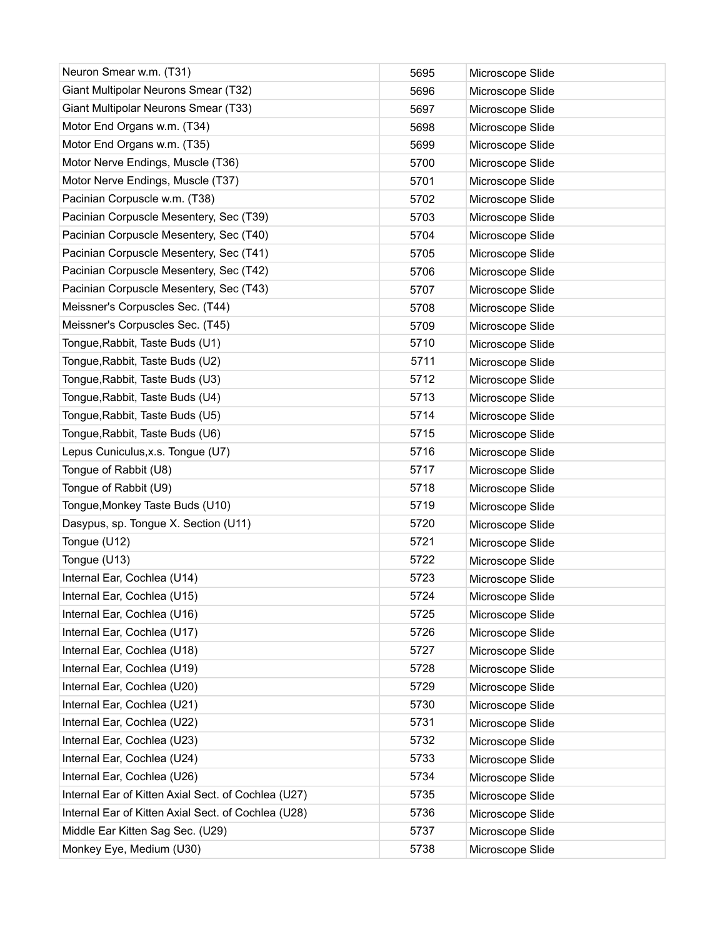| Neuron Smear w.m. (T31)                             | 5695 | Microscope Slide |
|-----------------------------------------------------|------|------------------|
| Giant Multipolar Neurons Smear (T32)                | 5696 | Microscope Slide |
| Giant Multipolar Neurons Smear (T33)                | 5697 | Microscope Slide |
| Motor End Organs w.m. (T34)                         | 5698 | Microscope Slide |
| Motor End Organs w.m. (T35)                         | 5699 | Microscope Slide |
| Motor Nerve Endings, Muscle (T36)                   | 5700 | Microscope Slide |
| Motor Nerve Endings, Muscle (T37)                   | 5701 | Microscope Slide |
| Pacinian Corpuscle w.m. (T38)                       | 5702 | Microscope Slide |
| Pacinian Corpuscle Mesentery, Sec (T39)             | 5703 | Microscope Slide |
| Pacinian Corpuscle Mesentery, Sec (T40)             | 5704 | Microscope Slide |
| Pacinian Corpuscle Mesentery, Sec (T41)             | 5705 | Microscope Slide |
| Pacinian Corpuscle Mesentery, Sec (T42)             | 5706 | Microscope Slide |
| Pacinian Corpuscle Mesentery, Sec (T43)             | 5707 | Microscope Slide |
| Meissner's Corpuscles Sec. (T44)                    | 5708 | Microscope Slide |
| Meissner's Corpuscles Sec. (T45)                    | 5709 | Microscope Slide |
| Tongue, Rabbit, Taste Buds (U1)                     | 5710 | Microscope Slide |
| Tongue, Rabbit, Taste Buds (U2)                     | 5711 | Microscope Slide |
| Tongue, Rabbit, Taste Buds (U3)                     | 5712 | Microscope Slide |
| Tongue, Rabbit, Taste Buds (U4)                     | 5713 | Microscope Slide |
| Tongue, Rabbit, Taste Buds (U5)                     | 5714 | Microscope Slide |
| Tongue, Rabbit, Taste Buds (U6)                     | 5715 | Microscope Slide |
| Lepus Cuniculus, x.s. Tongue (U7)                   | 5716 | Microscope Slide |
| Tongue of Rabbit (U8)                               | 5717 | Microscope Slide |
| Tongue of Rabbit (U9)                               | 5718 | Microscope Slide |
| Tongue, Monkey Taste Buds (U10)                     | 5719 | Microscope Slide |
| Dasypus, sp. Tongue X. Section (U11)                | 5720 | Microscope Slide |
| Tongue (U12)                                        | 5721 | Microscope Slide |
| Tongue (U13)                                        | 5722 | Microscope Slide |
| Internal Ear, Cochlea (U14)                         | 5723 | Microscope Slide |
| Internal Ear, Cochlea (U15)                         | 5724 | Microscope Slide |
| Internal Ear, Cochlea (U16)                         | 5725 | Microscope Slide |
| Internal Ear, Cochlea (U17)                         | 5726 | Microscope Slide |
| Internal Ear, Cochlea (U18)                         | 5727 | Microscope Slide |
| Internal Ear, Cochlea (U19)                         | 5728 | Microscope Slide |
| Internal Ear, Cochlea (U20)                         | 5729 | Microscope Slide |
| Internal Ear, Cochlea (U21)                         | 5730 | Microscope Slide |
| Internal Ear, Cochlea (U22)                         | 5731 | Microscope Slide |
| Internal Ear, Cochlea (U23)                         | 5732 | Microscope Slide |
| Internal Ear, Cochlea (U24)                         | 5733 | Microscope Slide |
| Internal Ear, Cochlea (U26)                         | 5734 | Microscope Slide |
| Internal Ear of Kitten Axial Sect. of Cochlea (U27) | 5735 | Microscope Slide |
| Internal Ear of Kitten Axial Sect. of Cochlea (U28) | 5736 | Microscope Slide |
| Middle Ear Kitten Sag Sec. (U29)                    | 5737 | Microscope Slide |
| Monkey Eye, Medium (U30)                            | 5738 | Microscope Slide |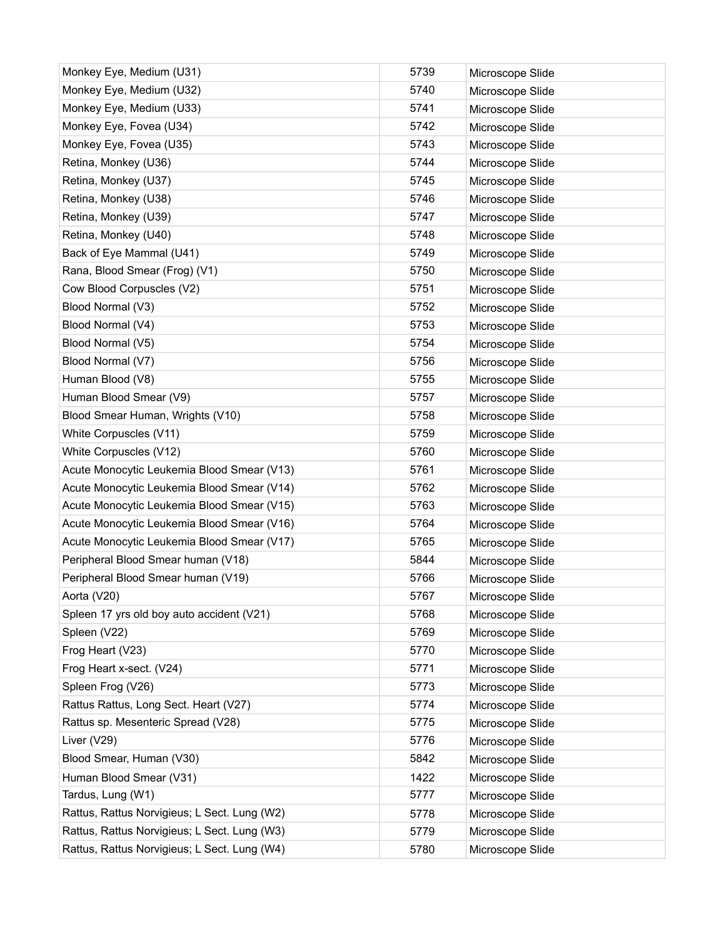| Monkey Eye, Medium (U31)                     | 5739 | Microscope Slide |
|----------------------------------------------|------|------------------|
| Monkey Eye, Medium (U32)                     | 5740 | Microscope Slide |
| Monkey Eye, Medium (U33)                     | 5741 | Microscope Slide |
| Monkey Eye, Fovea (U34)                      | 5742 | Microscope Slide |
| Monkey Eye, Fovea (U35)                      | 5743 | Microscope Slide |
| Retina, Monkey (U36)                         | 5744 | Microscope Slide |
| Retina, Monkey (U37)                         | 5745 | Microscope Slide |
| Retina, Monkey (U38)                         | 5746 | Microscope Slide |
| Retina, Monkey (U39)                         | 5747 | Microscope Slide |
| Retina, Monkey (U40)                         | 5748 | Microscope Slide |
| Back of Eye Mammal (U41)                     | 5749 | Microscope Slide |
| Rana, Blood Smear (Frog) (V1)                | 5750 | Microscope Slide |
| Cow Blood Corpuscles (V2)                    | 5751 | Microscope Slide |
| Blood Normal (V3)                            | 5752 | Microscope Slide |
| Blood Normal (V4)                            | 5753 | Microscope Slide |
| Blood Normal (V5)                            | 5754 | Microscope Slide |
| Blood Normal (V7)                            | 5756 | Microscope Slide |
| Human Blood (V8)                             | 5755 | Microscope Slide |
| Human Blood Smear (V9)                       | 5757 | Microscope Slide |
| Blood Smear Human, Wrights (V10)             | 5758 | Microscope Slide |
| White Corpuscles (V11)                       | 5759 | Microscope Slide |
| White Corpuscles (V12)                       | 5760 | Microscope Slide |
| Acute Monocytic Leukemia Blood Smear (V13)   | 5761 | Microscope Slide |
| Acute Monocytic Leukemia Blood Smear (V14)   | 5762 | Microscope Slide |
| Acute Monocytic Leukemia Blood Smear (V15)   | 5763 | Microscope Slide |
| Acute Monocytic Leukemia Blood Smear (V16)   | 5764 | Microscope Slide |
| Acute Monocytic Leukemia Blood Smear (V17)   | 5765 | Microscope Slide |
| Peripheral Blood Smear human (V18)           | 5844 | Microscope Slide |
| Peripheral Blood Smear human (V19)           | 5766 | Microscope Slide |
| Aorta (V20)                                  | 5767 | Microscope Slide |
| Spleen 17 yrs old boy auto accident (V21)    | 5768 | Microscope Slide |
| Spleen (V22)                                 | 5769 | Microscope Slide |
| Frog Heart (V23)                             | 5770 | Microscope Slide |
| Frog Heart x-sect. (V24)                     | 5771 | Microscope Slide |
| Spleen Frog (V26)                            | 5773 | Microscope Slide |
| Rattus Rattus, Long Sect. Heart (V27)        | 5774 | Microscope Slide |
| Rattus sp. Mesenteric Spread (V28)           | 5775 | Microscope Slide |
| Liver (V29)                                  | 5776 | Microscope Slide |
| Blood Smear, Human (V30)                     | 5842 | Microscope Slide |
| Human Blood Smear (V31)                      | 1422 | Microscope Slide |
| Tardus, Lung (W1)                            | 5777 | Microscope Slide |
| Rattus, Rattus Norvigieus; L Sect. Lung (W2) | 5778 | Microscope Slide |
| Rattus, Rattus Norvigieus; L Sect. Lung (W3) | 5779 | Microscope Slide |
| Rattus, Rattus Norvigieus; L Sect. Lung (W4) | 5780 | Microscope Slide |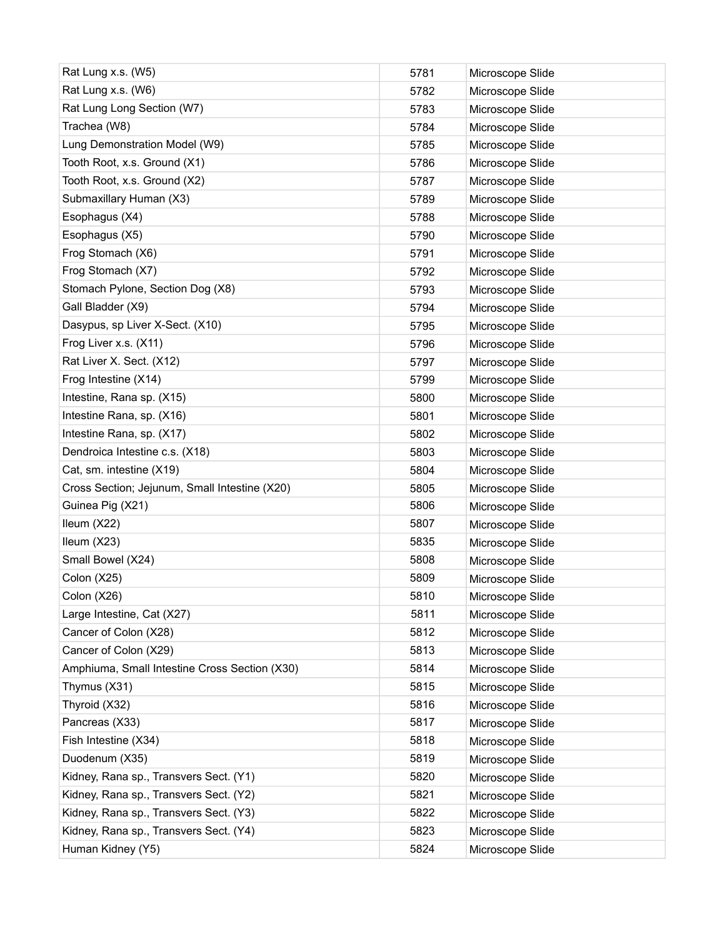| Rat Lung x.s. (W5)                            | 5781 | Microscope Slide |
|-----------------------------------------------|------|------------------|
| Rat Lung x.s. (W6)                            | 5782 | Microscope Slide |
| Rat Lung Long Section (W7)                    | 5783 | Microscope Slide |
| Trachea (W8)                                  | 5784 | Microscope Slide |
| Lung Demonstration Model (W9)                 | 5785 | Microscope Slide |
| Tooth Root, x.s. Ground (X1)                  | 5786 | Microscope Slide |
| Tooth Root, x.s. Ground (X2)                  | 5787 | Microscope Slide |
| Submaxillary Human (X3)                       | 5789 | Microscope Slide |
| Esophagus (X4)                                | 5788 | Microscope Slide |
| Esophagus (X5)                                | 5790 | Microscope Slide |
| Frog Stomach (X6)                             | 5791 | Microscope Slide |
| Frog Stomach (X7)                             | 5792 | Microscope Slide |
| Stomach Pylone, Section Dog (X8)              | 5793 | Microscope Slide |
| Gall Bladder (X9)                             | 5794 | Microscope Slide |
| Dasypus, sp Liver X-Sect. (X10)               | 5795 | Microscope Slide |
| Frog Liver x.s. (X11)                         | 5796 | Microscope Slide |
| Rat Liver X. Sect. (X12)                      | 5797 | Microscope Slide |
| Frog Intestine (X14)                          | 5799 | Microscope Slide |
| Intestine, Rana sp. (X15)                     | 5800 | Microscope Slide |
| Intestine Rana, sp. (X16)                     | 5801 | Microscope Slide |
| Intestine Rana, sp. (X17)                     | 5802 | Microscope Slide |
| Dendroica Intestine c.s. (X18)                | 5803 | Microscope Slide |
| Cat, sm. intestine (X19)                      | 5804 | Microscope Slide |
| Cross Section; Jejunum, Small Intestine (X20) | 5805 | Microscope Slide |
| Guinea Pig (X21)                              | 5806 | Microscope Slide |
| Ileum (X22)                                   | 5807 | Microscope Slide |
| Ileum (X23)                                   | 5835 | Microscope Slide |
| Small Bowel (X24)                             | 5808 | Microscope Slide |
| Colon (X25)                                   | 5809 | Microscope Slide |
| Colon (X26)                                   | 5810 | Microscope Slide |
| Large Intestine, Cat (X27)                    | 5811 | Microscope Slide |
| Cancer of Colon (X28)                         | 5812 | Microscope Slide |
| Cancer of Colon (X29)                         | 5813 | Microscope Slide |
| Amphiuma, Small Intestine Cross Section (X30) | 5814 | Microscope Slide |
| Thymus (X31)                                  | 5815 | Microscope Slide |
| Thyroid (X32)                                 | 5816 | Microscope Slide |
| Pancreas (X33)                                | 5817 | Microscope Slide |
| Fish Intestine (X34)                          | 5818 | Microscope Slide |
| Duodenum (X35)                                | 5819 | Microscope Slide |
| Kidney, Rana sp., Transvers Sect. (Y1)        | 5820 | Microscope Slide |
| Kidney, Rana sp., Transvers Sect. (Y2)        | 5821 | Microscope Slide |
| Kidney, Rana sp., Transvers Sect. (Y3)        | 5822 | Microscope Slide |
| Kidney, Rana sp., Transvers Sect. (Y4)        | 5823 | Microscope Slide |
| Human Kidney (Y5)                             | 5824 | Microscope Slide |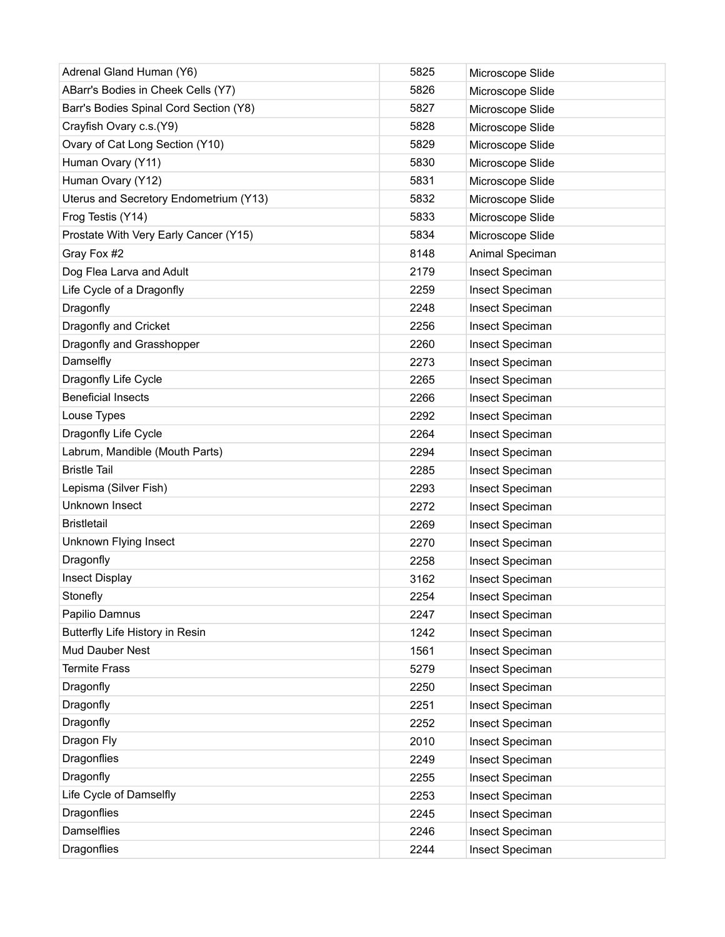| Adrenal Gland Human (Y6)               | 5825 | Microscope Slide |
|----------------------------------------|------|------------------|
| ABarr's Bodies in Cheek Cells (Y7)     | 5826 | Microscope Slide |
| Barr's Bodies Spinal Cord Section (Y8) | 5827 | Microscope Slide |
| Crayfish Ovary c.s.(Y9)                | 5828 | Microscope Slide |
| Ovary of Cat Long Section (Y10)        | 5829 | Microscope Slide |
| Human Ovary (Y11)                      | 5830 | Microscope Slide |
| Human Ovary (Y12)                      | 5831 | Microscope Slide |
| Uterus and Secretory Endometrium (Y13) | 5832 | Microscope Slide |
| Frog Testis (Y14)                      | 5833 | Microscope Slide |
| Prostate With Very Early Cancer (Y15)  | 5834 | Microscope Slide |
| Gray Fox #2                            | 8148 | Animal Speciman  |
| Dog Flea Larva and Adult               | 2179 | Insect Speciman  |
| Life Cycle of a Dragonfly              | 2259 | Insect Speciman  |
| Dragonfly                              | 2248 | Insect Speciman  |
| Dragonfly and Cricket                  | 2256 | Insect Speciman  |
| Dragonfly and Grasshopper              | 2260 | Insect Speciman  |
| Damselfly                              | 2273 | Insect Speciman  |
| Dragonfly Life Cycle                   | 2265 | Insect Speciman  |
| <b>Beneficial Insects</b>              | 2266 | Insect Speciman  |
| Louse Types                            | 2292 | Insect Speciman  |
| Dragonfly Life Cycle                   | 2264 | Insect Speciman  |
| Labrum, Mandible (Mouth Parts)         | 2294 | Insect Speciman  |
| <b>Bristle Tail</b>                    | 2285 | Insect Speciman  |
| Lepisma (Silver Fish)                  | 2293 | Insect Speciman  |
| <b>Unknown Insect</b>                  | 2272 | Insect Speciman  |
| <b>Bristletail</b>                     | 2269 | Insect Speciman  |
| Unknown Flying Insect                  | 2270 | Insect Speciman  |
| Dragonfly                              | 2258 | Insect Speciman  |
| <b>Insect Display</b>                  | 3162 | Insect Speciman  |
| Stonefly                               | 2254 | Insect Speciman  |
| Papilio Damnus                         | 2247 | Insect Speciman  |
| Butterfly Life History in Resin        | 1242 | Insect Speciman  |
| Mud Dauber Nest                        | 1561 | Insect Speciman  |
| <b>Termite Frass</b>                   | 5279 | Insect Speciman  |
| Dragonfly                              | 2250 | Insect Speciman  |
| Dragonfly                              | 2251 | Insect Speciman  |
| Dragonfly                              | 2252 | Insect Speciman  |
| Dragon Fly                             | 2010 | Insect Speciman  |
| Dragonflies                            | 2249 | Insect Speciman  |
| Dragonfly                              | 2255 | Insect Speciman  |
| Life Cycle of Damselfly                | 2253 | Insect Speciman  |
| Dragonflies                            | 2245 | Insect Speciman  |
| <b>Damselflies</b>                     | 2246 | Insect Speciman  |
| Dragonflies                            | 2244 | Insect Speciman  |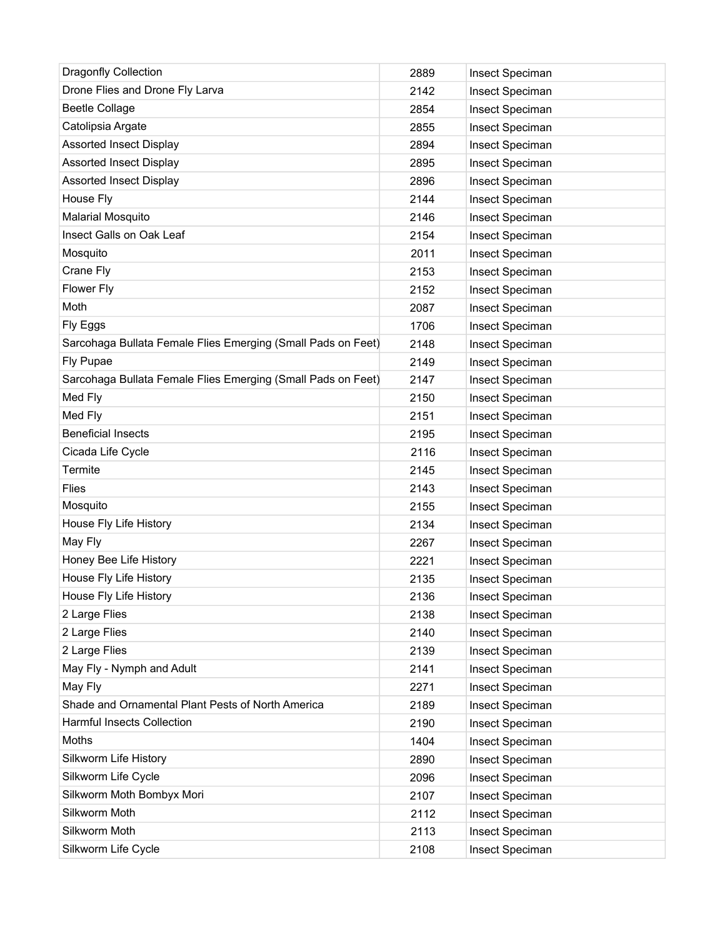| <b>Dragonfly Collection</b>                                  | 2889 | Insect Speciman |
|--------------------------------------------------------------|------|-----------------|
| Drone Flies and Drone Fly Larva                              | 2142 | Insect Speciman |
| <b>Beetle Collage</b>                                        | 2854 | Insect Speciman |
| Catolipsia Argate                                            | 2855 | Insect Speciman |
| <b>Assorted Insect Display</b>                               | 2894 | Insect Speciman |
| <b>Assorted Insect Display</b>                               | 2895 | Insect Speciman |
| <b>Assorted Insect Display</b>                               | 2896 | Insect Speciman |
| House Fly                                                    | 2144 | Insect Speciman |
| <b>Malarial Mosquito</b>                                     | 2146 | Insect Speciman |
| Insect Galls on Oak Leaf                                     | 2154 | Insect Speciman |
| Mosquito                                                     | 2011 | Insect Speciman |
| Crane Fly                                                    | 2153 | Insect Speciman |
| Flower Fly                                                   | 2152 | Insect Speciman |
| Moth                                                         | 2087 | Insect Speciman |
| Fly Eggs                                                     | 1706 | Insect Speciman |
| Sarcohaga Bullata Female Flies Emerging (Small Pads on Feet) | 2148 | Insect Speciman |
| Fly Pupae                                                    | 2149 | Insect Speciman |
| Sarcohaga Bullata Female Flies Emerging (Small Pads on Feet) | 2147 | Insect Speciman |
| Med Fly                                                      | 2150 | Insect Speciman |
| Med Fly                                                      | 2151 | Insect Speciman |
| <b>Beneficial Insects</b>                                    | 2195 | Insect Speciman |
| Cicada Life Cycle                                            | 2116 | Insect Speciman |
| Termite                                                      | 2145 | Insect Speciman |
| <b>Flies</b>                                                 | 2143 | Insect Speciman |
| Mosquito                                                     | 2155 | Insect Speciman |
| House Fly Life History                                       | 2134 | Insect Speciman |
| May Fly                                                      | 2267 | Insect Speciman |
| Honey Bee Life History                                       | 2221 | Insect Speciman |
| House Fly Life History                                       | 2135 | Insect Speciman |
| House Fly Life History                                       | 2136 | Insect Speciman |
| 2 Large Flies                                                | 2138 | Insect Speciman |
| 2 Large Flies                                                | 2140 | Insect Speciman |
| 2 Large Flies                                                | 2139 | Insect Speciman |
| May Fly - Nymph and Adult                                    | 2141 | Insect Speciman |
| May Fly                                                      | 2271 | Insect Speciman |
| Shade and Ornamental Plant Pests of North America            | 2189 | Insect Speciman |
| <b>Harmful Insects Collection</b>                            | 2190 | Insect Speciman |
| Moths                                                        | 1404 | Insect Speciman |
| Silkworm Life History                                        | 2890 | Insect Speciman |
| Silkworm Life Cycle                                          | 2096 | Insect Speciman |
| Silkworm Moth Bombyx Mori                                    | 2107 | Insect Speciman |
| Silkworm Moth                                                | 2112 | Insect Speciman |
| Silkworm Moth                                                | 2113 | Insect Speciman |
| Silkworm Life Cycle                                          | 2108 | Insect Speciman |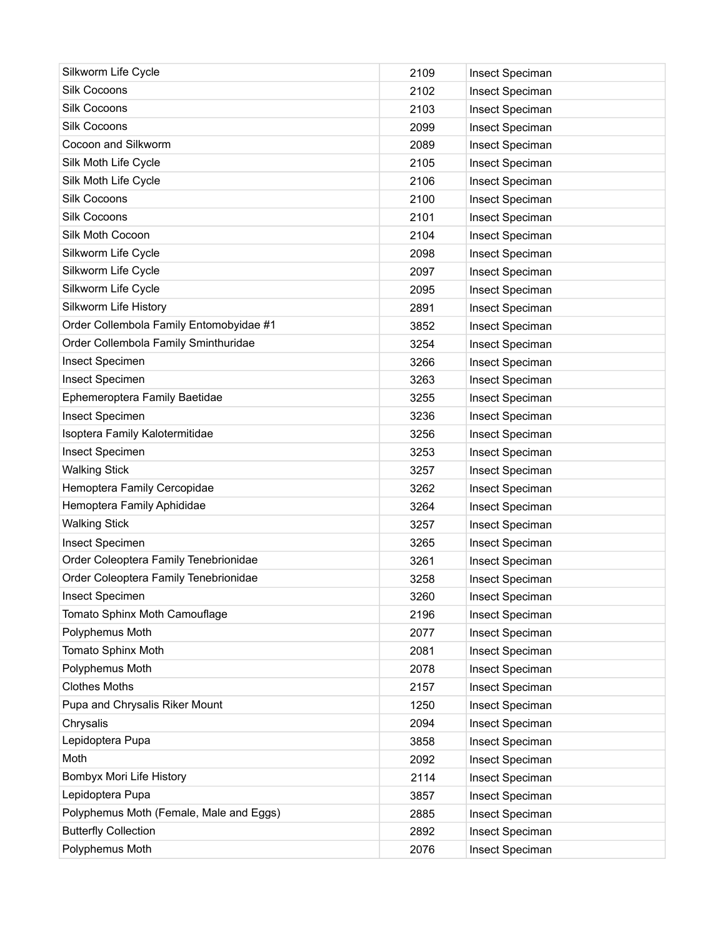| Silkworm Life Cycle                     | 2109 | Insect Speciman |
|-----------------------------------------|------|-----------------|
| Silk Cocoons                            | 2102 | Insect Speciman |
| Silk Cocoons                            | 2103 | Insect Speciman |
| Silk Cocoons                            | 2099 | Insect Speciman |
| Cocoon and Silkworm                     | 2089 | Insect Speciman |
| Silk Moth Life Cycle                    | 2105 | Insect Speciman |
| Silk Moth Life Cycle                    | 2106 | Insect Speciman |
| Silk Cocoons                            | 2100 | Insect Speciman |
| Silk Cocoons                            | 2101 | Insect Speciman |
| Silk Moth Cocoon                        | 2104 | Insect Speciman |
| Silkworm Life Cycle                     | 2098 | Insect Speciman |
| Silkworm Life Cycle                     | 2097 | Insect Speciman |
| Silkworm Life Cycle                     | 2095 | Insect Speciman |
| Silkworm Life History                   | 2891 | Insect Speciman |
| Order Collembola Family Entomobyidae #1 | 3852 | Insect Speciman |
| Order Collembola Family Sminthuridae    | 3254 | Insect Speciman |
| Insect Specimen                         | 3266 | Insect Speciman |
| <b>Insect Specimen</b>                  | 3263 | Insect Speciman |
| Ephemeroptera Family Baetidae           | 3255 | Insect Speciman |
| Insect Specimen                         | 3236 | Insect Speciman |
| Isoptera Family Kalotermitidae          | 3256 | Insect Speciman |
| Insect Specimen                         | 3253 | Insect Speciman |
| <b>Walking Stick</b>                    | 3257 | Insect Speciman |
| Hemoptera Family Cercopidae             | 3262 | Insect Speciman |
| Hemoptera Family Aphididae              | 3264 | Insect Speciman |
| <b>Walking Stick</b>                    | 3257 | Insect Speciman |
| Insect Specimen                         | 3265 | Insect Speciman |
| Order Coleoptera Family Tenebrionidae   | 3261 | Insect Speciman |
| Order Coleoptera Family Tenebrionidae   | 3258 | Insect Speciman |
| Insect Specimen                         | 3260 | Insect Speciman |
| Tomato Sphinx Moth Camouflage           | 2196 | Insect Speciman |
| Polyphemus Moth                         | 2077 | Insect Speciman |
| Tomato Sphinx Moth                      | 2081 | Insect Speciman |
| Polyphemus Moth                         | 2078 | Insect Speciman |
| <b>Clothes Moths</b>                    | 2157 | Insect Speciman |
| Pupa and Chrysalis Riker Mount          | 1250 | Insect Speciman |
| Chrysalis                               | 2094 | Insect Speciman |
| Lepidoptera Pupa                        | 3858 | Insect Speciman |
| Moth                                    | 2092 | Insect Speciman |
| Bombyx Mori Life History                | 2114 | Insect Speciman |
| Lepidoptera Pupa                        | 3857 | Insect Speciman |
| Polyphemus Moth (Female, Male and Eggs) | 2885 | Insect Speciman |
| <b>Butterfly Collection</b>             | 2892 | Insect Speciman |
| Polyphemus Moth                         | 2076 | Insect Speciman |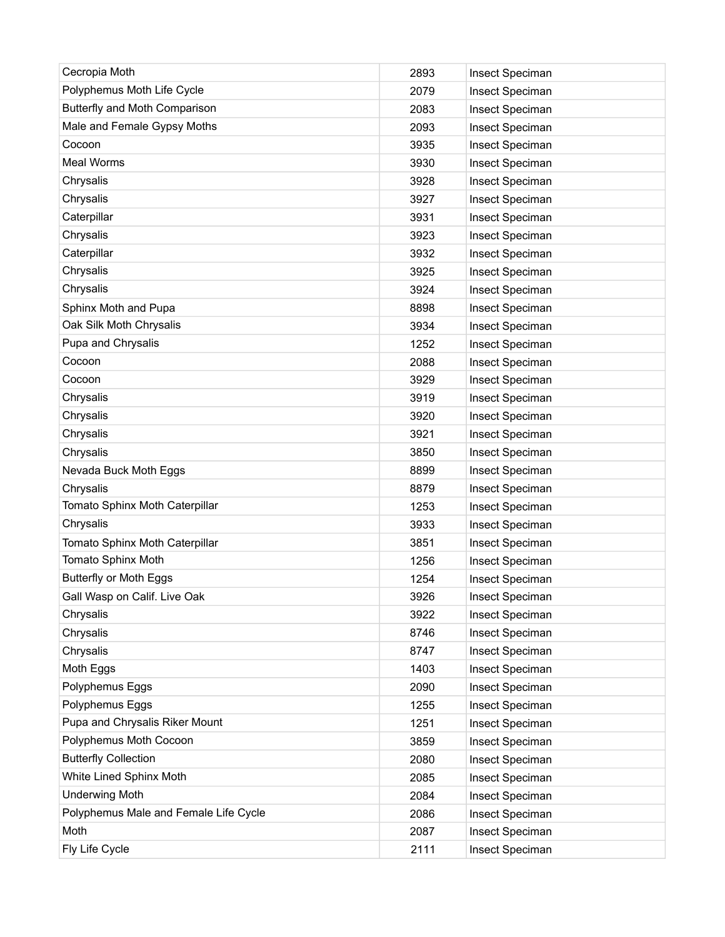| Cecropia Moth                         | 2893 | Insect Speciman |
|---------------------------------------|------|-----------------|
| Polyphemus Moth Life Cycle            | 2079 | Insect Speciman |
| Butterfly and Moth Comparison         | 2083 | Insect Speciman |
| Male and Female Gypsy Moths           | 2093 | Insect Speciman |
| Cocoon                                | 3935 | Insect Speciman |
| Meal Worms                            | 3930 | Insect Speciman |
| Chrysalis                             | 3928 | Insect Speciman |
| Chrysalis                             | 3927 | Insect Speciman |
| Caterpillar                           | 3931 | Insect Speciman |
| Chrysalis                             | 3923 | Insect Speciman |
| Caterpillar                           | 3932 | Insect Speciman |
| Chrysalis                             | 3925 | Insect Speciman |
| Chrysalis                             | 3924 | Insect Speciman |
| Sphinx Moth and Pupa                  | 8898 | Insect Speciman |
| Oak Silk Moth Chrysalis               | 3934 | Insect Speciman |
| Pupa and Chrysalis                    | 1252 | Insect Speciman |
| Cocoon                                | 2088 | Insect Speciman |
| Cocoon                                | 3929 | Insect Speciman |
| Chrysalis                             | 3919 | Insect Speciman |
| Chrysalis                             | 3920 | Insect Speciman |
| Chrysalis                             | 3921 | Insect Speciman |
| Chrysalis                             | 3850 | Insect Speciman |
| Nevada Buck Moth Eggs                 | 8899 | Insect Speciman |
| Chrysalis                             | 8879 | Insect Speciman |
| Tomato Sphinx Moth Caterpillar        | 1253 | Insect Speciman |
| Chrysalis                             | 3933 | Insect Speciman |
| Tomato Sphinx Moth Caterpillar        | 3851 | Insect Speciman |
| Tomato Sphinx Moth                    | 1256 | Insect Speciman |
| <b>Butterfly or Moth Eggs</b>         | 1254 | Insect Speciman |
| Gall Wasp on Calif. Live Oak          | 3926 | Insect Speciman |
| Chrysalis                             | 3922 | Insect Speciman |
| Chrysalis                             | 8746 | Insect Speciman |
| Chrysalis                             | 8747 | Insect Speciman |
| Moth Eggs                             | 1403 | Insect Speciman |
| Polyphemus Eggs                       | 2090 | Insect Speciman |
| Polyphemus Eggs                       | 1255 | Insect Speciman |
| Pupa and Chrysalis Riker Mount        | 1251 | Insect Speciman |
| Polyphemus Moth Cocoon                | 3859 | Insect Speciman |
| <b>Butterfly Collection</b>           | 2080 | Insect Speciman |
| White Lined Sphinx Moth               | 2085 | Insect Speciman |
| <b>Underwing Moth</b>                 | 2084 | Insect Speciman |
| Polyphemus Male and Female Life Cycle | 2086 | Insect Speciman |
| Moth                                  | 2087 | Insect Speciman |
| Fly Life Cycle                        | 2111 | Insect Speciman |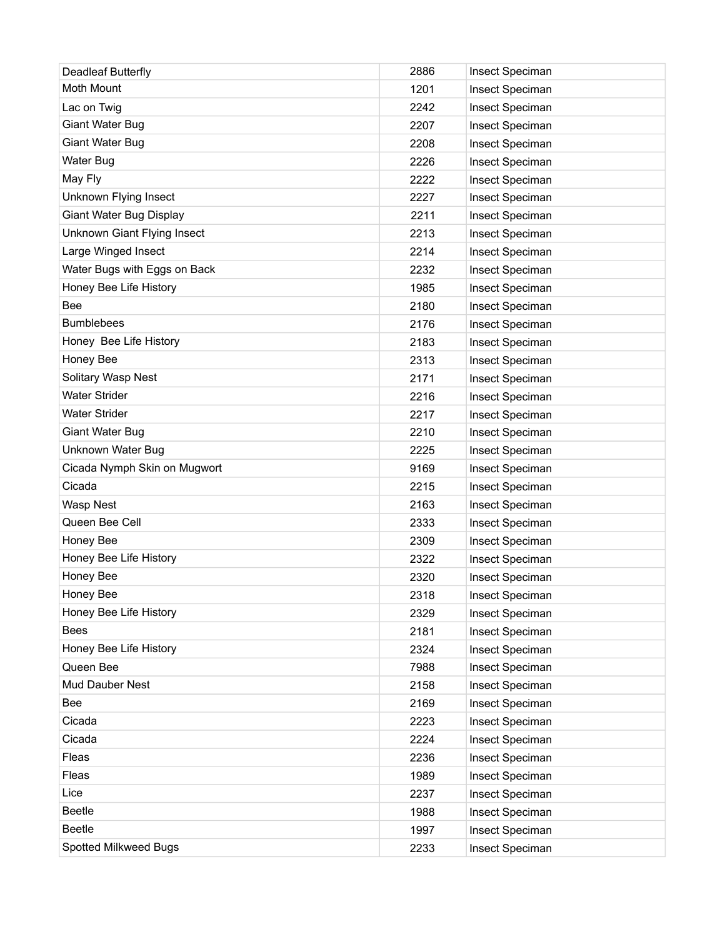| Deadleaf Butterfly           | 2886 | Insect Speciman |
|------------------------------|------|-----------------|
| Moth Mount                   | 1201 | Insect Speciman |
| Lac on Twig                  | 2242 | Insect Speciman |
| Giant Water Bug              | 2207 | Insect Speciman |
| Giant Water Bug              | 2208 | Insect Speciman |
| <b>Water Bug</b>             | 2226 | Insect Speciman |
| May Fly                      | 2222 | Insect Speciman |
| Unknown Flying Insect        | 2227 | Insect Speciman |
| Giant Water Bug Display      | 2211 | Insect Speciman |
| Unknown Giant Flying Insect  | 2213 | Insect Speciman |
| Large Winged Insect          | 2214 | Insect Speciman |
| Water Bugs with Eggs on Back | 2232 | Insect Speciman |
| Honey Bee Life History       | 1985 | Insect Speciman |
| Bee                          | 2180 | Insect Speciman |
| <b>Bumblebees</b>            | 2176 | Insect Speciman |
| Honey Bee Life History       | 2183 | Insect Speciman |
| Honey Bee                    | 2313 | Insect Speciman |
| Solitary Wasp Nest           | 2171 | Insect Speciman |
| <b>Water Strider</b>         | 2216 | Insect Speciman |
| <b>Water Strider</b>         | 2217 | Insect Speciman |
| Giant Water Bug              | 2210 | Insect Speciman |
| Unknown Water Bug            | 2225 | Insect Speciman |
| Cicada Nymph Skin on Mugwort | 9169 | Insect Speciman |
| Cicada                       | 2215 | Insect Speciman |
| <b>Wasp Nest</b>             | 2163 | Insect Speciman |
| Queen Bee Cell               | 2333 | Insect Speciman |
| Honey Bee                    | 2309 | Insect Speciman |
| Honey Bee Life History       | 2322 | Insect Speciman |
| Honey Bee                    | 2320 | Insect Speciman |
| Honey Bee                    | 2318 | Insect Speciman |
| Honey Bee Life History       | 2329 | Insect Speciman |
| <b>Bees</b>                  | 2181 | Insect Speciman |
| Honey Bee Life History       | 2324 | Insect Speciman |
| Queen Bee                    | 7988 | Insect Speciman |
| Mud Dauber Nest              | 2158 | Insect Speciman |
| Bee                          | 2169 | Insect Speciman |
| Cicada                       | 2223 | Insect Speciman |
| Cicada                       | 2224 | Insect Speciman |
| Fleas                        | 2236 | Insect Speciman |
| Fleas                        | 1989 | Insect Speciman |
| Lice                         | 2237 | Insect Speciman |
| <b>Beetle</b>                | 1988 | Insect Speciman |
| <b>Beetle</b>                | 1997 | Insect Speciman |
| Spotted Milkweed Bugs        | 2233 | Insect Speciman |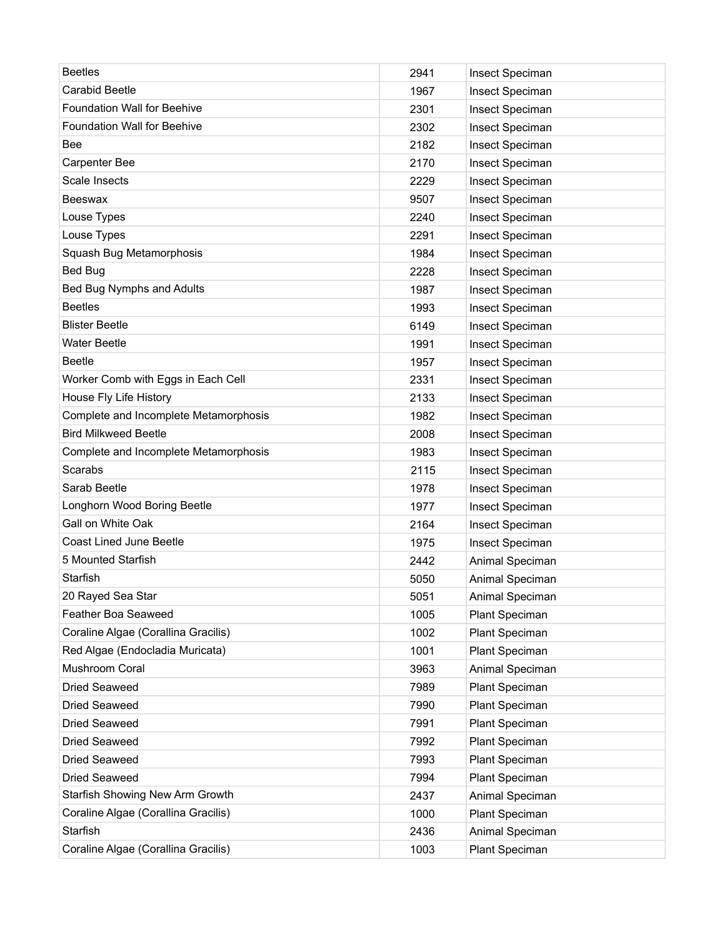| <b>Beetles</b>                        | 2941 | Insect Speciman |
|---------------------------------------|------|-----------------|
| Carabid Beetle                        | 1967 | Insect Speciman |
| <b>Foundation Wall for Beehive</b>    | 2301 | Insect Speciman |
| <b>Foundation Wall for Beehive</b>    | 2302 | Insect Speciman |
| Bee                                   | 2182 | Insect Speciman |
| <b>Carpenter Bee</b>                  | 2170 | Insect Speciman |
| Scale Insects                         | 2229 | Insect Speciman |
| Beeswax                               | 9507 | Insect Speciman |
| Louse Types                           | 2240 | Insect Speciman |
| Louse Types                           | 2291 | Insect Speciman |
| Squash Bug Metamorphosis              | 1984 | Insect Speciman |
| <b>Bed Bug</b>                        | 2228 | Insect Speciman |
| Bed Bug Nymphs and Adults             | 1987 | Insect Speciman |
| <b>Beetles</b>                        | 1993 | Insect Speciman |
| <b>Blister Beetle</b>                 | 6149 | Insect Speciman |
| <b>Water Beetle</b>                   | 1991 | Insect Speciman |
| <b>Beetle</b>                         | 1957 | Insect Speciman |
| Worker Comb with Eggs in Each Cell    | 2331 | Insect Speciman |
| House Fly Life History                | 2133 | Insect Speciman |
| Complete and Incomplete Metamorphosis | 1982 | Insect Speciman |
| <b>Bird Milkweed Beetle</b>           | 2008 | Insect Speciman |
| Complete and Incomplete Metamorphosis | 1983 | Insect Speciman |
| Scarabs                               | 2115 | Insect Speciman |
| Sarab Beetle                          | 1978 | Insect Speciman |
| Longhorn Wood Boring Beetle           | 1977 | Insect Speciman |
| Gall on White Oak                     | 2164 | Insect Speciman |
| <b>Coast Lined June Beetle</b>        | 1975 | Insect Speciman |
| 5 Mounted Starfish                    | 2442 | Animal Speciman |
| Starfish                              | 5050 | Animal Speciman |
| 20 Rayed Sea Star                     | 5051 | Animal Speciman |
| Feather Boa Seaweed                   | 1005 | Plant Speciman  |
| Coraline Algae (Corallina Gracilis)   | 1002 | Plant Speciman  |
| Red Algae (Endocladia Muricata)       | 1001 | Plant Speciman  |
| Mushroom Coral                        | 3963 | Animal Speciman |
| <b>Dried Seaweed</b>                  | 7989 | Plant Speciman  |
| <b>Dried Seaweed</b>                  | 7990 | Plant Speciman  |
| Dried Seaweed                         | 7991 | Plant Speciman  |
| Dried Seaweed                         | 7992 | Plant Speciman  |
| Dried Seaweed                         | 7993 | Plant Speciman  |
| Dried Seaweed                         | 7994 | Plant Speciman  |
| Starfish Showing New Arm Growth       | 2437 | Animal Speciman |
| Coraline Algae (Corallina Gracilis)   | 1000 | Plant Speciman  |
| Starfish                              | 2436 | Animal Speciman |
| Coraline Algae (Corallina Gracilis)   | 1003 | Plant Speciman  |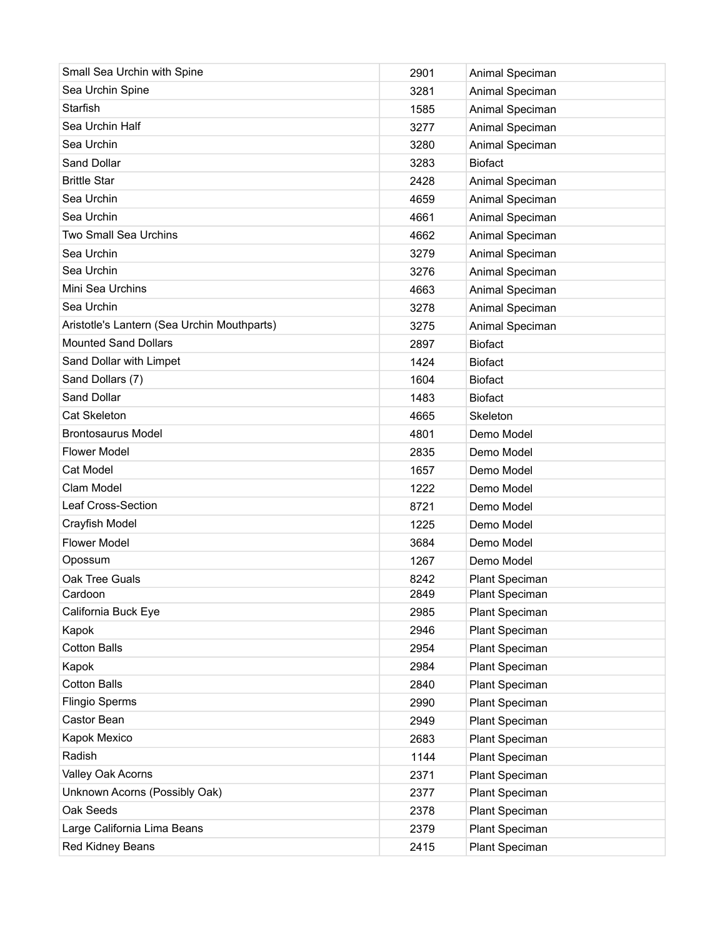| Small Sea Urchin with Spine                 | 2901 | Animal Speciman |
|---------------------------------------------|------|-----------------|
| Sea Urchin Spine                            | 3281 | Animal Speciman |
| Starfish                                    | 1585 | Animal Speciman |
| Sea Urchin Half                             | 3277 | Animal Speciman |
| Sea Urchin                                  | 3280 | Animal Speciman |
| Sand Dollar                                 | 3283 | <b>Biofact</b>  |
| <b>Brittle Star</b>                         | 2428 | Animal Speciman |
| Sea Urchin                                  | 4659 | Animal Speciman |
| Sea Urchin                                  | 4661 | Animal Speciman |
| <b>Two Small Sea Urchins</b>                | 4662 | Animal Speciman |
| Sea Urchin                                  | 3279 | Animal Speciman |
| Sea Urchin                                  | 3276 | Animal Speciman |
| Mini Sea Urchins                            | 4663 | Animal Speciman |
| Sea Urchin                                  | 3278 | Animal Speciman |
| Aristotle's Lantern (Sea Urchin Mouthparts) | 3275 | Animal Speciman |
| <b>Mounted Sand Dollars</b>                 | 2897 | <b>Biofact</b>  |
| Sand Dollar with Limpet                     | 1424 | <b>Biofact</b>  |
| Sand Dollars (7)                            | 1604 | <b>Biofact</b>  |
| Sand Dollar                                 | 1483 | <b>Biofact</b>  |
| Cat Skeleton                                | 4665 | Skeleton        |
| <b>Brontosaurus Model</b>                   | 4801 | Demo Model      |
| <b>Flower Model</b>                         | 2835 | Demo Model      |
| <b>Cat Model</b>                            | 1657 | Demo Model      |
| Clam Model                                  | 1222 | Demo Model      |
| Leaf Cross-Section                          | 8721 | Demo Model      |
| Crayfish Model                              | 1225 | Demo Model      |
| <b>Flower Model</b>                         | 3684 | Demo Model      |
| Opossum                                     | 1267 | Demo Model      |
| Oak Tree Guals                              | 8242 | Plant Speciman  |
| Cardoon                                     | 2849 | Plant Speciman  |
| California Buck Eye                         | 2985 | Plant Speciman  |
| Kapok                                       | 2946 | Plant Speciman  |
| <b>Cotton Balls</b>                         | 2954 | Plant Speciman  |
| Kapok                                       | 2984 | Plant Speciman  |
| <b>Cotton Balls</b>                         | 2840 | Plant Speciman  |
| <b>Flingio Sperms</b>                       | 2990 | Plant Speciman  |
| Castor Bean                                 | 2949 | Plant Speciman  |
| Kapok Mexico                                | 2683 | Plant Speciman  |
| Radish                                      | 1144 | Plant Speciman  |
| Valley Oak Acorns                           | 2371 | Plant Speciman  |
| Unknown Acorns (Possibly Oak)               | 2377 | Plant Speciman  |
| Oak Seeds                                   | 2378 | Plant Speciman  |
| Large California Lima Beans                 | 2379 | Plant Speciman  |
| Red Kidney Beans                            | 2415 | Plant Speciman  |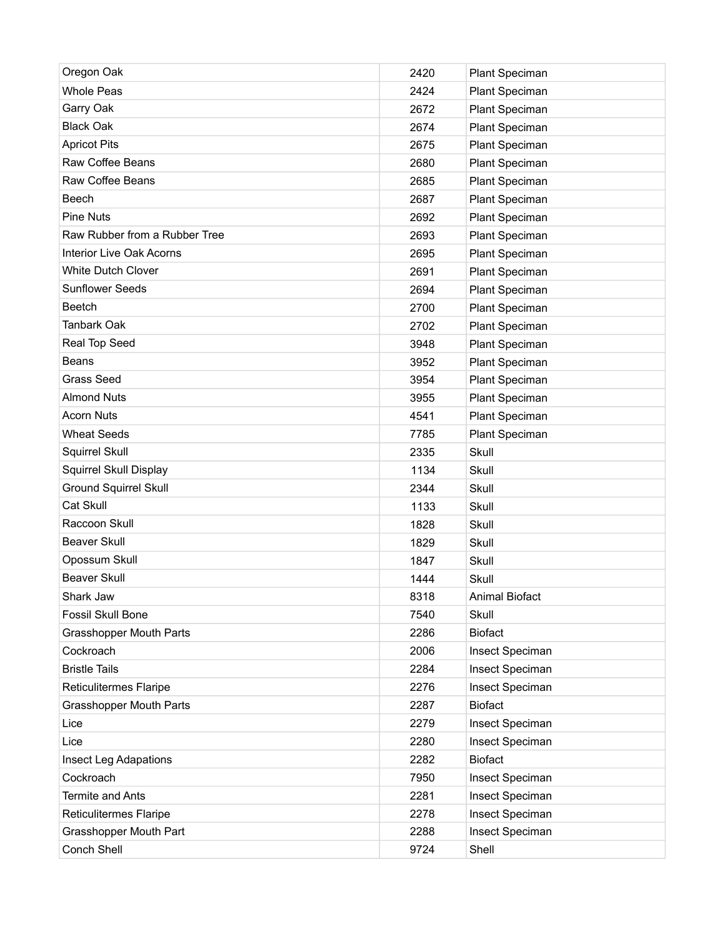| Oregon Oak                      | 2420 | <b>Plant Speciman</b> |
|---------------------------------|------|-----------------------|
| <b>Whole Peas</b>               | 2424 | <b>Plant Speciman</b> |
| Garry Oak                       | 2672 | Plant Speciman        |
| <b>Black Oak</b>                | 2674 | Plant Speciman        |
| <b>Apricot Pits</b>             | 2675 | Plant Speciman        |
| Raw Coffee Beans                | 2680 | <b>Plant Speciman</b> |
| Raw Coffee Beans                | 2685 | Plant Speciman        |
| Beech                           | 2687 | <b>Plant Speciman</b> |
| <b>Pine Nuts</b>                | 2692 | Plant Speciman        |
| Raw Rubber from a Rubber Tree   | 2693 | <b>Plant Speciman</b> |
| <b>Interior Live Oak Acorns</b> | 2695 | <b>Plant Speciman</b> |
| <b>White Dutch Clover</b>       | 2691 | Plant Speciman        |
| <b>Sunflower Seeds</b>          | 2694 | <b>Plant Speciman</b> |
| Beetch                          | 2700 | Plant Speciman        |
| <b>Tanbark Oak</b>              | 2702 | Plant Speciman        |
| Real Top Seed                   | 3948 | Plant Speciman        |
| <b>Beans</b>                    | 3952 | Plant Speciman        |
| <b>Grass Seed</b>               | 3954 | Plant Speciman        |
| <b>Almond Nuts</b>              | 3955 | Plant Speciman        |
| <b>Acorn Nuts</b>               | 4541 | Plant Speciman        |
| <b>Wheat Seeds</b>              | 7785 | Plant Speciman        |
| Squirrel Skull                  | 2335 | Skull                 |
| Squirrel Skull Display          | 1134 | Skull                 |
| <b>Ground Squirrel Skull</b>    | 2344 | Skull                 |
| Cat Skull                       | 1133 | Skull                 |
| Raccoon Skull                   | 1828 | Skull                 |
| <b>Beaver Skull</b>             | 1829 | Skull                 |
| Opossum Skull                   | 1847 | Skull                 |
| <b>Beaver Skull</b>             | 1444 | Skull                 |
| Shark Jaw                       | 8318 | <b>Animal Biofact</b> |
| Fossil Skull Bone               | 7540 | Skull                 |
| <b>Grasshopper Mouth Parts</b>  | 2286 | <b>Biofact</b>        |
| Cockroach                       | 2006 | Insect Speciman       |
| <b>Bristle Tails</b>            | 2284 | Insect Speciman       |
| <b>Reticulitermes Flaripe</b>   | 2276 | Insect Speciman       |
| <b>Grasshopper Mouth Parts</b>  | 2287 | <b>Biofact</b>        |
| Lice                            | 2279 | Insect Speciman       |
| Lice                            | 2280 | Insect Speciman       |
| <b>Insect Leg Adapations</b>    | 2282 | <b>Biofact</b>        |
| Cockroach                       | 7950 | Insect Speciman       |
| <b>Termite and Ants</b>         | 2281 | Insect Speciman       |
| Reticulitermes Flaripe          | 2278 | Insect Speciman       |
| Grasshopper Mouth Part          | 2288 | Insect Speciman       |
| Conch Shell                     | 9724 | Shell                 |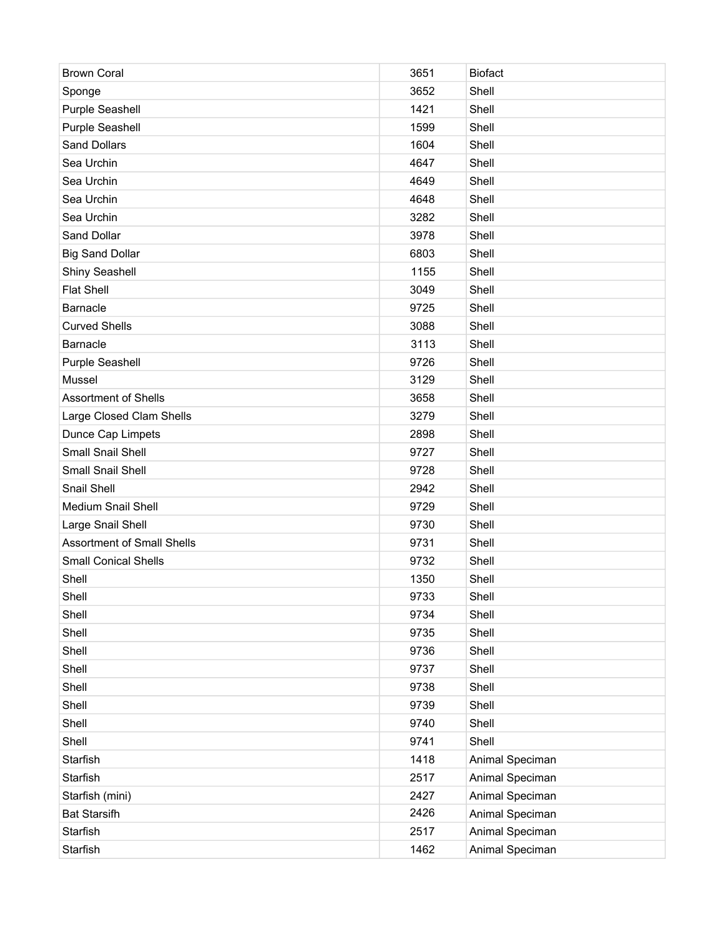| <b>Brown Coral</b>                | 3651 | <b>Biofact</b>  |
|-----------------------------------|------|-----------------|
| Sponge                            | 3652 | Shell           |
| Purple Seashell                   | 1421 | Shell           |
| <b>Purple Seashell</b>            | 1599 | Shell           |
| Sand Dollars                      | 1604 | Shell           |
| Sea Urchin                        | 4647 | Shell           |
| Sea Urchin                        | 4649 | Shell           |
| Sea Urchin                        | 4648 | Shell           |
| Sea Urchin                        | 3282 | Shell           |
| Sand Dollar                       | 3978 | Shell           |
| <b>Big Sand Dollar</b>            | 6803 | Shell           |
| Shiny Seashell                    | 1155 | Shell           |
| <b>Flat Shell</b>                 | 3049 | Shell           |
| Barnacle                          | 9725 | Shell           |
| <b>Curved Shells</b>              | 3088 | Shell           |
| Barnacle                          | 3113 | Shell           |
| Purple Seashell                   | 9726 | Shell           |
| Mussel                            | 3129 | Shell           |
| <b>Assortment of Shells</b>       | 3658 | Shell           |
| Large Closed Clam Shells          | 3279 | Shell           |
| Dunce Cap Limpets                 | 2898 | Shell           |
| Small Snail Shell                 | 9727 | Shell           |
| Small Snail Shell                 | 9728 | Shell           |
| Snail Shell                       | 2942 | Shell           |
| Medium Snail Shell                | 9729 | Shell           |
| Large Snail Shell                 | 9730 | Shell           |
| <b>Assortment of Small Shells</b> | 9731 | Shell           |
| <b>Small Conical Shells</b>       | 9732 | Shell           |
| Shell                             | 1350 | Shell           |
| Shell                             | 9733 | Shell           |
| Shell                             | 9734 | Shell           |
| Shell                             | 9735 | Shell           |
| Shell                             | 9736 | Shell           |
| Shell                             | 9737 | Shell           |
| Shell                             | 9738 | Shell           |
| Shell                             | 9739 | Shell           |
| Shell                             | 9740 | Shell           |
| Shell                             | 9741 | Shell           |
| Starfish                          | 1418 | Animal Speciman |
| Starfish                          | 2517 | Animal Speciman |
| Starfish (mini)                   | 2427 | Animal Speciman |
| <b>Bat Starsifh</b>               | 2426 | Animal Speciman |
| Starfish                          | 2517 | Animal Speciman |
| Starfish                          | 1462 | Animal Speciman |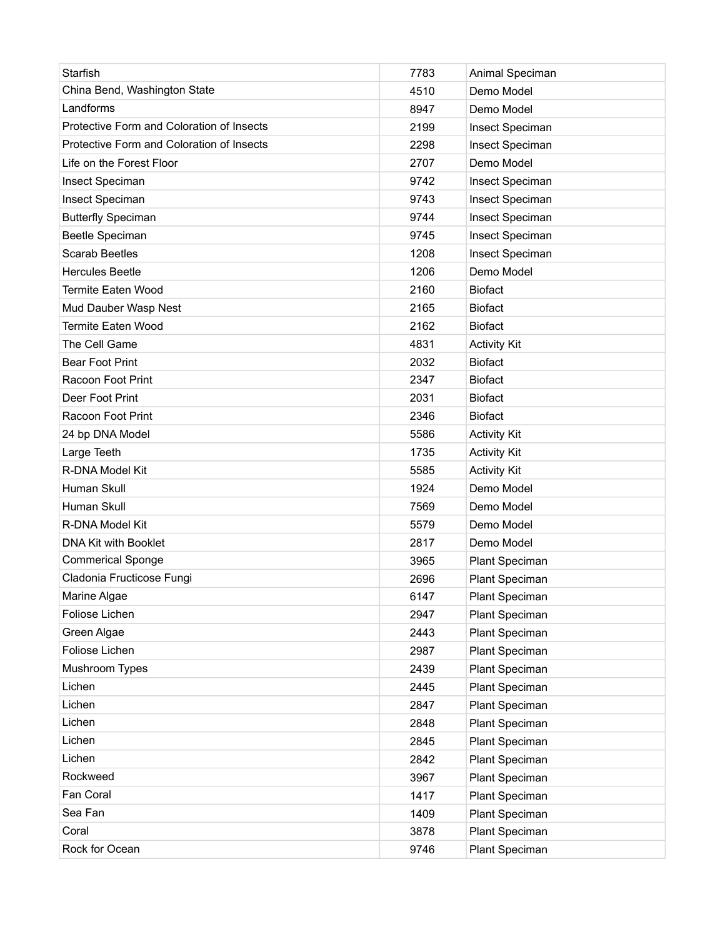| Starfish                                  | 7783 | Animal Speciman     |
|-------------------------------------------|------|---------------------|
| China Bend, Washington State              | 4510 | Demo Model          |
| Landforms                                 | 8947 | Demo Model          |
| Protective Form and Coloration of Insects | 2199 | Insect Speciman     |
| Protective Form and Coloration of Insects | 2298 | Insect Speciman     |
| Life on the Forest Floor                  | 2707 | Demo Model          |
| Insect Speciman                           | 9742 | Insect Speciman     |
| Insect Speciman                           | 9743 | Insect Speciman     |
| <b>Butterfly Speciman</b>                 | 9744 | Insect Speciman     |
| Beetle Speciman                           | 9745 | Insect Speciman     |
| <b>Scarab Beetles</b>                     | 1208 | Insect Speciman     |
| <b>Hercules Beetle</b>                    | 1206 | Demo Model          |
| <b>Termite Eaten Wood</b>                 | 2160 | <b>Biofact</b>      |
| Mud Dauber Wasp Nest                      | 2165 | <b>Biofact</b>      |
| <b>Termite Eaten Wood</b>                 | 2162 | <b>Biofact</b>      |
| The Cell Game                             | 4831 | <b>Activity Kit</b> |
| <b>Bear Foot Print</b>                    | 2032 | <b>Biofact</b>      |
| Racoon Foot Print                         | 2347 | <b>Biofact</b>      |
| Deer Foot Print                           | 2031 | <b>Biofact</b>      |
| Racoon Foot Print                         | 2346 | <b>Biofact</b>      |
| 24 bp DNA Model                           | 5586 | <b>Activity Kit</b> |
| Large Teeth                               | 1735 | <b>Activity Kit</b> |
| R-DNA Model Kit                           | 5585 | <b>Activity Kit</b> |
| Human Skull                               | 1924 | Demo Model          |
| Human Skull                               | 7569 | Demo Model          |
| R-DNA Model Kit                           | 5579 | Demo Model          |
| DNA Kit with Booklet                      | 2817 | Demo Model          |
| <b>Commerical Sponge</b>                  | 3965 | Plant Speciman      |
| Cladonia Fructicose Fungi                 | 2696 | Plant Speciman      |
| Marine Algae                              | 6147 | Plant Speciman      |
| Foliose Lichen                            | 2947 | Plant Speciman      |
| Green Algae                               | 2443 | Plant Speciman      |
| Foliose Lichen                            | 2987 | Plant Speciman      |
| Mushroom Types                            | 2439 | Plant Speciman      |
| Lichen                                    | 2445 | Plant Speciman      |
| Lichen                                    | 2847 | Plant Speciman      |
| Lichen                                    | 2848 | Plant Speciman      |
| Lichen                                    | 2845 | Plant Speciman      |
| Lichen                                    | 2842 | Plant Speciman      |
| Rockweed                                  | 3967 | Plant Speciman      |
| Fan Coral                                 | 1417 | Plant Speciman      |
| Sea Fan                                   | 1409 | Plant Speciman      |
| Coral                                     | 3878 | Plant Speciman      |
| Rock for Ocean                            | 9746 | Plant Speciman      |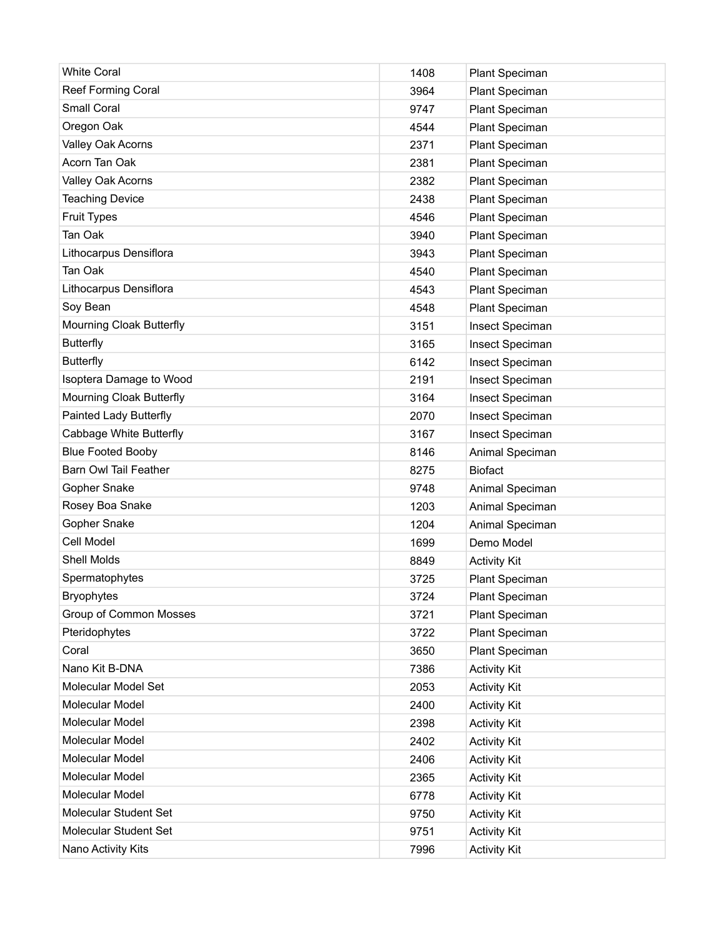| <b>White Coral</b>           | 1408 | Plant Speciman      |
|------------------------------|------|---------------------|
| Reef Forming Coral           | 3964 | Plant Speciman      |
| Small Coral                  | 9747 | Plant Speciman      |
| Oregon Oak                   | 4544 | Plant Speciman      |
| Valley Oak Acorns            | 2371 | Plant Speciman      |
| Acorn Tan Oak                | 2381 | Plant Speciman      |
| Valley Oak Acorns            | 2382 | Plant Speciman      |
| <b>Teaching Device</b>       | 2438 | Plant Speciman      |
| <b>Fruit Types</b>           | 4546 | Plant Speciman      |
| Tan Oak                      | 3940 | Plant Speciman      |
| Lithocarpus Densiflora       | 3943 | Plant Speciman      |
| Tan Oak                      | 4540 | Plant Speciman      |
| Lithocarpus Densiflora       | 4543 | Plant Speciman      |
| Soy Bean                     | 4548 | Plant Speciman      |
| Mourning Cloak Butterfly     | 3151 | Insect Speciman     |
| <b>Butterfly</b>             | 3165 | Insect Speciman     |
| <b>Butterfly</b>             | 6142 | Insect Speciman     |
| Isoptera Damage to Wood      | 2191 | Insect Speciman     |
| Mourning Cloak Butterfly     | 3164 | Insect Speciman     |
| Painted Lady Butterfly       | 2070 | Insect Speciman     |
| Cabbage White Butterfly      | 3167 | Insect Speciman     |
| <b>Blue Footed Booby</b>     | 8146 | Animal Speciman     |
| <b>Barn Owl Tail Feather</b> | 8275 | <b>Biofact</b>      |
| Gopher Snake                 | 9748 | Animal Speciman     |
| Rosey Boa Snake              | 1203 | Animal Speciman     |
| Gopher Snake                 | 1204 | Animal Speciman     |
| Cell Model                   | 1699 | Demo Model          |
| <b>Shell Molds</b>           | 8849 | <b>Activity Kit</b> |
| Spermatophytes               | 3725 | Plant Speciman      |
| Bryophytes                   | 3724 | Plant Speciman      |
| Group of Common Mosses       | 3721 | Plant Speciman      |
| Pteridophytes                | 3722 | Plant Speciman      |
| Coral                        | 3650 | Plant Speciman      |
| Nano Kit B-DNA               | 7386 | <b>Activity Kit</b> |
| Molecular Model Set          | 2053 | <b>Activity Kit</b> |
| Molecular Model              | 2400 | <b>Activity Kit</b> |
| Molecular Model              | 2398 | <b>Activity Kit</b> |
| Molecular Model              | 2402 | <b>Activity Kit</b> |
| Molecular Model              | 2406 | <b>Activity Kit</b> |
| Molecular Model              | 2365 | <b>Activity Kit</b> |
| Molecular Model              | 6778 | <b>Activity Kit</b> |
| Molecular Student Set        | 9750 | <b>Activity Kit</b> |
| Molecular Student Set        | 9751 | <b>Activity Kit</b> |
| Nano Activity Kits           | 7996 | <b>Activity Kit</b> |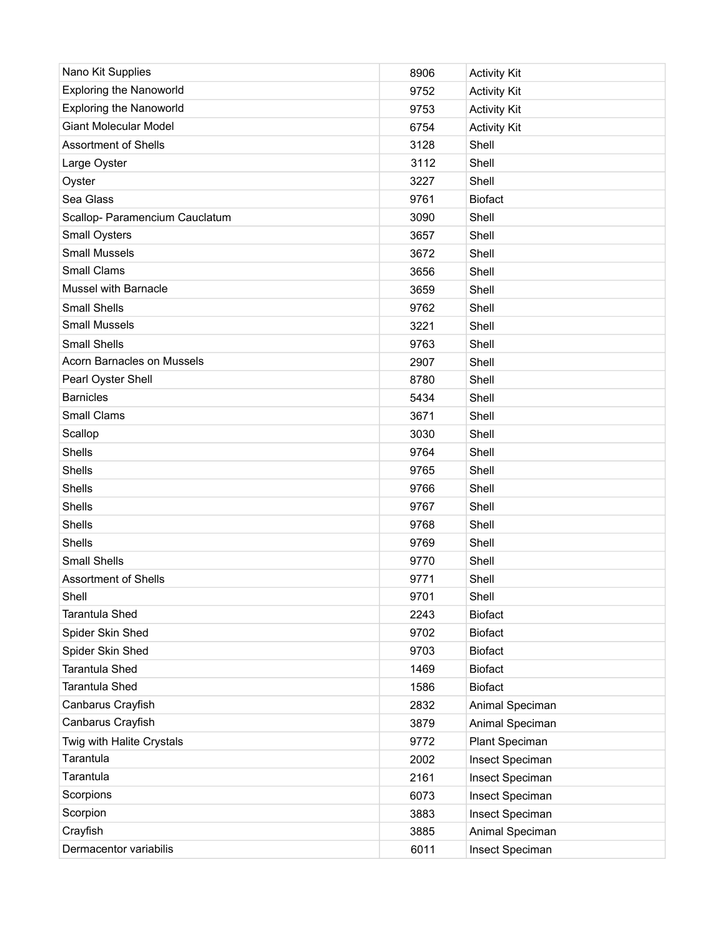| Nano Kit Supplies              | 8906 | <b>Activity Kit</b> |
|--------------------------------|------|---------------------|
| <b>Exploring the Nanoworld</b> | 9752 | <b>Activity Kit</b> |
| <b>Exploring the Nanoworld</b> | 9753 | <b>Activity Kit</b> |
| <b>Giant Molecular Model</b>   | 6754 | <b>Activity Kit</b> |
| <b>Assortment of Shells</b>    | 3128 | Shell               |
| Large Oyster                   | 3112 | Shell               |
| Oyster                         | 3227 | Shell               |
| Sea Glass                      | 9761 | <b>Biofact</b>      |
| Scallop- Paramencium Cauclatum | 3090 | Shell               |
| Small Oysters                  | 3657 | Shell               |
| <b>Small Mussels</b>           | 3672 | Shell               |
| <b>Small Clams</b>             | 3656 | Shell               |
| Mussel with Barnacle           | 3659 | Shell               |
| <b>Small Shells</b>            | 9762 | Shell               |
| <b>Small Mussels</b>           | 3221 | Shell               |
| <b>Small Shells</b>            | 9763 | Shell               |
| Acorn Barnacles on Mussels     | 2907 | Shell               |
| Pearl Oyster Shell             | 8780 | Shell               |
| <b>Barnicles</b>               | 5434 | Shell               |
| <b>Small Clams</b>             | 3671 | Shell               |
| Scallop                        | 3030 | Shell               |
| <b>Shells</b>                  | 9764 | Shell               |
| <b>Shells</b>                  | 9765 | Shell               |
| <b>Shells</b>                  | 9766 | Shell               |
| <b>Shells</b>                  | 9767 | Shell               |
| <b>Shells</b>                  | 9768 | Shell               |
| <b>Shells</b>                  | 9769 | Shell               |
| <b>Small Shells</b>            | 9770 | Shell               |
| <b>Assortment of Shells</b>    | 9771 | Shell               |
| Shell                          | 9701 | Shell               |
| Tarantula Shed                 | 2243 | <b>Biofact</b>      |
| Spider Skin Shed               | 9702 | <b>Biofact</b>      |
| Spider Skin Shed               | 9703 | <b>Biofact</b>      |
| <b>Tarantula Shed</b>          | 1469 | <b>Biofact</b>      |
| Tarantula Shed                 | 1586 | <b>Biofact</b>      |
| Canbarus Crayfish              | 2832 | Animal Speciman     |
| Canbarus Crayfish              | 3879 | Animal Speciman     |
| Twig with Halite Crystals      | 9772 | Plant Speciman      |
| Tarantula                      | 2002 | Insect Speciman     |
| Tarantula                      | 2161 | Insect Speciman     |
| Scorpions                      | 6073 | Insect Speciman     |
| Scorpion                       | 3883 | Insect Speciman     |
| Crayfish                       | 3885 | Animal Speciman     |
| Dermacentor variabilis         | 6011 | Insect Speciman     |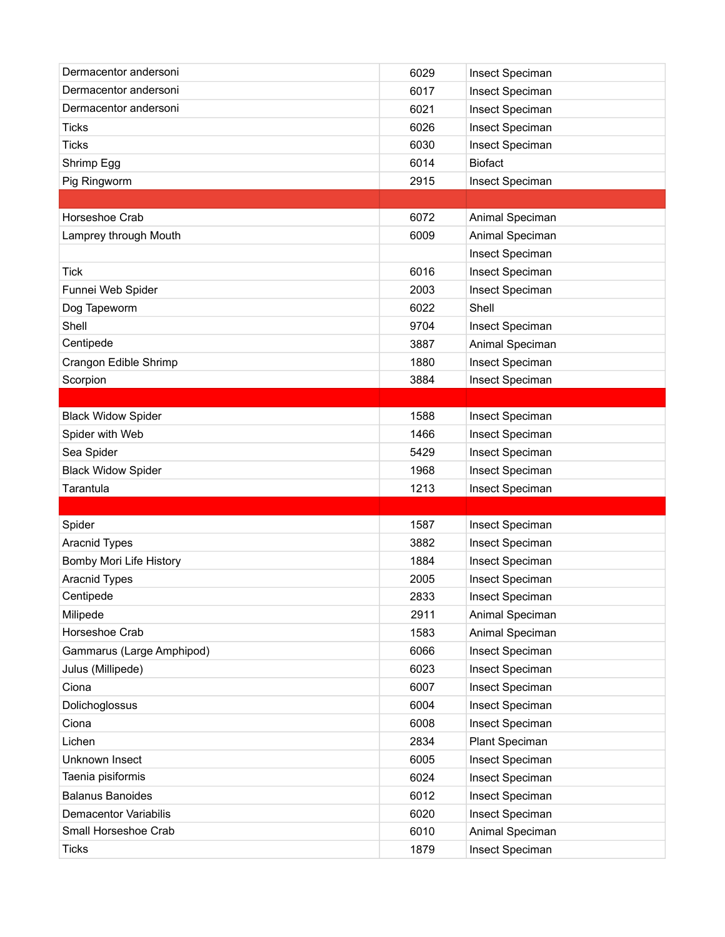| Dermacentor andersoni        | 6029 | Insect Speciman |
|------------------------------|------|-----------------|
| Dermacentor andersoni        | 6017 | Insect Speciman |
| Dermacentor andersoni        | 6021 | Insect Speciman |
| <b>Ticks</b>                 | 6026 | Insect Speciman |
| <b>Ticks</b>                 | 6030 | Insect Speciman |
| Shrimp Egg                   | 6014 | <b>Biofact</b>  |
| Pig Ringworm                 | 2915 | Insect Speciman |
|                              |      |                 |
| Horseshoe Crab               | 6072 | Animal Speciman |
| Lamprey through Mouth        | 6009 | Animal Speciman |
|                              |      | Insect Speciman |
| Tick                         | 6016 | Insect Speciman |
| Funnei Web Spider            | 2003 | Insect Speciman |
| Dog Tapeworm                 | 6022 | Shell           |
| Shell                        | 9704 | Insect Speciman |
| Centipede                    | 3887 | Animal Speciman |
| Crangon Edible Shrimp        | 1880 | Insect Speciman |
| Scorpion                     | 3884 | Insect Speciman |
|                              |      |                 |
| <b>Black Widow Spider</b>    | 1588 | Insect Speciman |
| Spider with Web              | 1466 | Insect Speciman |
| Sea Spider                   | 5429 | Insect Speciman |
| <b>Black Widow Spider</b>    | 1968 | Insect Speciman |
| Tarantula                    | 1213 | Insect Speciman |
|                              |      |                 |
| Spider                       | 1587 | Insect Speciman |
| Aracnid Types                | 3882 | Insect Speciman |
| Bomby Mori Life History      | 1884 | Insect Speciman |
| Aracnid Types                | 2005 | Insect Speciman |
| Centipede                    | 2833 | Insect Speciman |
| Milipede                     | 2911 | Animal Speciman |
| Horseshoe Crab               | 1583 | Animal Speciman |
| Gammarus (Large Amphipod)    | 6066 | Insect Speciman |
| Julus (Millipede)            | 6023 | Insect Speciman |
| Ciona                        | 6007 | Insect Speciman |
| Dolichoglossus               | 6004 | Insect Speciman |
| Ciona                        | 6008 | Insect Speciman |
| Lichen                       | 2834 | Plant Speciman  |
| Unknown Insect               |      | Insect Speciman |
|                              | 6005 |                 |
| Taenia pisiformis            | 6024 | Insect Speciman |
| <b>Balanus Banoides</b>      | 6012 | Insect Speciman |
| <b>Demacentor Variabilis</b> | 6020 | Insect Speciman |
| Small Horseshoe Crab         | 6010 | Animal Speciman |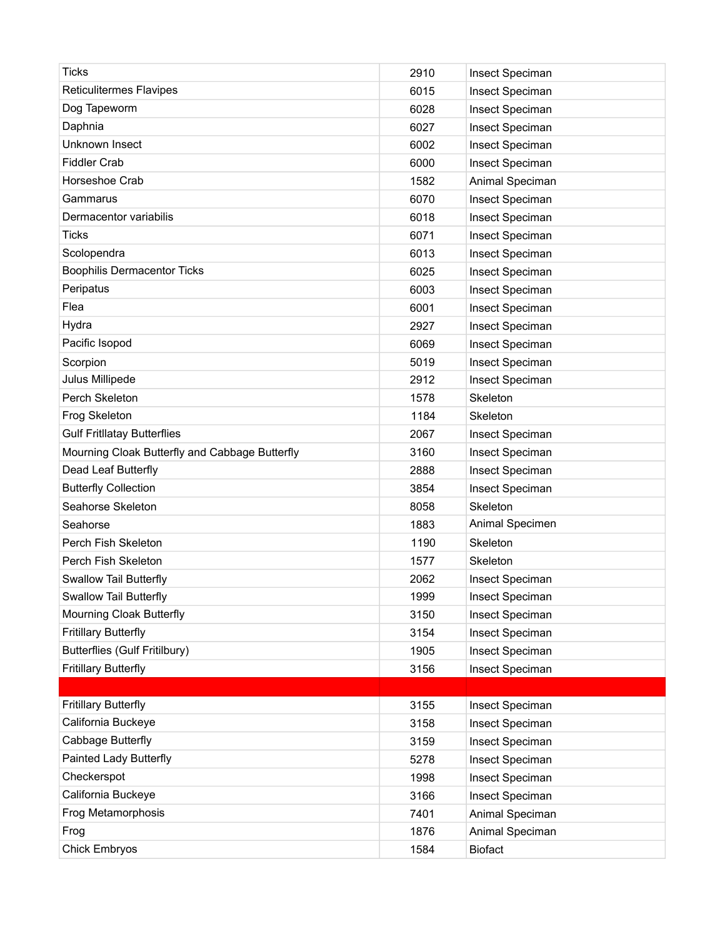| <b>Ticks</b>                                   | 2910 | Insect Speciman |
|------------------------------------------------|------|-----------------|
| <b>Reticulitermes Flavipes</b>                 | 6015 | Insect Speciman |
| Dog Tapeworm                                   | 6028 | Insect Speciman |
| Daphnia                                        | 6027 | Insect Speciman |
| Unknown Insect                                 | 6002 | Insect Speciman |
| <b>Fiddler Crab</b>                            | 6000 | Insect Speciman |
| Horseshoe Crab                                 | 1582 | Animal Speciman |
| Gammarus                                       | 6070 | Insect Speciman |
| Dermacentor variabilis                         | 6018 | Insect Speciman |
| Ticks                                          | 6071 | Insect Speciman |
| Scolopendra                                    | 6013 | Insect Speciman |
| <b>Boophilis Dermacentor Ticks</b>             | 6025 | Insect Speciman |
| Peripatus                                      | 6003 | Insect Speciman |
| Flea                                           | 6001 | Insect Speciman |
| Hydra                                          | 2927 | Insect Speciman |
| Pacific Isopod                                 | 6069 | Insect Speciman |
| Scorpion                                       | 5019 | Insect Speciman |
| Julus Millipede                                | 2912 | Insect Speciman |
| Perch Skeleton                                 | 1578 | Skeleton        |
| Frog Skeleton                                  | 1184 | Skeleton        |
| <b>Gulf Fritllatay Butterflies</b>             | 2067 | Insect Speciman |
| Mourning Cloak Butterfly and Cabbage Butterfly | 3160 | Insect Speciman |
| Dead Leaf Butterfly                            | 2888 | Insect Speciman |
| <b>Butterfly Collection</b>                    | 3854 | Insect Speciman |
| Seahorse Skeleton                              | 8058 | Skeleton        |
| Seahorse                                       | 1883 | Animal Specimen |
| Perch Fish Skeleton                            | 1190 | Skeleton        |
| Perch Fish Skeleton                            | 1577 | Skeleton        |
| Swallow Tail Butterfly                         | 2062 | Insect Speciman |
| Swallow Tail Butterfly                         | 1999 | Insect Speciman |
| Mourning Cloak Butterfly                       | 3150 | Insect Speciman |
| <b>Fritillary Butterfly</b>                    | 3154 | Insect Speciman |
| <b>Butterflies (Gulf Fritilbury)</b>           | 1905 | Insect Speciman |
| <b>Fritillary Butterfly</b>                    | 3156 | Insect Speciman |
|                                                |      |                 |
| <b>Fritillary Butterfly</b>                    | 3155 | Insect Speciman |
| California Buckeye                             | 3158 | Insect Speciman |
| Cabbage Butterfly                              | 3159 | Insect Speciman |
| Painted Lady Butterfly                         | 5278 | Insect Speciman |
| Checkerspot                                    | 1998 | Insect Speciman |
| California Buckeye                             | 3166 | Insect Speciman |
| Frog Metamorphosis                             | 7401 | Animal Speciman |
| Frog                                           | 1876 | Animal Speciman |
| <b>Chick Embryos</b>                           | 1584 | <b>Biofact</b>  |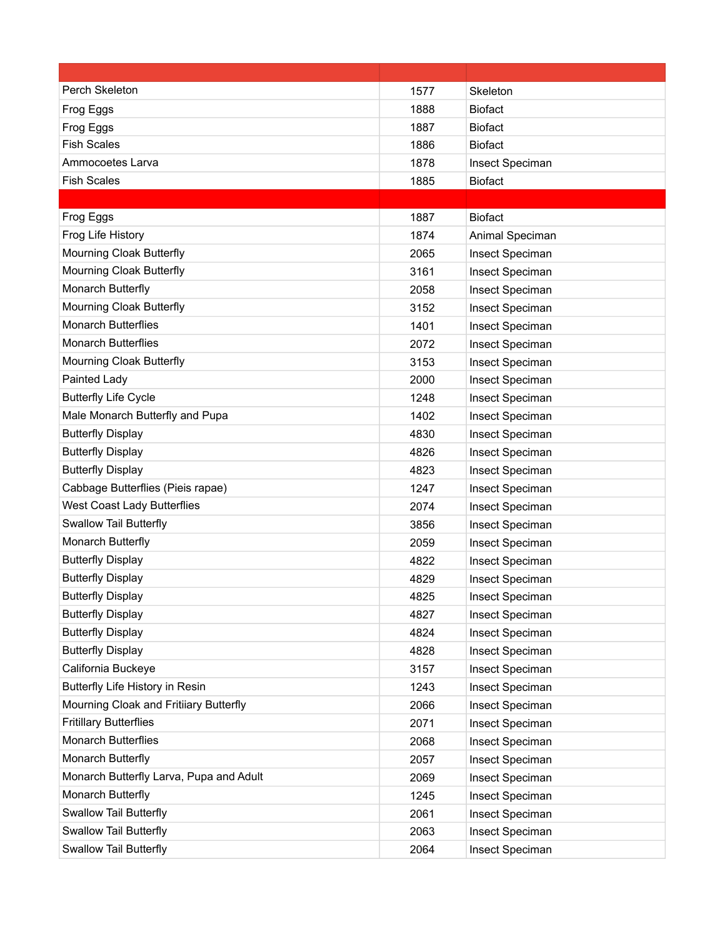| Perch Skeleton                          | 1577 | Skeleton        |
|-----------------------------------------|------|-----------------|
| Frog Eggs                               | 1888 | <b>Biofact</b>  |
| Frog Eggs                               | 1887 | <b>Biofact</b>  |
| <b>Fish Scales</b>                      | 1886 | <b>Biofact</b>  |
| Ammocoetes Larva                        | 1878 | Insect Speciman |
| <b>Fish Scales</b>                      | 1885 | <b>Biofact</b>  |
|                                         |      |                 |
| Frog Eggs                               | 1887 | <b>Biofact</b>  |
| Frog Life History                       | 1874 | Animal Speciman |
| Mourning Cloak Butterfly                | 2065 | Insect Speciman |
| Mourning Cloak Butterfly                | 3161 | Insect Speciman |
| Monarch Butterfly                       | 2058 | Insect Speciman |
| Mourning Cloak Butterfly                | 3152 | Insect Speciman |
| <b>Monarch Butterflies</b>              | 1401 | Insect Speciman |
| <b>Monarch Butterflies</b>              | 2072 | Insect Speciman |
| Mourning Cloak Butterfly                | 3153 | Insect Speciman |
| Painted Lady                            | 2000 | Insect Speciman |
| <b>Butterfly Life Cycle</b>             | 1248 | Insect Speciman |
| Male Monarch Butterfly and Pupa         | 1402 | Insect Speciman |
| <b>Butterfly Display</b>                | 4830 | Insect Speciman |
| <b>Butterfly Display</b>                | 4826 | Insect Speciman |
| <b>Butterfly Display</b>                | 4823 | Insect Speciman |
| Cabbage Butterflies (Pieis rapae)       | 1247 | Insect Speciman |
| West Coast Lady Butterflies             | 2074 | Insect Speciman |
| Swallow Tail Butterfly                  | 3856 | Insect Speciman |
| Monarch Butterfly                       | 2059 | Insect Speciman |
| <b>Butterfly Display</b>                | 4822 | Insect Speciman |
| <b>Butterfly Display</b>                | 4829 | Insect Speciman |
| <b>Butterfly Display</b>                | 4825 | Insect Speciman |
| <b>Butterfly Display</b>                | 4827 | Insect Speciman |
| <b>Butterfly Display</b>                | 4824 | Insect Speciman |
| <b>Butterfly Display</b>                | 4828 | Insect Speciman |
| California Buckeye                      | 3157 | Insect Speciman |
| Butterfly Life History in Resin         | 1243 | Insect Speciman |
| Mourning Cloak and Fritiiary Butterfly  | 2066 | Insect Speciman |
| <b>Fritillary Butterflies</b>           | 2071 | Insect Speciman |
| <b>Monarch Butterflies</b>              | 2068 | Insect Speciman |
| Monarch Butterfly                       | 2057 | Insect Speciman |
| Monarch Butterfly Larva, Pupa and Adult | 2069 | Insect Speciman |
| Monarch Butterfly                       | 1245 | Insect Speciman |
| Swallow Tail Butterfly                  | 2061 | Insect Speciman |
| <b>Swallow Tail Butterfly</b>           | 2063 | Insect Speciman |
| Swallow Tail Butterfly                  | 2064 | Insect Speciman |